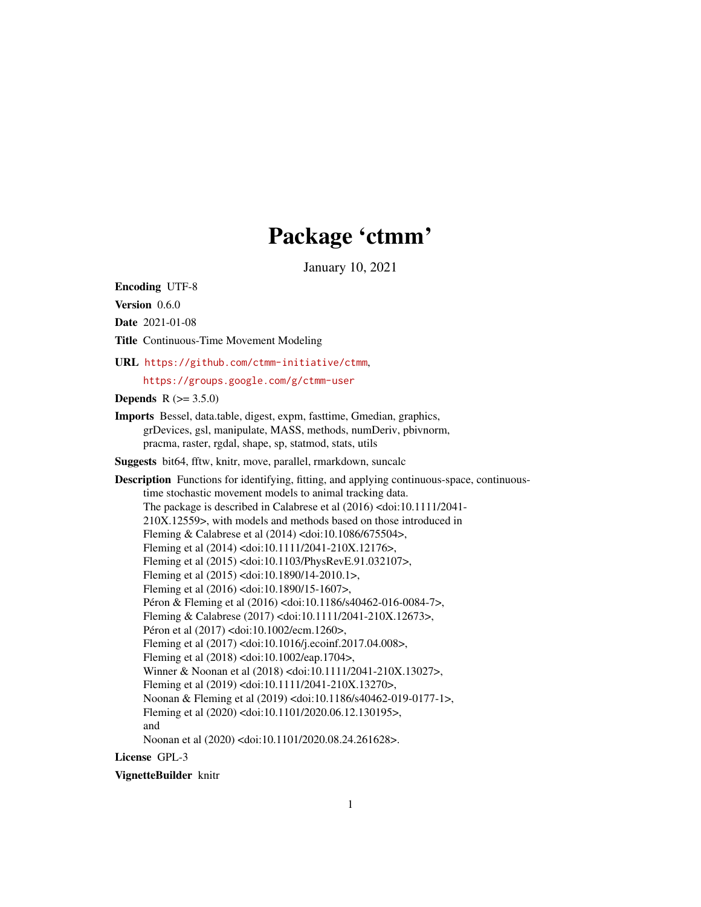# Package 'ctmm'

January 10, 2021

<span id="page-0-0"></span>Encoding UTF-8

Version 0.6.0

Date 2021-01-08

Title Continuous-Time Movement Modeling

URL <https://github.com/ctmm-initiative/ctmm>,

<https://groups.google.com/g/ctmm-user>

**Depends**  $R (= 3.5.0)$ 

Imports Bessel, data.table, digest, expm, fasttime, Gmedian, graphics, grDevices, gsl, manipulate, MASS, methods, numDeriv, pbivnorm, pracma, raster, rgdal, shape, sp, statmod, stats, utils

Suggests bit64, fftw, knitr, move, parallel, rmarkdown, suncalc

Description Functions for identifying, fitting, and applying continuous-space, continuoustime stochastic movement models to animal tracking data. The package is described in Calabrese et al (2016) <doi:10.1111/2041- 210X.12559>, with models and methods based on those introduced in Fleming & Calabrese et al (2014) <doi:10.1086/675504>, Fleming et al (2014) <doi:10.1111/2041-210X.12176>, Fleming et al (2015) <doi:10.1103/PhysRevE.91.032107>, Fleming et al (2015) <doi:10.1890/14-2010.1>, Fleming et al (2016) <doi:10.1890/15-1607>, Péron & Fleming et al (2016) <doi:10.1186/s40462-016-0084-7>, Fleming & Calabrese (2017) <doi:10.1111/2041-210X.12673>, Péron et al (2017) <doi:10.1002/ecm.1260>, Fleming et al (2017) <doi:10.1016/j.ecoinf.2017.04.008>, Fleming et al (2018) <doi:10.1002/eap.1704>, Winner & Noonan et al (2018) <doi:10.1111/2041-210X.13027>, Fleming et al (2019) <doi:10.1111/2041-210X.13270>, Noonan & Fleming et al (2019) <doi:10.1186/s40462-019-0177-1>, Fleming et al (2020) <doi:10.1101/2020.06.12.130195>, and Noonan et al (2020) <doi:10.1101/2020.08.24.261628>.

License GPL-3

VignetteBuilder knitr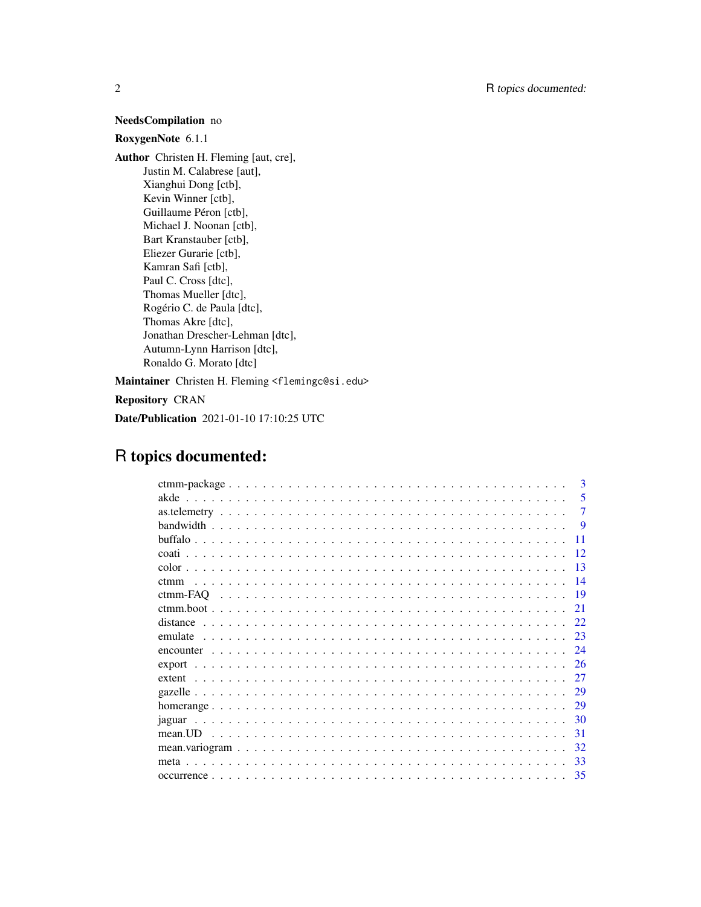### NeedsCompilation no

### RoxygenNote 6.1.1

Author Christen H. Fleming [aut, cre], Justin M. Calabrese [aut], Xianghui Dong [ctb], Kevin Winner [ctb], Guillaume Péron [ctb], Michael J. Noonan [ctb], Bart Kranstauber [ctb], Eliezer Gurarie [ctb], Kamran Safi [ctb], Paul C. Cross [dtc], Thomas Mueller [dtc], Rogério C. de Paula [dtc], Thomas Akre [dtc], Jonathan Drescher-Lehman [dtc], Autumn-Lynn Harrison [dtc], Ronaldo G. Morato [dtc]

Maintainer Christen H. Fleming <flemingc@si.edu>

Repository CRAN

Date/Publication 2021-01-10 17:10:25 UTC

# R topics documented:

| $\mathbf{3}$   |
|----------------|
| 5              |
|                |
| -9             |
| 11             |
| 12             |
| 13             |
| 14<br>ctmm     |
| ctmm-FAO<br>19 |
| 21             |
| distance<br>22 |
| emulate<br>23  |
| 24             |
| 26<br>export   |
| 27             |
| 29             |
| 29             |
| 30             |
| 31             |
| 32             |
| 33             |
| 35             |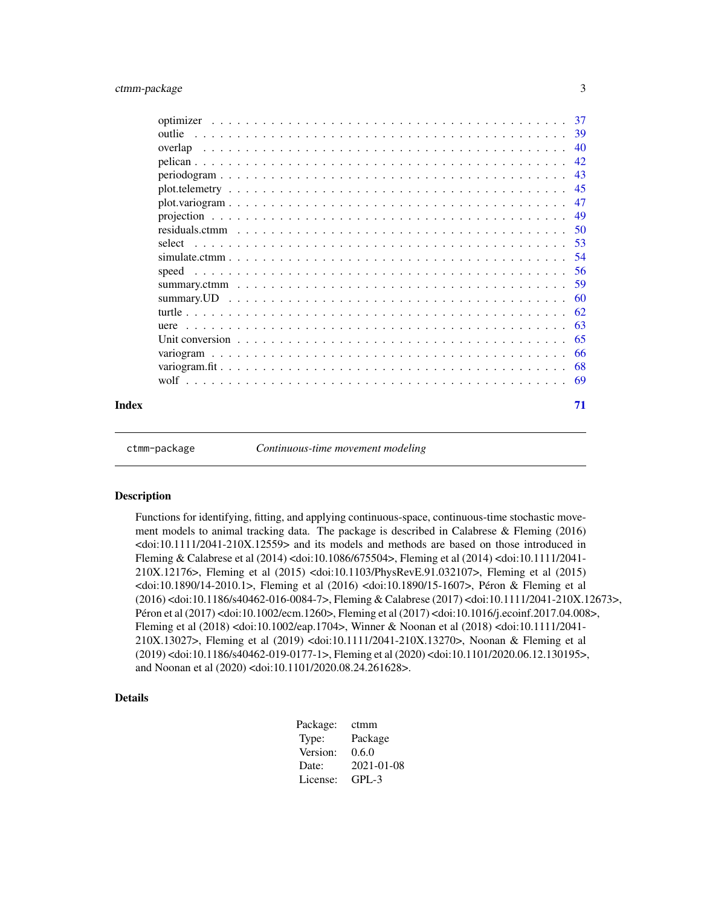<span id="page-2-0"></span>

|                                                                                                                                                                                                                                                                                                                                                                                                                                                                                                          | -69 |
|----------------------------------------------------------------------------------------------------------------------------------------------------------------------------------------------------------------------------------------------------------------------------------------------------------------------------------------------------------------------------------------------------------------------------------------------------------------------------------------------------------|-----|
|                                                                                                                                                                                                                                                                                                                                                                                                                                                                                                          | 68  |
|                                                                                                                                                                                                                                                                                                                                                                                                                                                                                                          | 66  |
|                                                                                                                                                                                                                                                                                                                                                                                                                                                                                                          | 65  |
| uere                                                                                                                                                                                                                                                                                                                                                                                                                                                                                                     | 63  |
|                                                                                                                                                                                                                                                                                                                                                                                                                                                                                                          | 62  |
|                                                                                                                                                                                                                                                                                                                                                                                                                                                                                                          | 60  |
|                                                                                                                                                                                                                                                                                                                                                                                                                                                                                                          | 59  |
| $\mathcal{L}_{\mathcal{A}}(\mathcal{A})=\mathcal{L}_{\mathcal{A}}(\mathcal{A})=\mathcal{L}_{\mathcal{A}}(\mathcal{A})=\mathcal{L}_{\mathcal{A}}(\mathcal{A})=\mathcal{L}_{\mathcal{A}}(\mathcal{A})=\mathcal{L}_{\mathcal{A}}(\mathcal{A})=\mathcal{L}_{\mathcal{A}}(\mathcal{A})=\mathcal{L}_{\mathcal{A}}(\mathcal{A})=\mathcal{L}_{\mathcal{A}}(\mathcal{A})=\mathcal{L}_{\mathcal{A}}(\mathcal{A})=\mathcal{L}_{\mathcal{A}}(\mathcal{A})=\mathcal{L}_{\mathcal{A}}(\mathcal{A})=\mathcal{$<br>speed | .56 |
| simulate.ctmm.                                                                                                                                                                                                                                                                                                                                                                                                                                                                                           | 54  |
| select                                                                                                                                                                                                                                                                                                                                                                                                                                                                                                   | -53 |
|                                                                                                                                                                                                                                                                                                                                                                                                                                                                                                          | 50  |
|                                                                                                                                                                                                                                                                                                                                                                                                                                                                                                          | 49  |
|                                                                                                                                                                                                                                                                                                                                                                                                                                                                                                          | 47  |
|                                                                                                                                                                                                                                                                                                                                                                                                                                                                                                          | 45  |
| $periodogram \dots \dots \dots \dots \dots \dots \dots \dots \dots \dots \dots \dots \dots \dots \dots \dots \dots$                                                                                                                                                                                                                                                                                                                                                                                      | 43  |
|                                                                                                                                                                                                                                                                                                                                                                                                                                                                                                          | 42  |
|                                                                                                                                                                                                                                                                                                                                                                                                                                                                                                          | 40  |
| outlie                                                                                                                                                                                                                                                                                                                                                                                                                                                                                                   | 39  |
|                                                                                                                                                                                                                                                                                                                                                                                                                                                                                                          | 37  |

ctmm-package *Continuous-time movement modeling*

#### Description

Functions for identifying, fitting, and applying continuous-space, continuous-time stochastic movement models to animal tracking data. The package is described in Calabrese & Fleming (2016) <doi:10.1111/2041-210X.12559> and its models and methods are based on those introduced in Fleming & Calabrese et al (2014) <doi:10.1086/675504>, Fleming et al (2014) <doi:10.1111/2041- 210X.12176>, Fleming et al (2015) <doi:10.1103/PhysRevE.91.032107>, Fleming et al (2015) <doi:10.1890/14-2010.1>, Fleming et al (2016) <doi:10.1890/15-1607>, Péron & Fleming et al (2016) <doi:10.1186/s40462-016-0084-7>, Fleming & Calabrese (2017) <doi:10.1111/2041-210X.12673>, Péron et al (2017) <doi:10.1002/ecm.1260>, Fleming et al (2017) <doi:10.1016/j.ecoinf.2017.04.008>, Fleming et al (2018) <doi:10.1002/eap.1704>, Winner & Noonan et al (2018) <doi:10.1111/2041- 210X.13027>, Fleming et al (2019) <doi:10.1111/2041-210X.13270>, Noonan & Fleming et al (2019) <doi:10.1186/s40462-019-0177-1>, Fleming et al (2020) <doi:10.1101/2020.06.12.130195>, and Noonan et al (2020) <doi:10.1101/2020.08.24.261628>.

### Details

| Package: | ctmm       |
|----------|------------|
| Type:    | Package    |
| Version: | 0.6.0      |
| Date:    | 2021-01-08 |
| License: | $GPI - 3$  |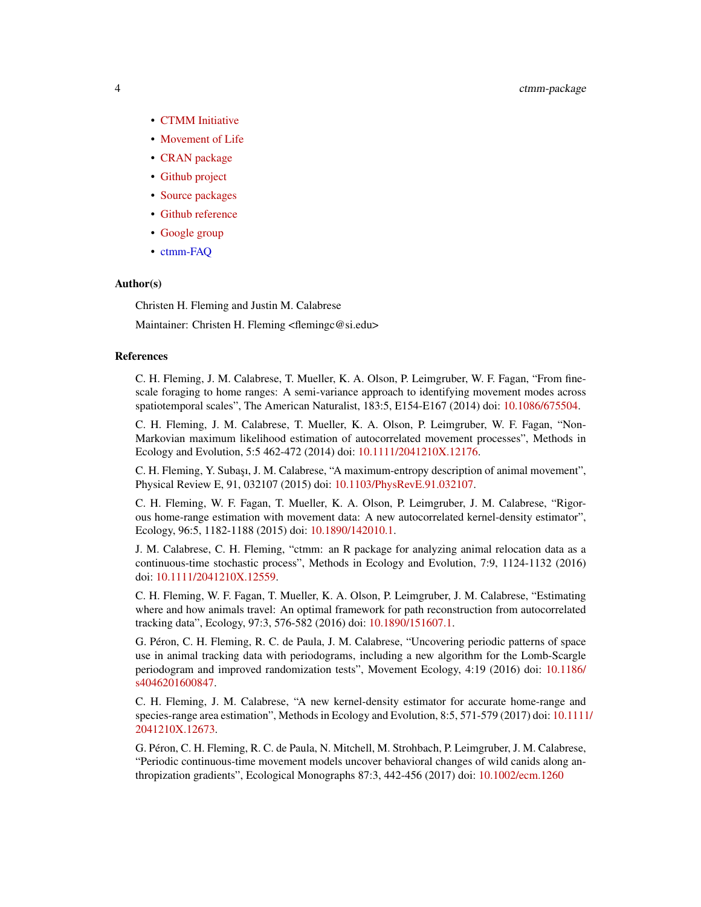- [CTMM Initiative](http://biology.umd.edu/movement.html)
- [Movement of Life](https://movementoflife.si.edu/analytical-tools/)
- [CRAN package](https://CRAN.R-project.org/package=ctmm)
- [Github project](https://github.com/ctmm-initiative/ctmm)
- [Source packages](http://www2.physics.umd.edu/~hfleming/)
- [Github reference](https://ctmm-initiative.github.io/ctmm/)
- [Google group](https://groups.google.com/g/ctmm-user)
- [ctmm-FAQ](#page-18-1)

### Author(s)

Christen H. Fleming and Justin M. Calabrese

Maintainer: Christen H. Fleming <flemingc@si.edu>

#### References

C. H. Fleming, J. M. Calabrese, T. Mueller, K. A. Olson, P. Leimgruber, W. F. Fagan, "From finescale foraging to home ranges: A semi-variance approach to identifying movement modes across spatiotemporal scales", The American Naturalist, 183:5, E154-E167 (2014) doi: [10.1086/675504.](https://doi.org/10.1086/675504)

C. H. Fleming, J. M. Calabrese, T. Mueller, K. A. Olson, P. Leimgruber, W. F. Fagan, "Non-Markovian maximum likelihood estimation of autocorrelated movement processes", Methods in Ecology and Evolution, 5:5 462-472 (2014) doi: [10.1111/2041210X.12176.](https://doi.org/10.1111/2041-210X.12176)

C. H. Fleming, Y. Subaşı, J. M. Calabrese, "A maximum-entropy description of animal movement", Physical Review E, 91, 032107 (2015) doi: [10.1103/PhysRevE.91.032107.](https://doi.org/10.1103/PhysRevE.91.032107)

C. H. Fleming, W. F. Fagan, T. Mueller, K. A. Olson, P. Leimgruber, J. M. Calabrese, "Rigorous home-range estimation with movement data: A new autocorrelated kernel-density estimator", Ecology, 96:5, 1182-1188 (2015) doi: [10.1890/142010.1.](https://doi.org/10.1890/14-2010.1)

J. M. Calabrese, C. H. Fleming, "ctmm: an R package for analyzing animal relocation data as a continuous-time stochastic process", Methods in Ecology and Evolution, 7:9, 1124-1132 (2016) doi: [10.1111/2041210X.12559.](https://doi.org/10.1111/2041-210X.12559)

C. H. Fleming, W. F. Fagan, T. Mueller, K. A. Olson, P. Leimgruber, J. M. Calabrese, "Estimating where and how animals travel: An optimal framework for path reconstruction from autocorrelated tracking data", Ecology, 97:3, 576-582 (2016) doi: [10.1890/151607.1.](https://doi.org/10.1890/15-1607.1)

G. Péron, C. H. Fleming, R. C. de Paula, J. M. Calabrese, "Uncovering periodic patterns of space use in animal tracking data with periodograms, including a new algorithm for the Lomb-Scargle periodogram and improved randomization tests", Movement Ecology, 4:19 (2016) doi: [10.1186/](https://doi.org/10.1186/s40462-016-0084-7) [s4046201600847.](https://doi.org/10.1186/s40462-016-0084-7)

C. H. Fleming, J. M. Calabrese, "A new kernel-density estimator for accurate home-range and species-range area estimation", Methods in Ecology and Evolution, 8:5, 571-579 (2017) doi: [10.1111](https://doi.org/10.1111/2041-210X.12673)/ [2041210X.12673.](https://doi.org/10.1111/2041-210X.12673)

G. Péron, C. H. Fleming, R. C. de Paula, N. Mitchell, M. Strohbach, P. Leimgruber, J. M. Calabrese, "Periodic continuous-time movement models uncover behavioral changes of wild canids along anthropization gradients", Ecological Monographs 87:3, 442-456 (2017) doi: [10.1002/ecm.1260](https://doi.org/10.1002/ecm.1260)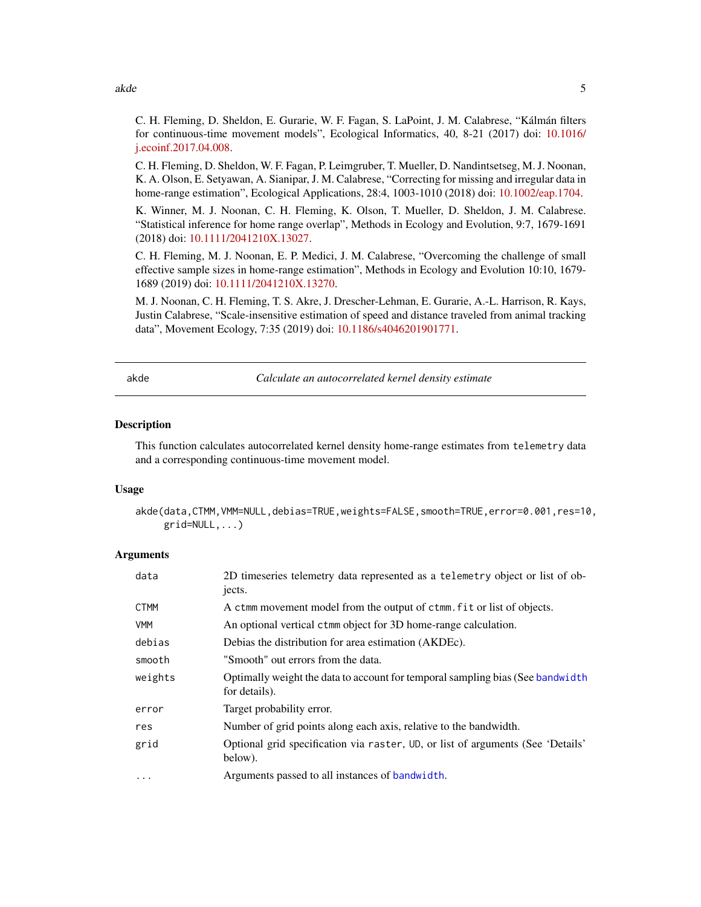<span id="page-4-0"></span>akde 5 metal 2008 ble stats and the stats of the stats of the stats of the stats of the stats of the stats of the stats of the stats of the stats of the stats of the stats of the stats of the stats of the stats of the stat

C. H. Fleming, D. Sheldon, E. Gurarie, W. F. Fagan, S. LaPoint, J. M. Calabrese, "Kálmán filters for continuous-time movement models", Ecological Informatics, 40, 8-21 (2017) doi: [10.1016/](https://doi.org/10.1016/j.ecoinf.2017.04.008) [j.ecoinf.2017.04.008.](https://doi.org/10.1016/j.ecoinf.2017.04.008)

C. H. Fleming, D. Sheldon, W. F. Fagan, P. Leimgruber, T. Mueller, D. Nandintsetseg, M. J. Noonan, K. A. Olson, E. Setyawan, A. Sianipar, J. M. Calabrese, "Correcting for missing and irregular data in home-range estimation", Ecological Applications, 28:4, 1003-1010 (2018) doi: [10.1002/eap.1704.](https://doi.org/10.1002/eap.1704)

K. Winner, M. J. Noonan, C. H. Fleming, K. Olson, T. Mueller, D. Sheldon, J. M. Calabrese. "Statistical inference for home range overlap", Methods in Ecology and Evolution, 9:7, 1679-1691 (2018) doi: [10.1111/2041210X.13027.](https://doi.org/10.1111/2041-210X.13027)

C. H. Fleming, M. J. Noonan, E. P. Medici, J. M. Calabrese, "Overcoming the challenge of small effective sample sizes in home-range estimation", Methods in Ecology and Evolution 10:10, 1679- 1689 (2019) doi: [10.1111/2041210X.13270.](https://doi.org/10.1111/2041-210X.13270)

M. J. Noonan, C. H. Fleming, T. S. Akre, J. Drescher-Lehman, E. Gurarie, A.-L. Harrison, R. Kays, Justin Calabrese, "Scale-insensitive estimation of speed and distance traveled from animal tracking data", Movement Ecology, 7:35 (2019) doi: [10.1186/s4046201901771.](https://doi.org/10.1186/s40462-019-0177-1)

<span id="page-4-1"></span>

akde *Calculate an autocorrelated kernel density estimate*

### **Description**

This function calculates autocorrelated kernel density home-range estimates from telemetry data and a corresponding continuous-time movement model.

### Usage

akde(data,CTMM,VMM=NULL,debias=TRUE,weights=FALSE,smooth=TRUE,error=0.001,res=10, grid=NULL,...)

### Arguments

| data        | 2D timeseries telemetry data represented as a telemetry object or list of ob-<br>jects.         |
|-------------|-------------------------------------------------------------------------------------------------|
| <b>CTMM</b> | A ctmm movement model from the output of ctmm. fit or list of objects.                          |
| <b>VMM</b>  | An optional vertical ctmm object for 3D home-range calculation.                                 |
| debias      | Debias the distribution for area estimation (AKDEc).                                            |
| smooth      | "Smooth" out errors from the data.                                                              |
| weights     | Optimally weight the data to account for temporal sampling bias (See bandwidth<br>for details). |
| error       | Target probability error.                                                                       |
| res         | Number of grid points along each axis, relative to the bandwidth.                               |
| grid        | Optional grid specification via raster, UD, or list of arguments (See 'Details'<br>below).      |
| $\cdots$    | Arguments passed to all instances of bandwidth.                                                 |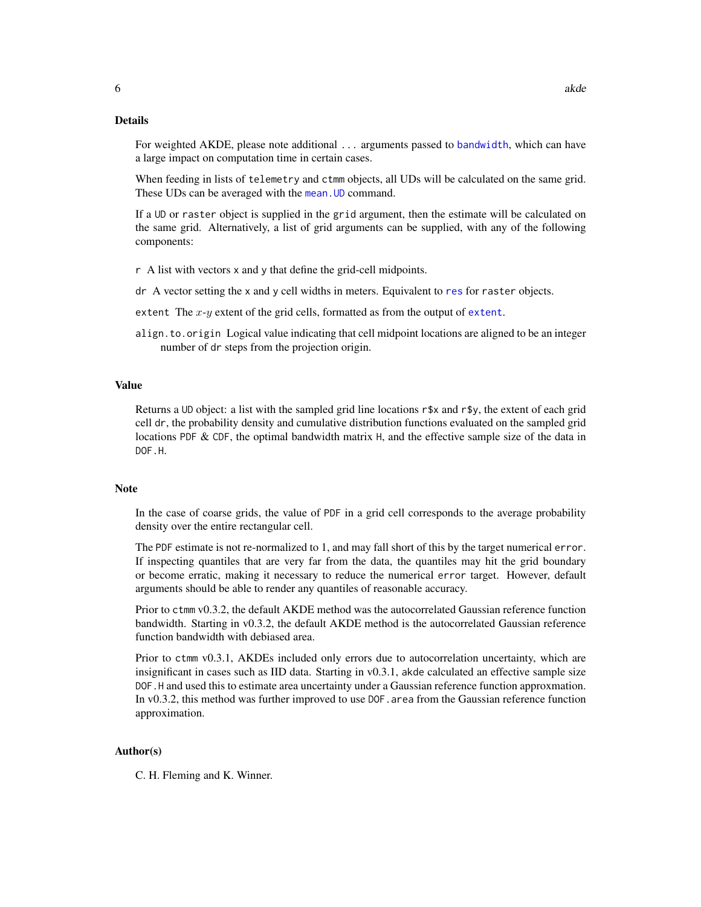For weighted AKDE, please note additional ... arguments passed to [bandwidth](#page-8-1), which can have a large impact on computation time in certain cases.

When feeding in lists of telemetry and ctmm objects, all UDs will be calculated on the same grid. These UDs can be averaged with the mean. UD command.

If a UD or raster object is supplied in the grid argument, then the estimate will be calculated on the same grid. Alternatively, a list of grid arguments can be supplied, with any of the following components:

r A list with vectors x and y that define the grid-cell midpoints.

dr A vector setting the x and y cell widths in meters. Equivalent to [res](#page-0-0) for raster objects.

[extent](#page-26-1) The  $x-y$  extent of the grid cells, formatted as from the output of extent.

align.to.origin Logical value indicating that cell midpoint locations are aligned to be an integer number of dr steps from the projection origin.

### Value

Returns a UD object: a list with the sampled grid line locations r\$x and r\$y, the extent of each grid cell dr, the probability density and cumulative distribution functions evaluated on the sampled grid locations PDF & CDF, the optimal bandwidth matrix H, and the effective sample size of the data in DOF.H.

#### **Note**

In the case of coarse grids, the value of PDF in a grid cell corresponds to the average probability density over the entire rectangular cell.

The PDF estimate is not re-normalized to 1, and may fall short of this by the target numerical error. If inspecting quantiles that are very far from the data, the quantiles may hit the grid boundary or become erratic, making it necessary to reduce the numerical error target. However, default arguments should be able to render any quantiles of reasonable accuracy.

Prior to ctmm v0.3.2, the default AKDE method was the autocorrelated Gaussian reference function bandwidth. Starting in v0.3.2, the default AKDE method is the autocorrelated Gaussian reference function bandwidth with debiased area.

Prior to ctmm v0.3.1, AKDEs included only errors due to autocorrelation uncertainty, which are insignificant in cases such as IID data. Starting in v0.3.1, akde calculated an effective sample size DOF.H and used this to estimate area uncertainty under a Gaussian reference function approxmation. In v0.3.2, this method was further improved to use DOF. area from the Gaussian reference function approximation.

### Author(s)

C. H. Fleming and K. Winner.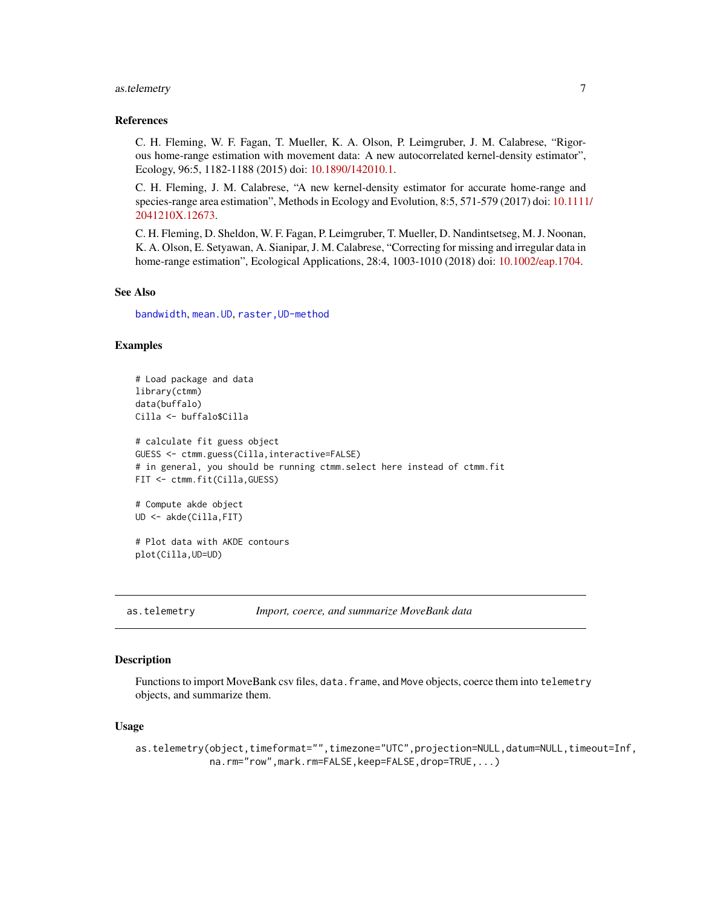### <span id="page-6-0"></span>as.telemetry 7

#### References

C. H. Fleming, W. F. Fagan, T. Mueller, K. A. Olson, P. Leimgruber, J. M. Calabrese, "Rigorous home-range estimation with movement data: A new autocorrelated kernel-density estimator", Ecology, 96:5, 1182-1188 (2015) doi: [10.1890/142010.1.](https://doi.org/10.1890/14-2010.1)

C. H. Fleming, J. M. Calabrese, "A new kernel-density estimator for accurate home-range and species-range area estimation", Methods in Ecology and Evolution, 8:5, 571-579 (2017) doi: [10.1111](https://doi.org/10.1111/2041-210X.12673)/ [2041210X.12673.](https://doi.org/10.1111/2041-210X.12673)

C. H. Fleming, D. Sheldon, W. F. Fagan, P. Leimgruber, T. Mueller, D. Nandintsetseg, M. J. Noonan, K. A. Olson, E. Setyawan, A. Sianipar, J. M. Calabrese, "Correcting for missing and irregular data in home-range estimation", Ecological Applications, 28:4, 1003-1010 (2018) doi: [10.1002/eap.1704.](https://doi.org/10.1002/eap.1704)

#### See Also

[bandwidth](#page-8-1), [mean.UD](#page-30-1), [raster,UD-method](#page-0-0)

### Examples

```
# Load package and data
library(ctmm)
data(buffalo)
Cilla <- buffalo$Cilla
# calculate fit guess object
GUESS <- ctmm.guess(Cilla,interactive=FALSE)
# in general, you should be running ctmm.select here instead of ctmm.fit
FIT <- ctmm.fit(Cilla,GUESS)
# Compute akde object
UD <- akde(Cilla,FIT)
# Plot data with AKDE contours
```

```
plot(Cilla,UD=UD)
```
<span id="page-6-1"></span>as.telemetry *Import, coerce, and summarize MoveBank data*

#### Description

Functions to import MoveBank csv files, data.frame, and Move objects, coerce them into telemetry objects, and summarize them.

#### Usage

as.telemetry(object,timeformat="",timezone="UTC",projection=NULL,datum=NULL,timeout=Inf, na.rm="row",mark.rm=FALSE,keep=FALSE,drop=TRUE,...)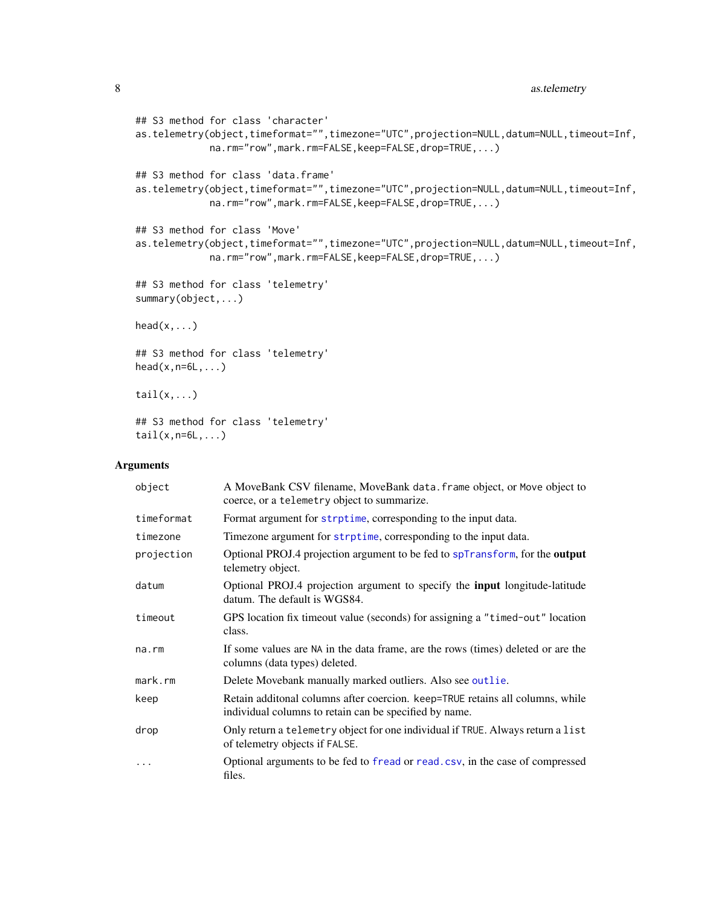```
## S3 method for class 'character'
as.telemetry(object,timeformat="",timezone="UTC",projection=NULL,datum=NULL,timeout=Inf,
             na.rm="row",mark.rm=FALSE,keep=FALSE,drop=TRUE,...)
## S3 method for class 'data.frame'
as.telemetry(object,timeformat="",timezone="UTC",projection=NULL,datum=NULL,timeout=Inf,
             na.rm="row",mark.rm=FALSE,keep=FALSE,drop=TRUE,...)
## S3 method for class 'Move'
as.telemetry(object,timeformat="",timezone="UTC",projection=NULL,datum=NULL,timeout=Inf,
             na.rm="row",mark.rm=FALSE,keep=FALSE,drop=TRUE,...)
## S3 method for class 'telemetry'
summary(object,...)
head(x, \ldots)## S3 method for class 'telemetry'
head(x, n=6L, \ldots)tail(x,...)## S3 method for class 'telemetry'
tail(x,n=6L,...)
```
### Arguments

| object      | A MoveBank CSV filename, MoveBank data. frame object, or Move object to<br>coerce, or a telemetry object to summarize.                  |
|-------------|-----------------------------------------------------------------------------------------------------------------------------------------|
| timeformat  | Format argument for strptime, corresponding to the input data.                                                                          |
| timezone    | Timezone argument for strptime, corresponding to the input data.                                                                        |
| projection  | Optional PROJ.4 projection argument to be fed to $\frac{spT}{r}$ ansform, for the output<br>telemetry object.                           |
| datum       | Optional PROJ.4 projection argument to specify the <b>input</b> longitude-latitude<br>datum. The default is WGS84.                      |
| timeout     | GPS location fix timeout value (seconds) for assigning a "timed-out" location<br>class.                                                 |
| $na$ . $rm$ | If some values are NA in the data frame, are the rows (times) deleted or are the<br>columns (data types) deleted.                       |
| mark.rm     | Delete Movebank manually marked outliers. Also see outlie.                                                                              |
| keep        | Retain additonal columns after coercion. keep=TRUE retains all columns, while<br>individual columns to retain can be specified by name. |
| drop        | Only return a telemetry object for one individual if TRUE. Always return a list<br>of telemetry objects if FALSE.                       |
| $\cdots$    | Optional arguments to be fed to fread or read.csv, in the case of compressed<br>files.                                                  |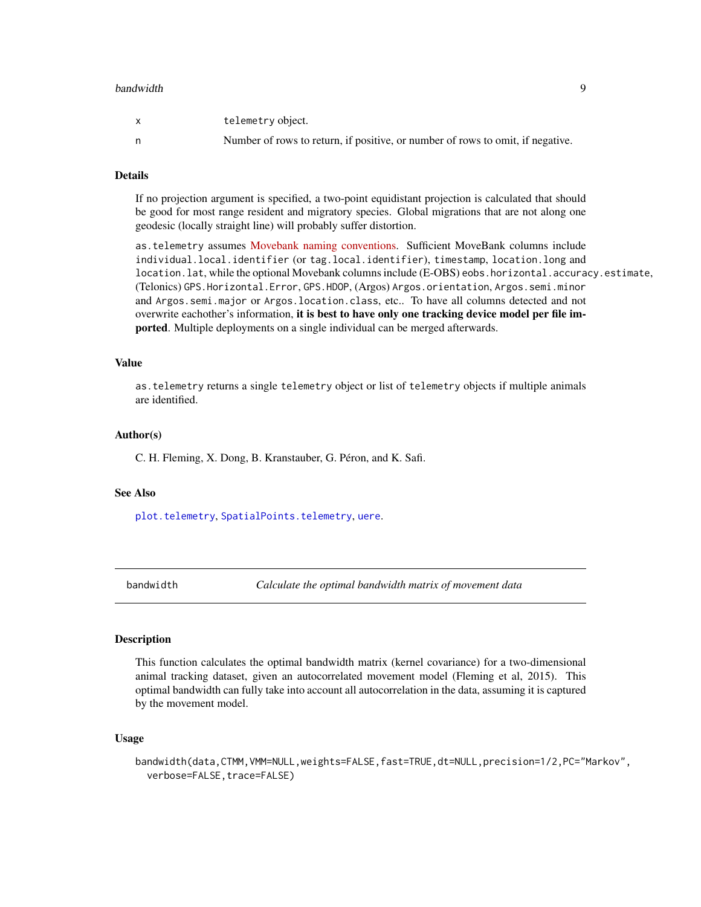### <span id="page-8-0"></span>bandwidth 90 and 200 and 200 and 200 and 200 and 200 and 200 and 200 and 200 and 200 and 200 and 200 and 200 and 200 and 200 and 200 and 200 and 200 and 200 and 200 and 200 and 200 and 200 and 200 and 200 and 200 and 200 a

|   | telemetry object.                                                              |
|---|--------------------------------------------------------------------------------|
| n | Number of rows to return, if positive, or number of rows to omit, if negative. |

## Details

If no projection argument is specified, a two-point equidistant projection is calculated that should be good for most range resident and migratory species. Global migrations that are not along one geodesic (locally straight line) will probably suffer distortion.

as.telemetry assumes [Movebank naming conventions.](https://www.movebank.org/node/2381) Sufficient MoveBank columns include individual.local.identifier (or tag.local.identifier), timestamp, location.long and location.lat, while the optional Movebank columns include (E-OBS) eobs.horizontal.accuracy.estimate, (Telonics) GPS.Horizontal.Error, GPS.HDOP, (Argos) Argos.orientation, Argos.semi.minor and Argos.semi.major or Argos.location.class, etc.. To have all columns detected and not overwrite eachother's information, it is best to have only one tracking device model per file imported. Multiple deployments on a single individual can be merged afterwards.

### Value

as.telemetry returns a single telemetry object or list of telemetry objects if multiple animals are identified.

#### Author(s)

C. H. Fleming, X. Dong, B. Kranstauber, G. Péron, and K. Safi.

#### See Also

[plot.telemetry](#page-44-1), [SpatialPoints.telemetry](#page-25-1), [uere](#page-62-1).

<span id="page-8-1"></span>

bandwidth *Calculate the optimal bandwidth matrix of movement data*

#### Description

This function calculates the optimal bandwidth matrix (kernel covariance) for a two-dimensional animal tracking dataset, given an autocorrelated movement model (Fleming et al, 2015). This optimal bandwidth can fully take into account all autocorrelation in the data, assuming it is captured by the movement model.

#### Usage

```
bandwidth(data,CTMM,VMM=NULL,weights=FALSE,fast=TRUE,dt=NULL,precision=1/2,PC="Markov",
  verbose=FALSE, trace=FALSE)
```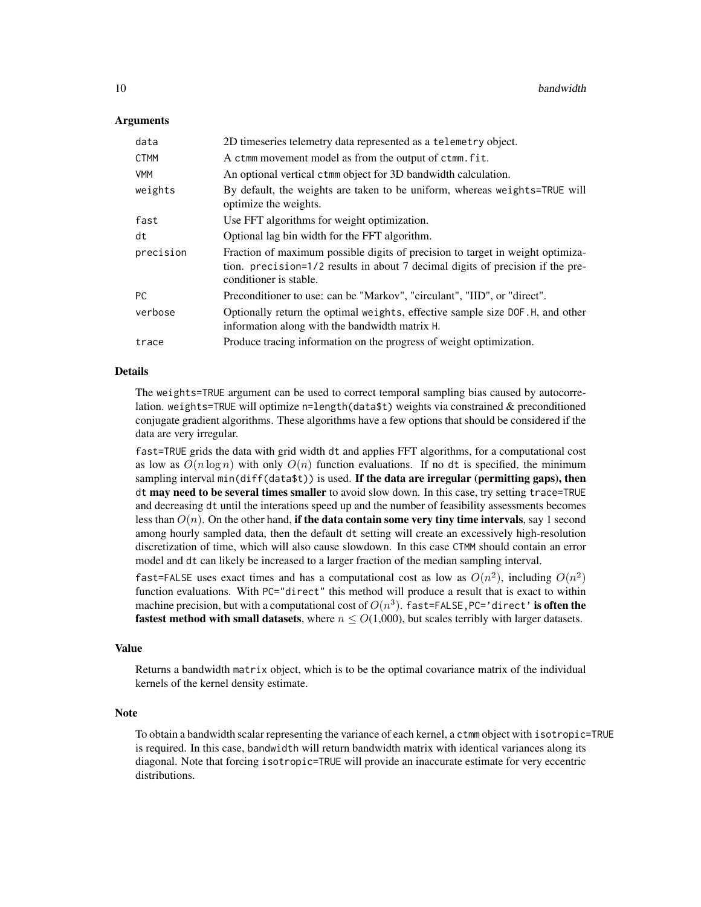#### Arguments

| data        | 2D timeseries telemetry data represented as a telemetry object.                                                                                                                            |
|-------------|--------------------------------------------------------------------------------------------------------------------------------------------------------------------------------------------|
| <b>CTMM</b> | A ctmm movement model as from the output of ctmm. fit.                                                                                                                                     |
| <b>VMM</b>  | An optional vertical ctmm object for 3D bandwidth calculation.                                                                                                                             |
| weights     | By default, the weights are taken to be uniform, whereas weights=TRUE will<br>optimize the weights.                                                                                        |
| fast        | Use FFT algorithms for weight optimization.                                                                                                                                                |
| dt          | Optional lag bin width for the FFT algorithm.                                                                                                                                              |
| precision   | Fraction of maximum possible digits of precision to target in weight optimiza-<br>tion. precision=1/2 results in about 7 decimal digits of precision if the pre-<br>conditioner is stable. |
| <b>PC</b>   | Preconditioner to use: can be "Markov", "circulant", "IID", or "direct".                                                                                                                   |
| verbose     | Optionally return the optimal weights, effective sample size DOF. H, and other<br>information along with the bandwidth matrix H.                                                           |
| trace       | Produce tracing information on the progress of weight optimization.                                                                                                                        |

#### Details

The weights=TRUE argument can be used to correct temporal sampling bias caused by autocorrelation. weights=TRUE will optimize n=length(data\$t) weights via constrained & preconditioned conjugate gradient algorithms. These algorithms have a few options that should be considered if the data are very irregular.

fast=TRUE grids the data with grid width dt and applies FFT algorithms, for a computational cost as low as  $O(n \log n)$  with only  $O(n)$  function evaluations. If no dt is specified, the minimum sampling interval min(diff(data\$t)) is used. If the data are irregular (permitting gaps), then dt may need to be several times smaller to avoid slow down. In this case, try setting trace=TRUE and decreasing dt until the interations speed up and the number of feasibility assessments becomes less than  $O(n)$ . On the other hand, if the data contain some very tiny time intervals, say 1 second among hourly sampled data, then the default dt setting will create an excessively high-resolution discretization of time, which will also cause slowdown. In this case CTMM should contain an error model and dt can likely be increased to a larger fraction of the median sampling interval.

fast=FALSE uses exact times and has a computational cost as low as  $O(n^2)$ , including  $O(n^2)$ function evaluations. With PC="direct" this method will produce a result that is exact to within machine precision, but with a computational cost of  $O(n^3)$ . <code>fast=FALSE</code> , <code>PC='direct'</code> is often the **fastest method with small datasets**, where  $n \leq O(1,000)$ , but scales terribly with larger datasets.

### Value

Returns a bandwidth matrix object, which is to be the optimal covariance matrix of the individual kernels of the kernel density estimate.

#### **Note**

To obtain a bandwidth scalar representing the variance of each kernel, a ctmm object with isotropic=TRUE is required. In this case, bandwidth will return bandwidth matrix with identical variances along its diagonal. Note that forcing isotropic=TRUE will provide an inaccurate estimate for very eccentric distributions.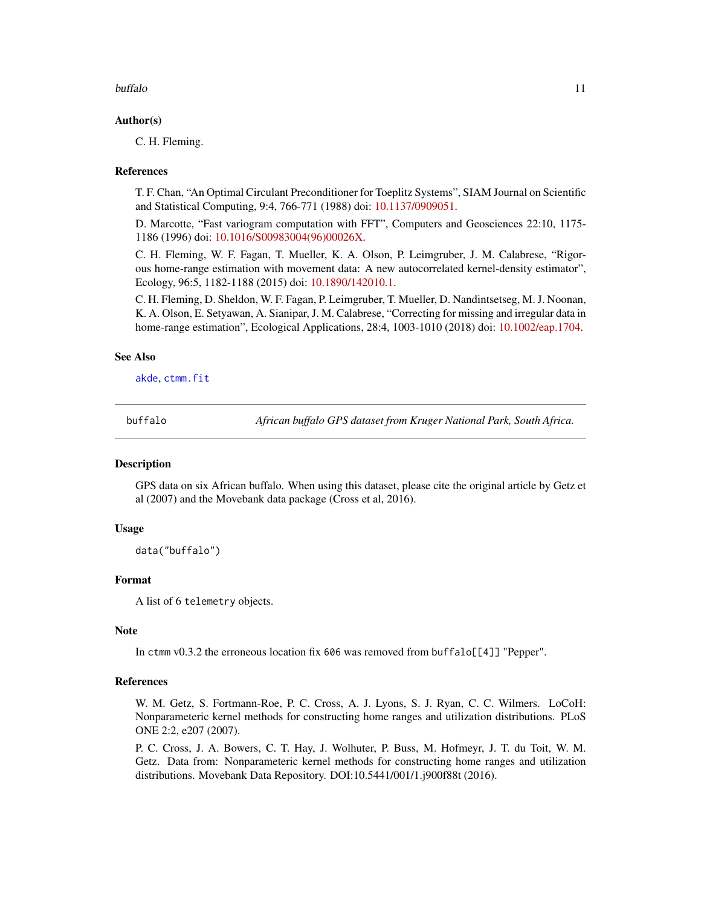#### <span id="page-10-0"></span>buffalo and the contract of the contract of the contract of the contract of the contract of the contract of the contract of the contract of the contract of the contract of the contract of the contract of the contract of th

#### Author(s)

C. H. Fleming.

#### References

T. F. Chan, "An Optimal Circulant Preconditioner for Toeplitz Systems", SIAM Journal on Scientific and Statistical Computing, 9:4, 766-771 (1988) doi: [10.1137/0909051.](https://doi.org/10.1137/0909051)

D. Marcotte, "Fast variogram computation with FFT", Computers and Geosciences 22:10, 1175- 1186 (1996) doi: [10.1016/S00983004\(96\)00026X.](https://doi.org/10.1016/S0098-3004(96)00026-X)

C. H. Fleming, W. F. Fagan, T. Mueller, K. A. Olson, P. Leimgruber, J. M. Calabrese, "Rigorous home-range estimation with movement data: A new autocorrelated kernel-density estimator", Ecology, 96:5, 1182-1188 (2015) doi: [10.1890/142010.1.](https://doi.org/10.1890/14-2010.1)

C. H. Fleming, D. Sheldon, W. F. Fagan, P. Leimgruber, T. Mueller, D. Nandintsetseg, M. J. Noonan, K. A. Olson, E. Setyawan, A. Sianipar, J. M. Calabrese, "Correcting for missing and irregular data in home-range estimation", Ecological Applications, 28:4, 1003-1010 (2018) doi: [10.1002/eap.1704.](https://doi.org/10.1002/eap.1704)

#### See Also

[akde](#page-4-1), [ctmm.fit](#page-13-1)

<span id="page-10-1"></span>buffalo *African buffalo GPS dataset from Kruger National Park, South Africa.*

#### Description

GPS data on six African buffalo. When using this dataset, please cite the original article by Getz et al (2007) and the Movebank data package (Cross et al, 2016).

#### Usage

data("buffalo")

### Format

A list of 6 telemetry objects.

### Note

In ctmm v0.3.2 the erroneous location fix 606 was removed from buffalo[[4]] "Pepper".

#### References

W. M. Getz, S. Fortmann-Roe, P. C. Cross, A. J. Lyons, S. J. Ryan, C. C. Wilmers. LoCoH: Nonparameteric kernel methods for constructing home ranges and utilization distributions. PLoS ONE 2:2, e207 (2007).

P. C. Cross, J. A. Bowers, C. T. Hay, J. Wolhuter, P. Buss, M. Hofmeyr, J. T. du Toit, W. M. Getz. Data from: Nonparameteric kernel methods for constructing home ranges and utilization distributions. Movebank Data Repository. DOI:10.5441/001/1.j900f88t (2016).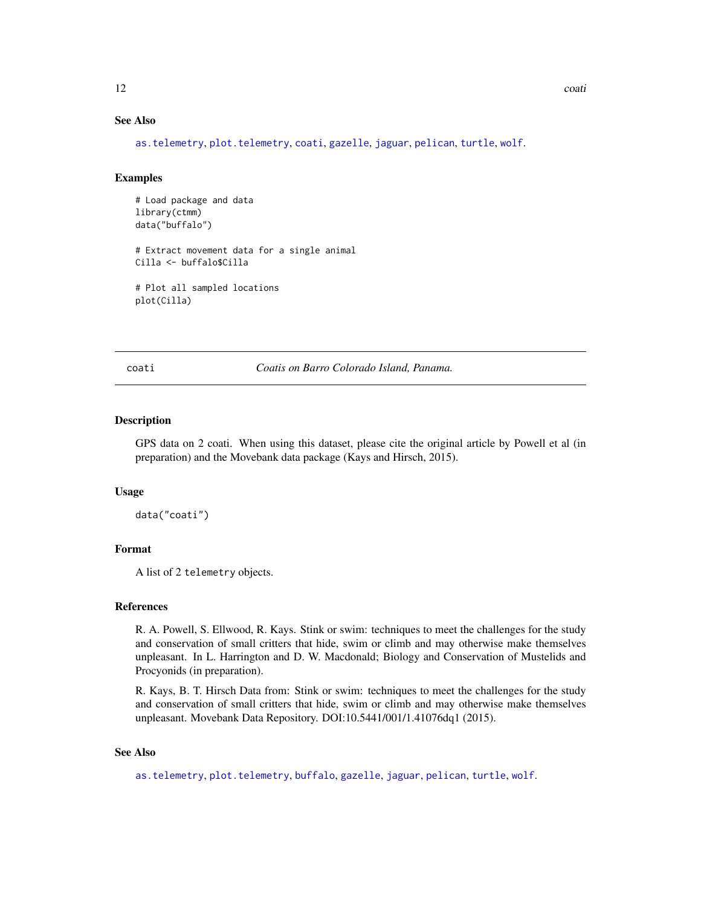### <span id="page-11-0"></span>See Also

[as.telemetry](#page-6-1), [plot.telemetry](#page-44-1), [coati](#page-11-1), [gazelle](#page-28-1), [jaguar](#page-29-1), [pelican](#page-41-1), [turtle](#page-61-1), [wolf](#page-68-1).

#### Examples

```
# Load package and data
library(ctmm)
data("buffalo")
# Extract movement data for a single animal
Cilla <- buffalo$Cilla
```
# Plot all sampled locations plot(Cilla)

<span id="page-11-1"></span>coati *Coatis on Barro Colorado Island, Panama.*

#### Description

GPS data on 2 coati. When using this dataset, please cite the original article by Powell et al (in preparation) and the Movebank data package (Kays and Hirsch, 2015).

#### Usage

data("coati")

#### Format

A list of 2 telemetry objects.

#### References

R. A. Powell, S. Ellwood, R. Kays. Stink or swim: techniques to meet the challenges for the study and conservation of small critters that hide, swim or climb and may otherwise make themselves unpleasant. In L. Harrington and D. W. Macdonald; Biology and Conservation of Mustelids and Procyonids (in preparation).

R. Kays, B. T. Hirsch Data from: Stink or swim: techniques to meet the challenges for the study and conservation of small critters that hide, swim or climb and may otherwise make themselves unpleasant. Movebank Data Repository. DOI:10.5441/001/1.41076dq1 (2015).

#### See Also

[as.telemetry](#page-6-1), [plot.telemetry](#page-44-1), [buffalo](#page-10-1), [gazelle](#page-28-1), [jaguar](#page-29-1), [pelican](#page-41-1), [turtle](#page-61-1), [wolf](#page-68-1).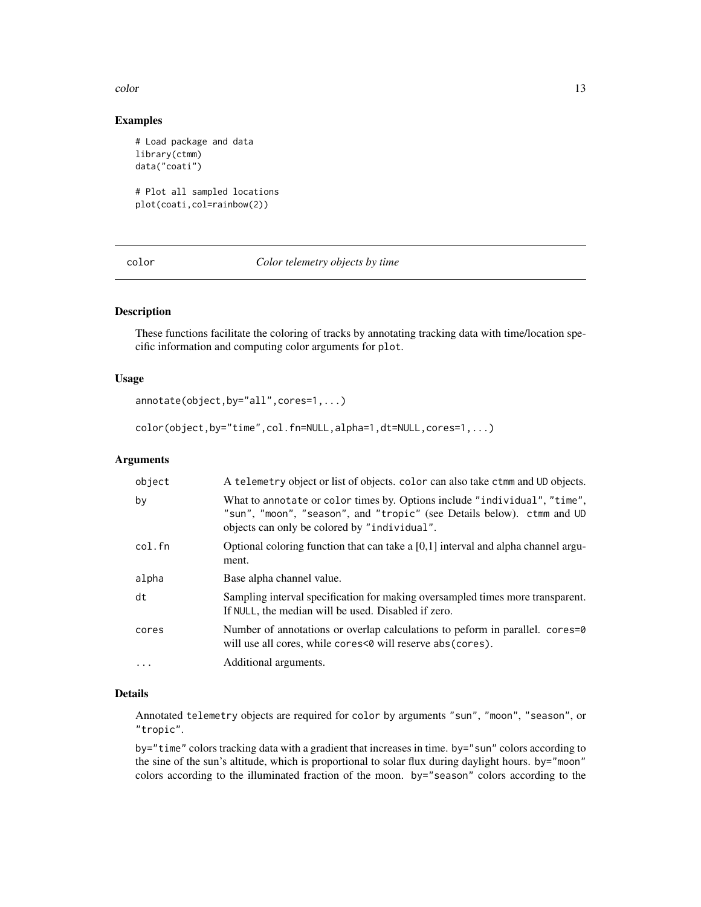<span id="page-12-0"></span>color to the color to the color of the color to the color to the color to the color to the color to the color

### Examples

```
# Load package and data
library(ctmm)
data("coati")
# Plot all sampled locations
plot(coati,col=rainbow(2))
```
color *Color telemetry objects by time*

### Description

These functions facilitate the coloring of tracks by annotating tracking data with time/location specific information and computing color arguments for plot.

### Usage

```
annotate(object,by="all",cores=1,...)
```

```
color(object,by="time",col.fn=NULL,alpha=1,dt=NULL,cores=1,...)
```
### Arguments

| object   | A telemetry object or list of objects. color can also take ctmm and UD objects.                                                                                                                     |
|----------|-----------------------------------------------------------------------------------------------------------------------------------------------------------------------------------------------------|
| by       | What to annotate or color times by. Options include "individual", "time",<br>"sun", "moon", "season", and "tropic" (see Details below). ctmm and UD<br>objects can only be colored by "individual". |
| col.fn   | Optional coloring function that can take a $[0,1]$ interval and alpha channel argu-<br>ment.                                                                                                        |
| alpha    | Base alpha channel value.                                                                                                                                                                           |
| dt       | Sampling interval specification for making oversampled times more transparent.<br>If NULL, the median will be used. Disabled if zero.                                                               |
| cores    | Number of annotations or overlap calculations to peform in parallel. $\cos=0$<br>will use all cores, while cores<0 will reserve abs(cores).                                                         |
| $\cdots$ | Additional arguments.                                                                                                                                                                               |

### Details

Annotated telemetry objects are required for color by arguments "sun", "moon", "season", or "tropic".

by="time" colors tracking data with a gradient that increases in time. by="sun" colors according to the sine of the sun's altitude, which is proportional to solar flux during daylight hours. by="moon" colors according to the illuminated fraction of the moon. by="season" colors according to the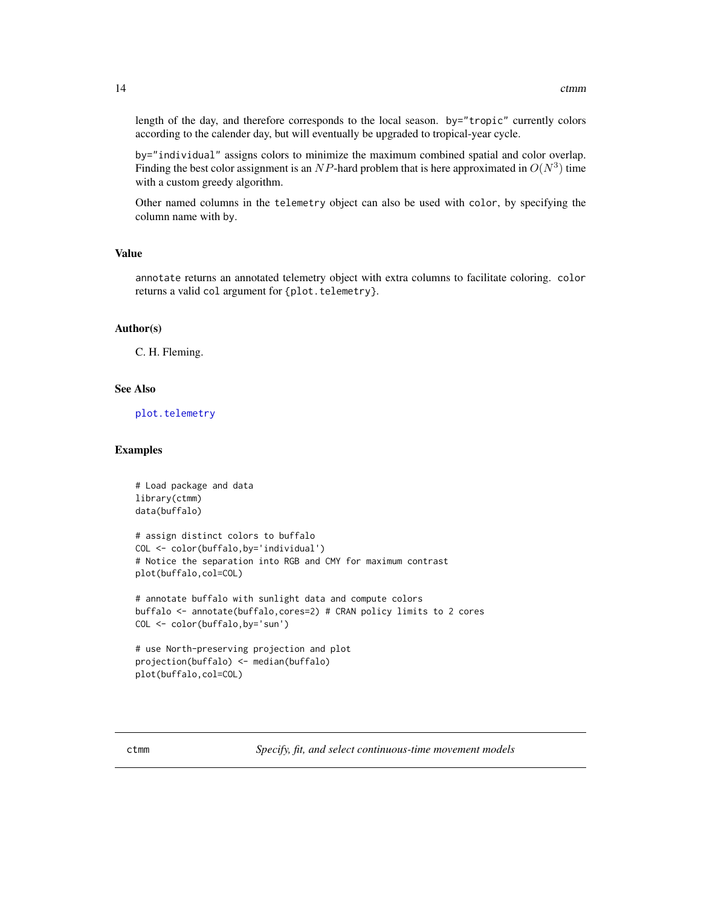<span id="page-13-0"></span>length of the day, and therefore corresponds to the local season. by="tropic" currently colors according to the calender day, but will eventually be upgraded to tropical-year cycle.

by="individual" assigns colors to minimize the maximum combined spatial and color overlap. Finding the best color assignment is an NP-hard problem that is here approximated in  $O(N^3)$  time with a custom greedy algorithm.

Other named columns in the telemetry object can also be used with color, by specifying the column name with by.

#### Value

annotate returns an annotated telemetry object with extra columns to facilitate coloring. color returns a valid col argument for {plot.telemetry}.

#### Author(s)

C. H. Fleming.

#### See Also

[plot.telemetry](#page-44-1)

plot(buffalo,col=COL)

#### Examples

```
# Load package and data
library(ctmm)
data(buffalo)
# assign distinct colors to buffalo
COL <- color(buffalo,by='individual')
# Notice the separation into RGB and CMY for maximum contrast
plot(buffalo,col=COL)
# annotate buffalo with sunlight data and compute colors
buffalo <- annotate(buffalo,cores=2) # CRAN policy limits to 2 cores
COL <- color(buffalo,by='sun')
# use North-preserving projection and plot
projection(buffalo) <- median(buffalo)
```
<span id="page-13-1"></span>

ctmm *Specify, fit, and select continuous-time movement models*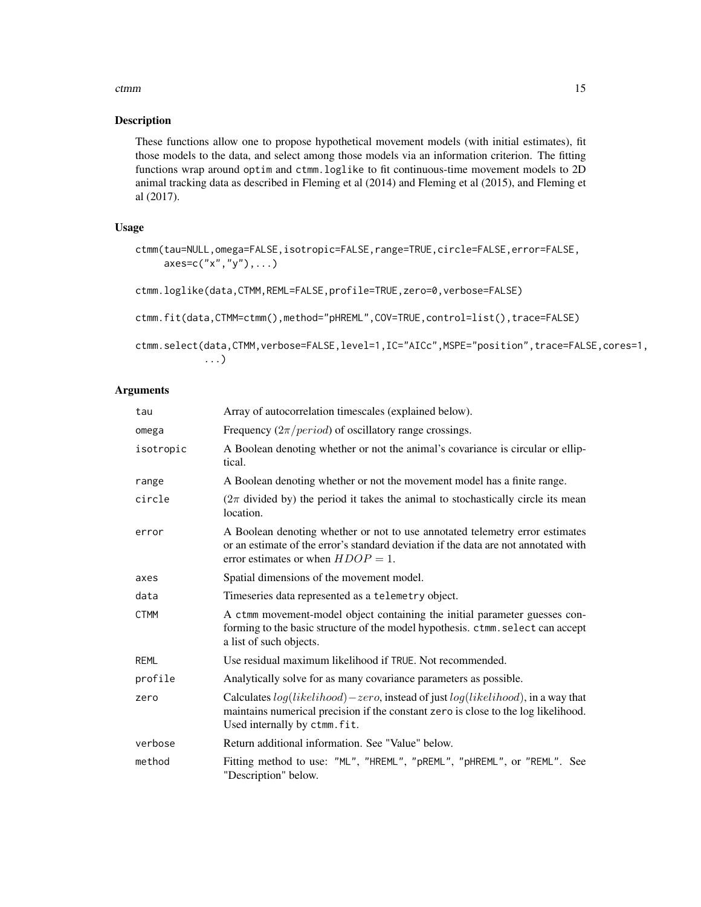#### ctmm and the contract of the contract of the contract of the contract of the contract of the contract of the contract of the contract of the contract of the contract of the contract of the contract of the contract of the c

### Description

These functions allow one to propose hypothetical movement models (with initial estimates), fit those models to the data, and select among those models via an information criterion. The fitting functions wrap around optim and ctmm.loglike to fit continuous-time movement models to 2D animal tracking data as described in Fleming et al (2014) and Fleming et al (2015), and Fleming et al (2017).

### Usage

```
ctmm(tau=NULL,omega=FALSE,isotropic=FALSE,range=TRUE,circle=FALSE,error=FALSE,
     axes=c("x","y"),...)
```
ctmm.loglike(data,CTMM,REML=FALSE,profile=TRUE,zero=0,verbose=FALSE)

```
ctmm.fit(data,CTMM=ctmm(),method="pHREML",COV=TRUE,control=list(),trace=FALSE)
```

```
ctmm.select(data,CTMM,verbose=FALSE,level=1,IC="AICc",MSPE="position",trace=FALSE,cores=1,
            ...)
```
### Arguments

| tau         | Array of autocorrelation timescales (explained below).                                                                                                                                                         |
|-------------|----------------------------------------------------------------------------------------------------------------------------------------------------------------------------------------------------------------|
| omega       | Frequency $(2\pi/period)$ of oscillatory range crossings.                                                                                                                                                      |
| isotropic   | A Boolean denoting whether or not the animal's covariance is circular or ellip-<br>tical.                                                                                                                      |
| range       | A Boolean denoting whether or not the movement model has a finite range.                                                                                                                                       |
| circle      | $(2\pi$ divided by) the period it takes the animal to stochastically circle its mean<br>location.                                                                                                              |
| error       | A Boolean denoting whether or not to use annotated telemetry error estimates<br>or an estimate of the error's standard deviation if the data are not annotated with<br>error estimates or when $HDOP = 1$ .    |
| axes        | Spatial dimensions of the movement model.                                                                                                                                                                      |
| data        | Timeseries data represented as a telemetry object.                                                                                                                                                             |
| <b>CTMM</b> | A ctmm movement-model object containing the initial parameter guesses con-<br>forming to the basic structure of the model hypothesis. ctmm. select can accept<br>a list of such objects.                       |
| <b>REML</b> | Use residual maximum likelihood if TRUE. Not recommended.                                                                                                                                                      |
| profile     | Analytically solve for as many covariance parameters as possible.                                                                                                                                              |
| zero        | Calculates $log(likelihood) - zero$ , instead of just $log(likelihood)$ , in a way that<br>maintains numerical precision if the constant zero is close to the log likelihood.<br>Used internally by ctmm. fit. |
| verbose     | Return additional information. See "Value" below.                                                                                                                                                              |
| method      | Fitting method to use: "ML", "HREML", "pREML", "pHREML", or "REML". See<br>"Description" below.                                                                                                                |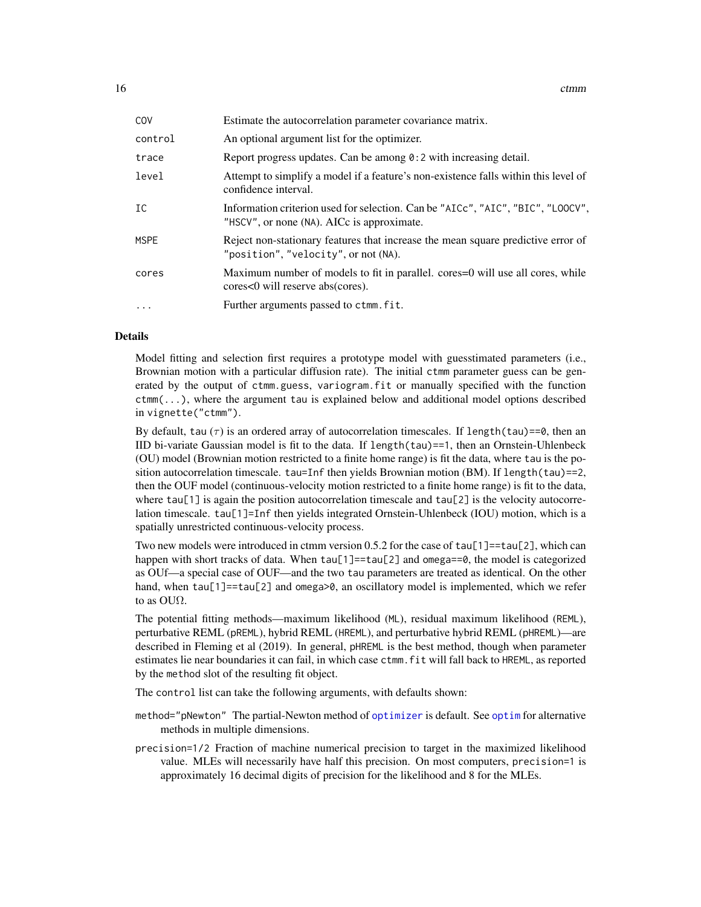| COV         | Estimate the autocorrelation parameter covariance matrix.                                                                     |
|-------------|-------------------------------------------------------------------------------------------------------------------------------|
| control     | An optional argument list for the optimizer.                                                                                  |
| trace       | Report progress updates. Can be among $\theta$ : 2 with increasing detail.                                                    |
| level       | Attempt to simplify a model if a feature's non-existence falls within this level of<br>confidence interval.                   |
| IC          | Information criterion used for selection. Can be "AICC", "AIC", "BIC", "LOOCV",<br>"HSCV", or none (NA). AICc is approximate. |
| <b>MSPE</b> | Reject non-stationary features that increase the mean square predictive error of<br>"position", "velocity", or not (NA).      |
| cores       | Maximum number of models to fit in parallel. cores=0 will use all cores, while<br>cores<0 will reserve abs(cores).            |
| $\cdot$     | Further arguments passed to ctmm. fit.                                                                                        |

#### Details

Model fitting and selection first requires a prototype model with guesstimated parameters (i.e., Brownian motion with a particular diffusion rate). The initial ctmm parameter guess can be generated by the output of ctmm.guess, variogram.fit or manually specified with the function ctmm(...), where the argument tau is explained below and additional model options described in vignette("ctmm").

By default, tau ( $\tau$ ) is an ordered array of autocorrelation timescales. If length(tau)==0, then an IID bi-variate Gaussian model is fit to the data. If length(tau)==1, then an Ornstein-Uhlenbeck (OU) model (Brownian motion restricted to a finite home range) is fit the data, where tau is the position autocorrelation timescale. tau=Inf then yields Brownian motion (BM). If length(tau)==2, then the OUF model (continuous-velocity motion restricted to a finite home range) is fit to the data, where  $tau[1]$  is again the position autocorrelation timescale and  $tau[2]$  is the velocity autocorrelation timescale. tau[1]=Inf then yields integrated Ornstein-Uhlenbeck (IOU) motion, which is a spatially unrestricted continuous-velocity process.

Two new models were introduced in ctmm version  $0.5.2$  for the case of tau[1]==tau[2], which can happen with short tracks of data. When  $tau[1]=\tau[\text{au}[2]$  and omega==0, the model is categorized as OUf—a special case of OUF—and the two tau parameters are treated as identical. On the other hand, when tau[1]==tau[2] and omega>0, an oscillatory model is implemented, which we refer to as OUΩ.

The potential fitting methods—maximum likelihood (ML), residual maximum likelihood (REML), perturbative REML (pREML), hybrid REML (HREML), and perturbative hybrid REML (pHREML)—are described in Fleming et al (2019). In general, pHREML is the best method, though when parameter estimates lie near boundaries it can fail, in which case ctmm.fit will fall back to HREML, as reported by the method slot of the resulting fit object.

The control list can take the following arguments, with defaults shown:

- method="pNewton" The partial-Newton method of [optimizer](#page-36-1) is default. See [optim](#page-0-0) for alternative methods in multiple dimensions.
- precision=1/2 Fraction of machine numerical precision to target in the maximized likelihood value. MLEs will necessarily have half this precision. On most computers, precision=1 is approximately 16 decimal digits of precision for the likelihood and 8 for the MLEs.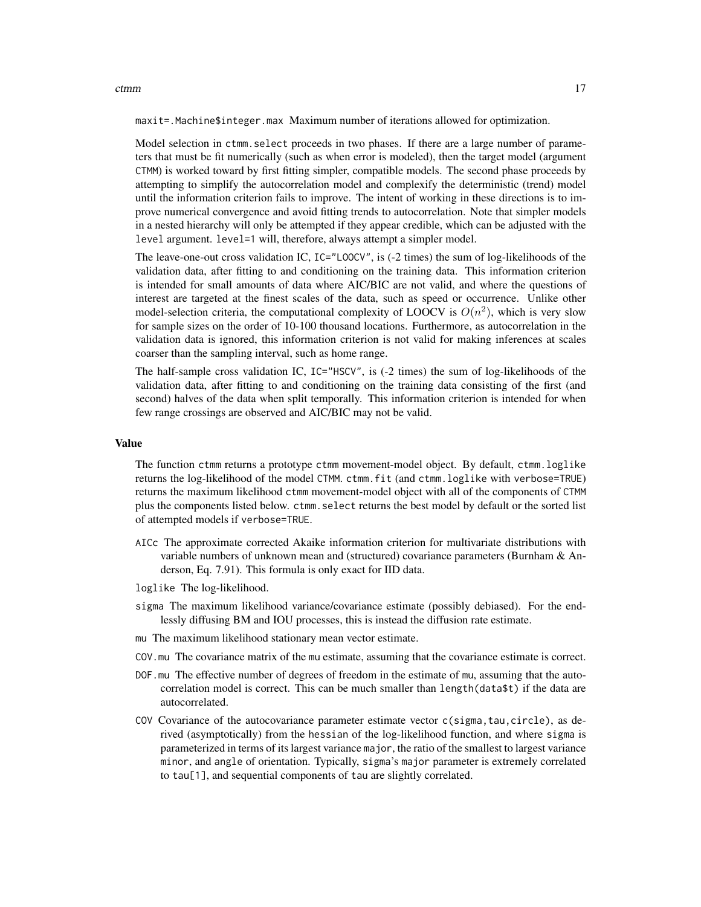ctmm and the contract of the contract of the contract of the contract of the contract of the contract of the contract of the contract of the contract of the contract of the contract of the contract of the contract of the c

maxit=.Machine\$integer.max Maximum number of iterations allowed for optimization.

Model selection in ctmm. select proceeds in two phases. If there are a large number of parameters that must be fit numerically (such as when error is modeled), then the target model (argument CTMM) is worked toward by first fitting simpler, compatible models. The second phase proceeds by attempting to simplify the autocorrelation model and complexify the deterministic (trend) model until the information criterion fails to improve. The intent of working in these directions is to improve numerical convergence and avoid fitting trends to autocorrelation. Note that simpler models in a nested hierarchy will only be attempted if they appear credible, which can be adjusted with the level argument. level=1 will, therefore, always attempt a simpler model.

The leave-one-out cross validation IC, IC="LOOCV", is (-2 times) the sum of log-likelihoods of the validation data, after fitting to and conditioning on the training data. This information criterion is intended for small amounts of data where AIC/BIC are not valid, and where the questions of interest are targeted at the finest scales of the data, such as speed or occurrence. Unlike other model-selection criteria, the computational complexity of LOOCV is  $O(n^2)$ , which is very slow for sample sizes on the order of 10-100 thousand locations. Furthermore, as autocorrelation in the validation data is ignored, this information criterion is not valid for making inferences at scales coarser than the sampling interval, such as home range.

The half-sample cross validation IC, IC="HSCV", is (-2 times) the sum of log-likelihoods of the validation data, after fitting to and conditioning on the training data consisting of the first (and second) halves of the data when split temporally. This information criterion is intended for when few range crossings are observed and AIC/BIC may not be valid.

### Value

The function ctmm returns a prototype ctmm movement-model object. By default, ctmm.loglike returns the log-likelihood of the model CTMM. ctmm.fit (and ctmm.loglike with verbose=TRUE) returns the maximum likelihood ctmm movement-model object with all of the components of CTMM plus the components listed below. ctmm. select returns the best model by default or the sorted list of attempted models if verbose=TRUE.

- AICc The approximate corrected Akaike information criterion for multivariate distributions with variable numbers of unknown mean and (structured) covariance parameters (Burnham & Anderson, Eq. 7.91). This formula is only exact for IID data.
- loglike The log-likelihood.
- sigma The maximum likelihood variance/covariance estimate (possibly debiased). For the endlessly diffusing BM and IOU processes, this is instead the diffusion rate estimate.
- mu The maximum likelihood stationary mean vector estimate.
- COV.mu The covariance matrix of the mu estimate, assuming that the covariance estimate is correct.
- DOF.mu The effective number of degrees of freedom in the estimate of mu, assuming that the autocorrelation model is correct. This can be much smaller than length(data\$t) if the data are autocorrelated.
- COV Covariance of the autocovariance parameter estimate vector c(sigma,tau,circle), as derived (asymptotically) from the hessian of the log-likelihood function, and where sigma is parameterized in terms of its largest variance major, the ratio of the smallest to largest variance minor, and angle of orientation. Typically, sigma's major parameter is extremely correlated to tau[1], and sequential components of tau are slightly correlated.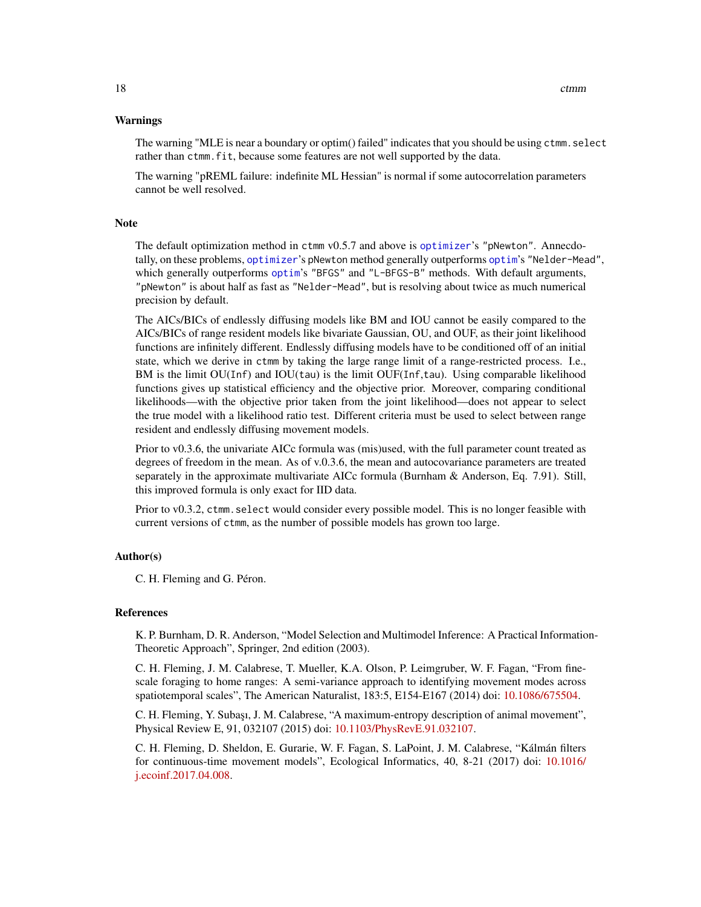#### Warnings

The warning "MLE is near a boundary or optim() failed" indicates that you should be using ctmm. select rather than ctmm. fit, because some features are not well supported by the data.

The warning "pREML failure: indefinite ML Hessian" is normal if some autocorrelation parameters cannot be well resolved.

#### Note

The default optimization method in ctmm v0.5.7 and above is [optimizer](#page-36-1)'s "pNewton". Annecdotally, on these problems, [optimizer](#page-36-1)'s pNewton method generally outperforms [optim](#page-0-0)'s "Nelder-Mead", which generally outperforms [optim](#page-0-0)'s "BFGS" and "L-BFGS-B" methods. With default arguments, "pNewton" is about half as fast as "Nelder-Mead", but is resolving about twice as much numerical precision by default.

The AICs/BICs of endlessly diffusing models like BM and IOU cannot be easily compared to the AICs/BICs of range resident models like bivariate Gaussian, OU, and OUF, as their joint likelihood functions are infinitely different. Endlessly diffusing models have to be conditioned off of an initial state, which we derive in ctmm by taking the large range limit of a range-restricted process. I.e., BM is the limit  $OU(Inf)$  and  $IOU(tau)$  is the limit  $OUF(Inf, tau)$ . Using comparable likelihood functions gives up statistical efficiency and the objective prior. Moreover, comparing conditional likelihoods—with the objective prior taken from the joint likelihood—does not appear to select the true model with a likelihood ratio test. Different criteria must be used to select between range resident and endlessly diffusing movement models.

Prior to v0.3.6, the univariate AICc formula was (mis)used, with the full parameter count treated as degrees of freedom in the mean. As of v.0.3.6, the mean and autocovariance parameters are treated separately in the approximate multivariate AICc formula (Burnham & Anderson, Eq. 7.91). Still, this improved formula is only exact for IID data.

Prior to v0.3.2, ctmm. select would consider every possible model. This is no longer feasible with current versions of ctmm, as the number of possible models has grown too large.

#### Author(s)

C. H. Fleming and G. Péron.

### References

K. P. Burnham, D. R. Anderson, "Model Selection and Multimodel Inference: A Practical Information-Theoretic Approach", Springer, 2nd edition (2003).

C. H. Fleming, J. M. Calabrese, T. Mueller, K.A. Olson, P. Leimgruber, W. F. Fagan, "From finescale foraging to home ranges: A semi-variance approach to identifying movement modes across spatiotemporal scales", The American Naturalist, 183:5, E154-E167 (2014) doi: [10.1086/675504.](https://doi.org/10.1086/675504)

C. H. Fleming, Y. Subaşı, J. M. Calabrese, "A maximum-entropy description of animal movement", Physical Review E, 91, 032107 (2015) doi: [10.1103/PhysRevE.91.032107.](https://doi.org/10.1103/PhysRevE.91.032107)

C. H. Fleming, D. Sheldon, E. Gurarie, W. F. Fagan, S. LaPoint, J. M. Calabrese, "Kálmán filters for continuous-time movement models", Ecological Informatics, 40, 8-21 (2017) doi: [10.1016/](https://doi.org/10.1016/j.ecoinf.2017.04.008) [j.ecoinf.2017.04.008.](https://doi.org/10.1016/j.ecoinf.2017.04.008)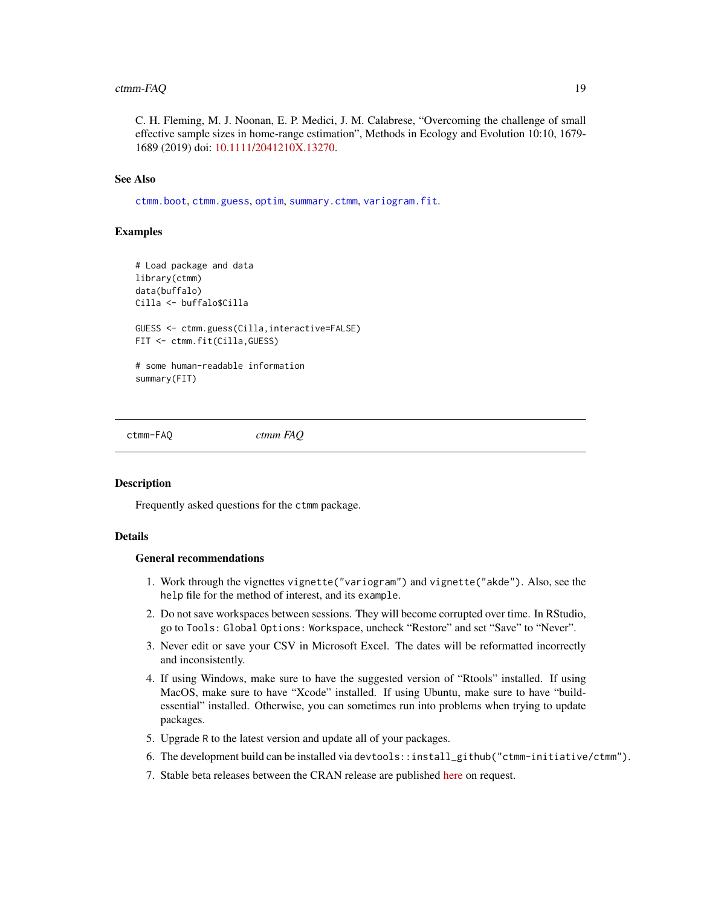#### <span id="page-18-0"></span>ctmm-FAQ and the contract of the contract of the contract of the contract of the contract of the contract of the contract of the contract of the contract of the contract of the contract of the contract of the contract of t

C. H. Fleming, M. J. Noonan, E. P. Medici, J. M. Calabrese, "Overcoming the challenge of small effective sample sizes in home-range estimation", Methods in Ecology and Evolution 10:10, 1679- 1689 (2019) doi: [10.1111/2041210X.13270.](https://doi.org/10.1111/2041-210X.13270)

### See Also

[ctmm.boot](#page-20-1), [ctmm.guess](#page-67-1), [optim](#page-0-0), [summary.ctmm](#page-58-1), [variogram.fit](#page-67-2).

### Examples

```
# Load package and data
library(ctmm)
data(buffalo)
Cilla <- buffalo$Cilla
GUESS <- ctmm.guess(Cilla,interactive=FALSE)
FIT <- ctmm.fit(Cilla,GUESS)
# some human-readable information
summary(FIT)
```
<span id="page-18-1"></span>

ctmm-FAQ *ctmm FAQ*

#### Description

Frequently asked questions for the ctmm package.

### Details

#### General recommendations

- 1. Work through the vignettes vignette("variogram") and vignette("akde"). Also, see the help file for the method of interest, and its example.
- 2. Do not save workspaces between sessions. They will become corrupted over time. In RStudio, go to Tools: Global Options: Workspace, uncheck "Restore" and set "Save" to "Never".
- 3. Never edit or save your CSV in Microsoft Excel. The dates will be reformatted incorrectly and inconsistently.
- 4. If using Windows, make sure to have the suggested version of "Rtools" installed. If using MacOS, make sure to have "Xcode" installed. If using Ubuntu, make sure to have "buildessential" installed. Otherwise, you can sometimes run into problems when trying to update packages.
- 5. Upgrade R to the latest version and update all of your packages.
- 6. The development build can be installed via devtools::install\_github("ctmm-initiative/ctmm").
- 7. Stable beta releases between the CRAN release are published [here](http://www2.physics.umd.edu/~hfleming/) on request.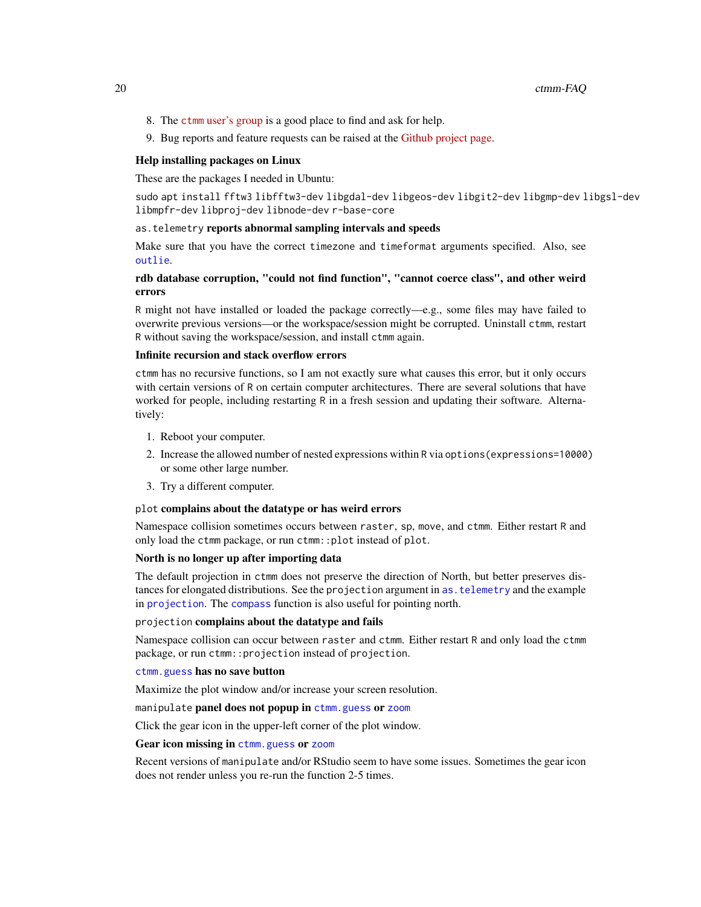- 8. The ctmm [user's group](https://groups.google.com/g/ctmm-user) is a good place to find and ask for help.
- 9. Bug reports and feature requests can be raised at the [Github project page.](https://github.com/ctmm-initiative/ctmm)

#### Help installing packages on Linux

These are the packages I needed in Ubuntu:

sudo apt install fftw3 libfftw3-dev libgdal-dev libgeos-dev libgit2-dev libgmp-dev libgsl-dev libmpfr-dev libproj-dev libnode-dev r-base-core

#### as.telemetry reports abnormal sampling intervals and speeds

Make sure that you have the correct timezone and timeformat arguments specified. Also, see [outlie](#page-38-1).

### rdb database corruption, "could not find function", "cannot coerce class", and other weird errors

R might not have installed or loaded the package correctly—e.g., some files may have failed to overwrite previous versions—or the workspace/session might be corrupted. Uninstall ctmm, restart R without saving the workspace/session, and install ctmm again.

#### Infinite recursion and stack overflow errors

ctmm has no recursive functions, so I am not exactly sure what causes this error, but it only occurs with certain versions of R on certain computer architectures. There are several solutions that have worked for people, including restarting R in a fresh session and updating their software. Alternatively:

- 1. Reboot your computer.
- 2. Increase the allowed number of nested expressions within R via options(expressions=10000) or some other large number.
- 3. Try a different computer.

#### plot complains about the datatype or has weird errors

Namespace collision sometimes occurs between raster, sp, move, and ctmm. Either restart R and only load the ctmm package, or run ctmm::plot instead of plot.

#### North is no longer up after importing data

The default projection in ctmm does not preserve the direction of North, but better preserves distances for elongated distributions. See the projection argument in [as.telemetry](#page-6-1) and the example in [projection](#page-48-1). The [compass](#page-48-2) function is also useful for pointing north.

#### projection complains about the datatype and fails

Namespace collision can occur between raster and ctmm. Either restart R and only load the ctmm package, or run ctmm::projection instead of projection.

#### [ctmm.guess](#page-67-1) has no save button

Maximize the plot window and/or increase your screen resolution.

#### manipulate panel does not popup in [ctmm.guess](#page-67-1) or [zoom](#page-0-0)

Click the gear icon in the upper-left corner of the plot window.

#### Gear icon missing in [ctmm.guess](#page-67-1) or [zoom](#page-0-0)

Recent versions of manipulate and/or RStudio seem to have some issues. Sometimes the gear icon does not render unless you re-run the function 2-5 times.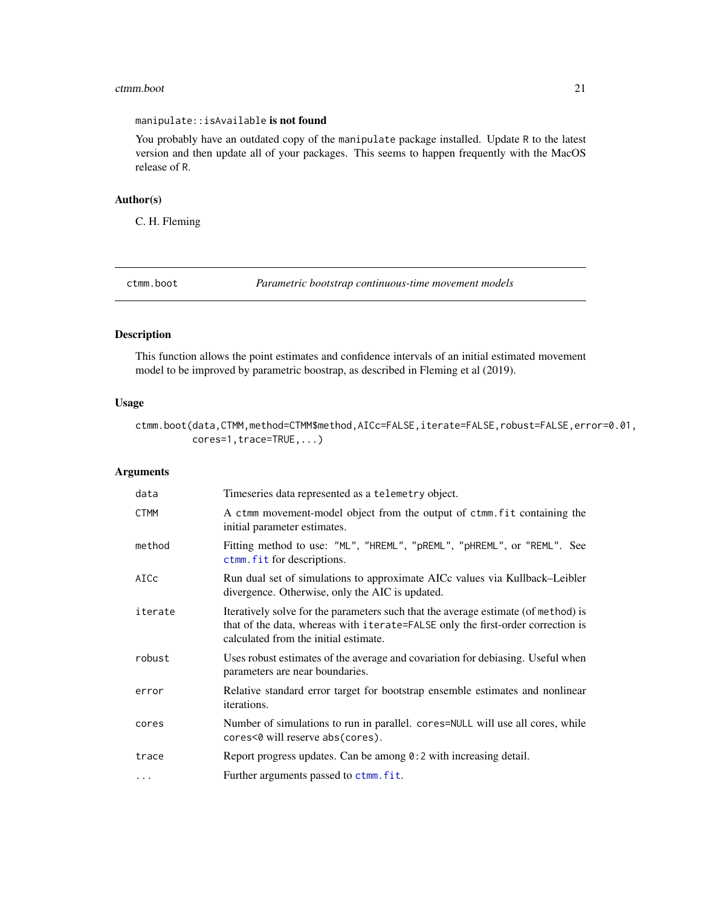#### <span id="page-20-0"></span>ctmm.boot 21

manipulate::isAvailable is not found

You probably have an outdated copy of the manipulate package installed. Update R to the latest version and then update all of your packages. This seems to happen frequently with the MacOS release of R.

#### Author(s)

C. H. Fleming

<span id="page-20-1"></span>ctmm.boot *Parametric bootstrap continuous-time movement models*

## Description

This function allows the point estimates and confidence intervals of an initial estimated movement model to be improved by parametric boostrap, as described in Fleming et al (2019).

### Usage

```
ctmm.boot(data,CTMM,method=CTMM$method,AICc=FALSE,iterate=FALSE,robust=FALSE,error=0.01,
         cores=1,trace=TRUE,...)
```
### Arguments

| data        | Timeseries data represented as a telemetry object.                                                                                                                                                             |
|-------------|----------------------------------------------------------------------------------------------------------------------------------------------------------------------------------------------------------------|
| <b>CTMM</b> | A ctmm movement-model object from the output of ctmm. fit containing the<br>initial parameter estimates.                                                                                                       |
| method      | Fitting method to use: "ML", "HREML", "pREML", "pHREML", or "REML". See<br>ctmm. fit for descriptions.                                                                                                         |
| AICc        | Run dual set of simulations to approximate AICc values via Kullback–Leibler<br>divergence. Otherwise, only the AIC is updated.                                                                                 |
| iterate     | Iteratively solve for the parameters such that the average estimate (of method) is<br>that of the data, whereas with iterate=FALSE only the first-order correction is<br>calculated from the initial estimate. |
| robust      | Uses robust estimates of the average and covariation for debiasing. Useful when<br>parameters are near boundaries.                                                                                             |
| error       | Relative standard error target for bootstrap ensemble estimates and nonlinear<br>iterations.                                                                                                                   |
| cores       | Number of simulations to run in parallel. cores=NULL will use all cores, while<br>cores<0 will reserve abs(cores).                                                                                             |
| trace       | Report progress updates. Can be among $\theta$ : 2 with increasing detail.                                                                                                                                     |
| $\ddotsc$   | Further arguments passed to ctmm. fit.                                                                                                                                                                         |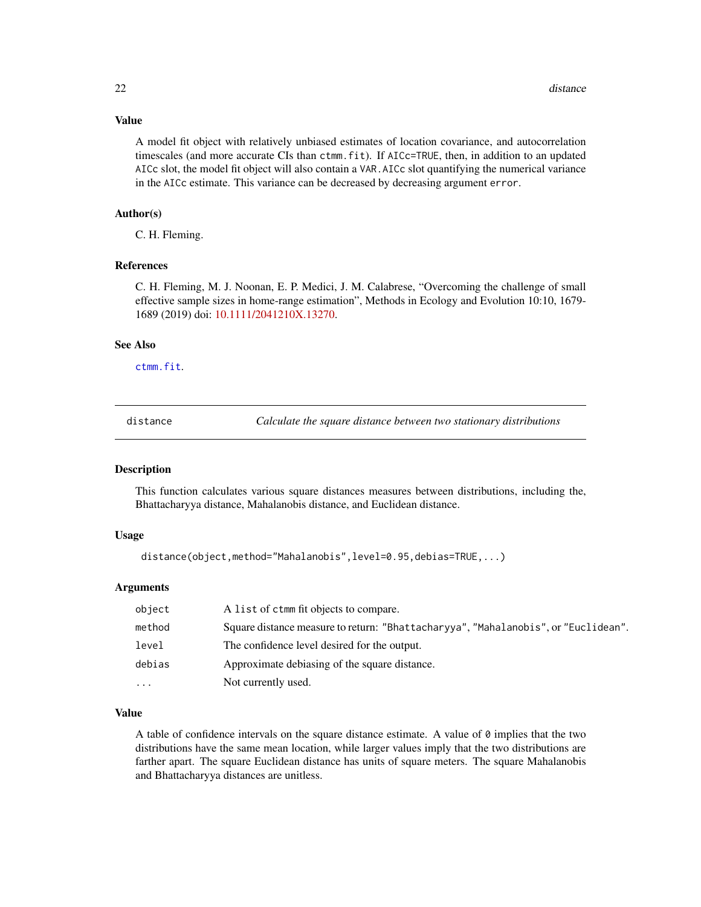### <span id="page-21-0"></span>Value

A model fit object with relatively unbiased estimates of location covariance, and autocorrelation timescales (and more accurate CIs than ctmm.fit). If AICc=TRUE, then, in addition to an updated AICc slot, the model fit object will also contain a VAR.AICc slot quantifying the numerical variance in the AICc estimate. This variance can be decreased by decreasing argument error.

### Author(s)

C. H. Fleming.

#### References

C. H. Fleming, M. J. Noonan, E. P. Medici, J. M. Calabrese, "Overcoming the challenge of small effective sample sizes in home-range estimation", Methods in Ecology and Evolution 10:10, 1679- 1689 (2019) doi: [10.1111/2041210X.13270.](https://doi.org/10.1111/2041-210X.13270)

#### See Also

[ctmm.fit](#page-13-1).

distance *Calculate the square distance between two stationary distributions*

#### Description

This function calculates various square distances measures between distributions, including the, Bhattacharyya distance, Mahalanobis distance, and Euclidean distance.

### Usage

```
distance(object,method="Mahalanobis",level=0.95,debias=TRUE,...)
```
### **Arguments**

| object   | A list of ctmm fit objects to compare.                                             |
|----------|------------------------------------------------------------------------------------|
| method   | Square distance measure to return: "Bhattacharyya", "Mahalanobis", or "Euclidean". |
| level    | The confidence level desired for the output.                                       |
| debias   | Approximate debiasing of the square distance.                                      |
| $\cdots$ | Not currently used.                                                                |

### Value

A table of confidence intervals on the square distance estimate. A value of  $\theta$  implies that the two distributions have the same mean location, while larger values imply that the two distributions are farther apart. The square Euclidean distance has units of square meters. The square Mahalanobis and Bhattacharyya distances are unitless.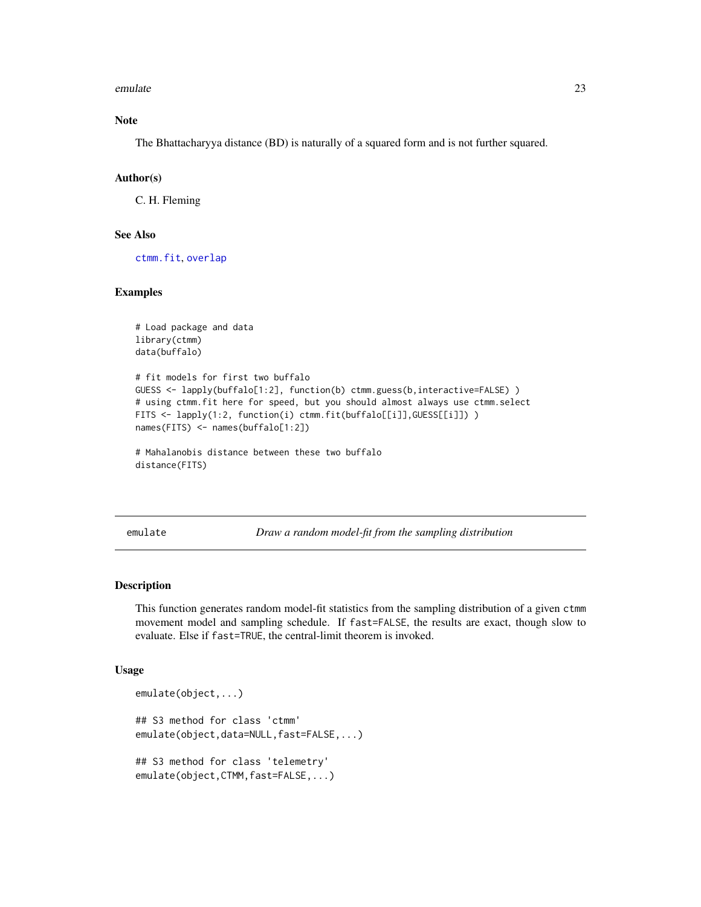#### <span id="page-22-0"></span>emulate 23

### Note

The Bhattacharyya distance (BD) is naturally of a squared form and is not further squared.

#### Author(s)

C. H. Fleming

### See Also

[ctmm.fit](#page-13-1), [overlap](#page-39-1)

#### Examples

```
# Load package and data
library(ctmm)
data(buffalo)
# fit models for first two buffalo
GUESS <- lapply(buffalo[1:2], function(b) ctmm.guess(b,interactive=FALSE) )
# using ctmm.fit here for speed, but you should almost always use ctmm.select
FITS <- lapply(1:2, function(i) ctmm.fit(buffalo[[i]],GUESS[[i]]))
names(FITS) <- names(buffalo[1:2])
# Mahalanobis distance between these two buffalo
```
distance(FITS)

emulate *Draw a random model-fit from the sampling distribution*

### Description

This function generates random model-fit statistics from the sampling distribution of a given ctmm movement model and sampling schedule. If fast=FALSE, the results are exact, though slow to evaluate. Else if fast=TRUE, the central-limit theorem is invoked.

#### Usage

```
emulate(object,...)
## S3 method for class 'ctmm'
emulate(object,data=NULL,fast=FALSE,...)
## S3 method for class 'telemetry'
emulate(object,CTMM,fast=FALSE,...)
```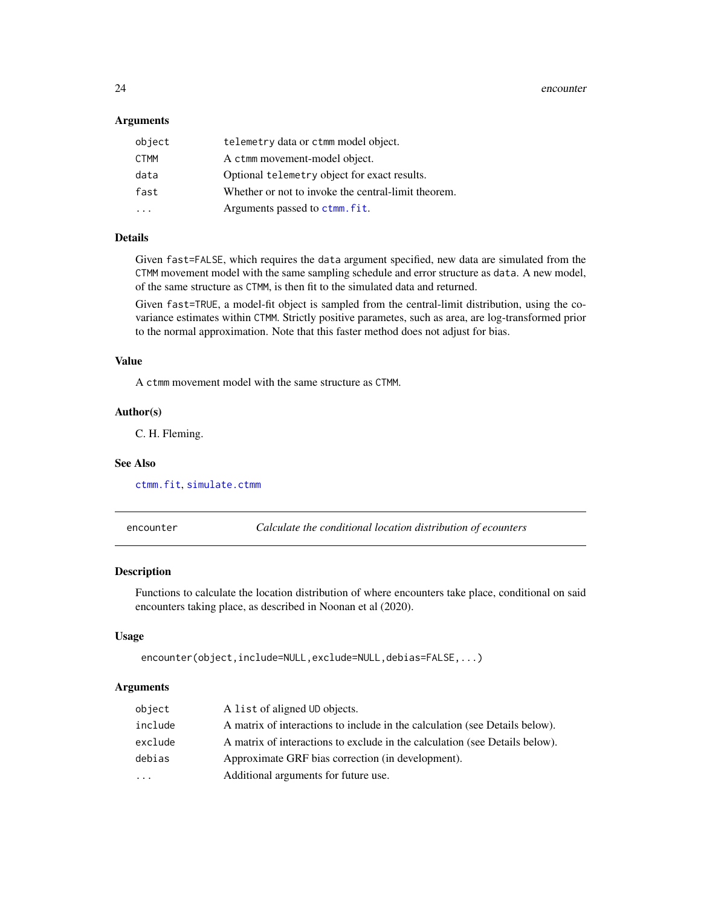<span id="page-23-0"></span>24 encounter and the set of the set of the set of the set of the set of the set of the set of the set of the set of the set of the set of the set of the set of the set of the set of the set of the set of the set of the set

#### **Arguments**

| object      | telemetry data or ctmm model object.                |
|-------------|-----------------------------------------------------|
| <b>CTMM</b> | A ctmm movement-model object.                       |
| data        | Optional telemetry object for exact results.        |
| fast        | Whether or not to invoke the central-limit theorem. |
|             | Arguments passed to ctmm. fit.                      |

### Details

Given fast=FALSE, which requires the data argument specified, new data are simulated from the CTMM movement model with the same sampling schedule and error structure as data. A new model, of the same structure as CTMM, is then fit to the simulated data and returned.

Given fast=TRUE, a model-fit object is sampled from the central-limit distribution, using the covariance estimates within CTMM. Strictly positive parametes, such as area, are log-transformed prior to the normal approximation. Note that this faster method does not adjust for bias.

### Value

A ctmm movement model with the same structure as CTMM.

#### Author(s)

C. H. Fleming.

### See Also

[ctmm.fit](#page-13-1), [simulate.ctmm](#page-53-1)

encounter *Calculate the conditional location distribution of ecounters*

### Description

Functions to calculate the location distribution of where encounters take place, conditional on said encounters taking place, as described in Noonan et al (2020).

### Usage

```
encounter(object,include=NULL,exclude=NULL,debias=FALSE,...)
```
### Arguments

| object                  | A list of aligned UD objects.                                               |
|-------------------------|-----------------------------------------------------------------------------|
| include                 | A matrix of interactions to include in the calculation (see Details below). |
| exclude                 | A matrix of interactions to exclude in the calculation (see Details below). |
| debias                  | Approximate GRF bias correction (in development).                           |
| $\cdot$ $\cdot$ $\cdot$ | Additional arguments for future use.                                        |
|                         |                                                                             |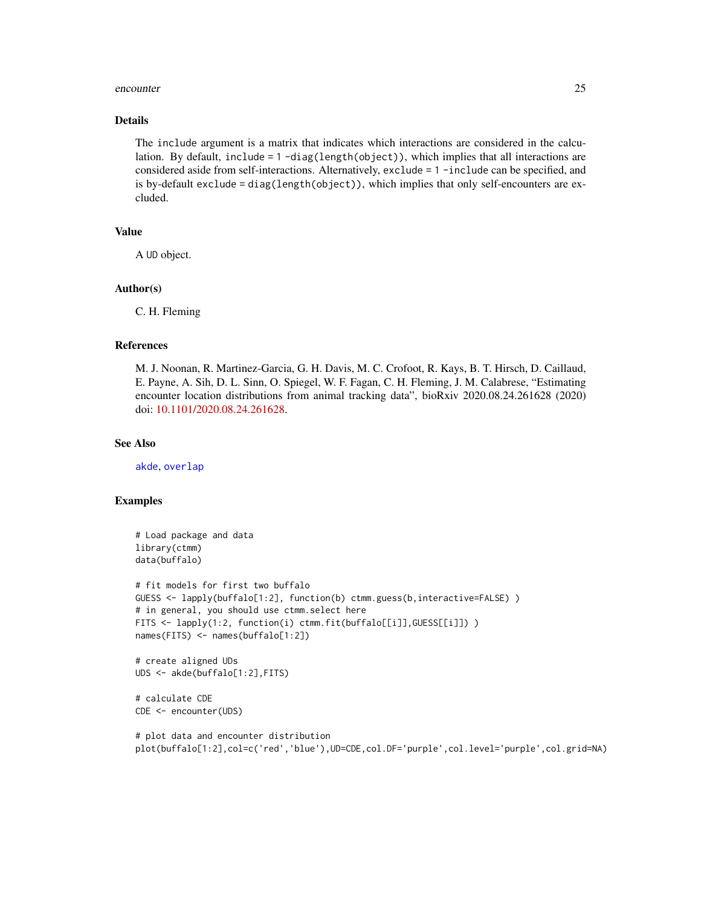#### encounter 25

### Details

The include argument is a matrix that indicates which interactions are considered in the calculation. By default, include = 1 -diag(length(object)), which implies that all interactions are considered aside from self-interactions. Alternatively, exclude = 1 -include can be specified, and is by-default exclude = diag(length(object)), which implies that only self-encounters are excluded.

### Value

A UD object.

### Author(s)

C. H. Fleming

### References

M. J. Noonan, R. Martinez-Garcia, G. H. Davis, M. C. Crofoot, R. Kays, B. T. Hirsch, D. Caillaud, E. Payne, A. Sih, D. L. Sinn, O. Spiegel, W. F. Fagan, C. H. Fleming, J. M. Calabrese, "Estimating encounter location distributions from animal tracking data", bioRxiv 2020.08.24.261628 (2020) doi: [10.1101/2020.08.24.261628.](https://doi.org/10.1101/2020.08.24.261628)

#### See Also

[akde](#page-4-1), [overlap](#page-39-1)

#### Examples

```
# Load package and data
library(ctmm)
data(buffalo)
# fit models for first two buffalo
GUESS <- lapply(buffalo[1:2], function(b) ctmm.guess(b,interactive=FALSE))
# in general, you should use ctmm.select here
FITS <- lapply(1:2, function(i) ctmm.fit(buffalo[[i]],GUESS[[i]]) )
names(FITS) <- names(buffalo[1:2])
# create aligned UDs
UDS <- akde(buffalo[1:2],FITS)
```

```
# calculate CDE
CDE <- encounter(UDS)
```

```
# plot data and encounter distribution
plot(buffalo[1:2],col=c('red','blue'),UD=CDE,col.DF='purple',col.level='purple',col.grid=NA)
```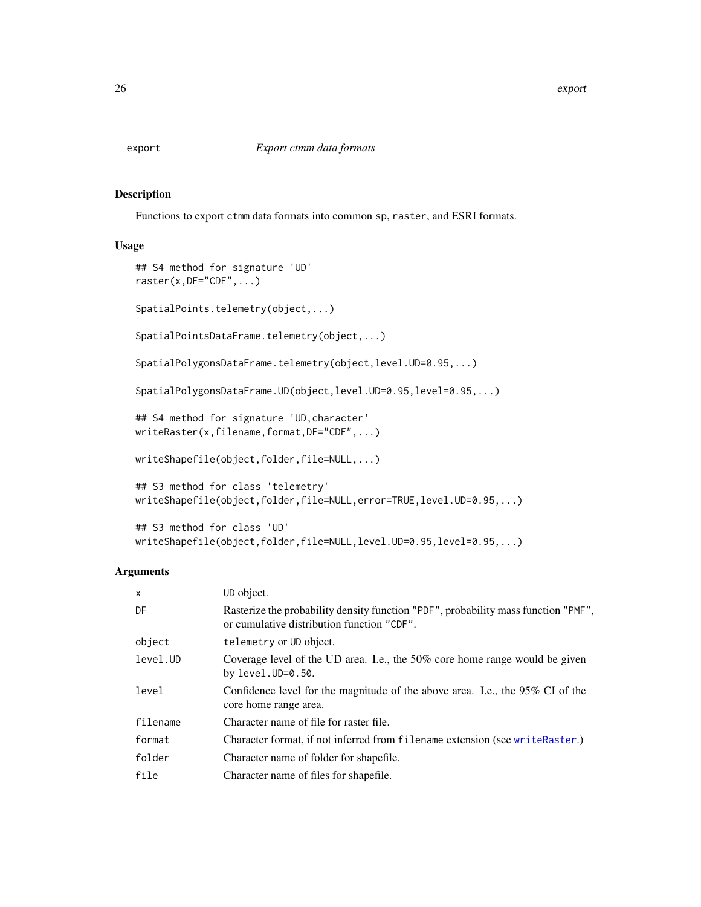<span id="page-25-0"></span>

### <span id="page-25-1"></span>Description

Functions to export ctmm data formats into common sp, raster, and ESRI formats.

### Usage

```
## S4 method for signature 'UD'
raster(x,DF="CDF",...)
SpatialPoints.telemetry(object,...)
SpatialPointsDataFrame.telemetry(object,...)
SpatialPolygonsDataFrame.telemetry(object,level.UD=0.95,...)
SpatialPolygonsDataFrame.UD(object,level.UD=0.95,level=0.95,...)
## S4 method for signature 'UD,character'
writeRaster(x,filename,format,DF="CDF",...)
writeShapefile(object,folder,file=NULL,...)
## S3 method for class 'telemetry'
writeShapefile(object,folder,file=NULL,error=TRUE,level.UD=0.95,...)
## S3 method for class 'UD'
writeShapefile(object,folder,file=NULL,level.UD=0.95,level=0.95,...)
```
#### Arguments

| $\mathsf{x}$ | UD object.                                                                                                                       |
|--------------|----------------------------------------------------------------------------------------------------------------------------------|
| DF           | Rasterize the probability density function "PDF", probability mass function "PMF",<br>or cumulative distribution function "CDF". |
| object       | telemetry or UD object.                                                                                                          |
| level.UD     | Coverage level of the UD area. I.e., the $50\%$ core home range would be given<br>by $level.UD=0.50$ .                           |
| level        | Confidence level for the magnitude of the above area. I.e., the 95% CI of the<br>core home range area.                           |
| filename     | Character name of file for raster file.                                                                                          |
| format       | Character format, if not inferred from filename extension (see writeRaster.)                                                     |
| folder       | Character name of folder for shapefile.                                                                                          |
| file         | Character name of files for shapefile.                                                                                           |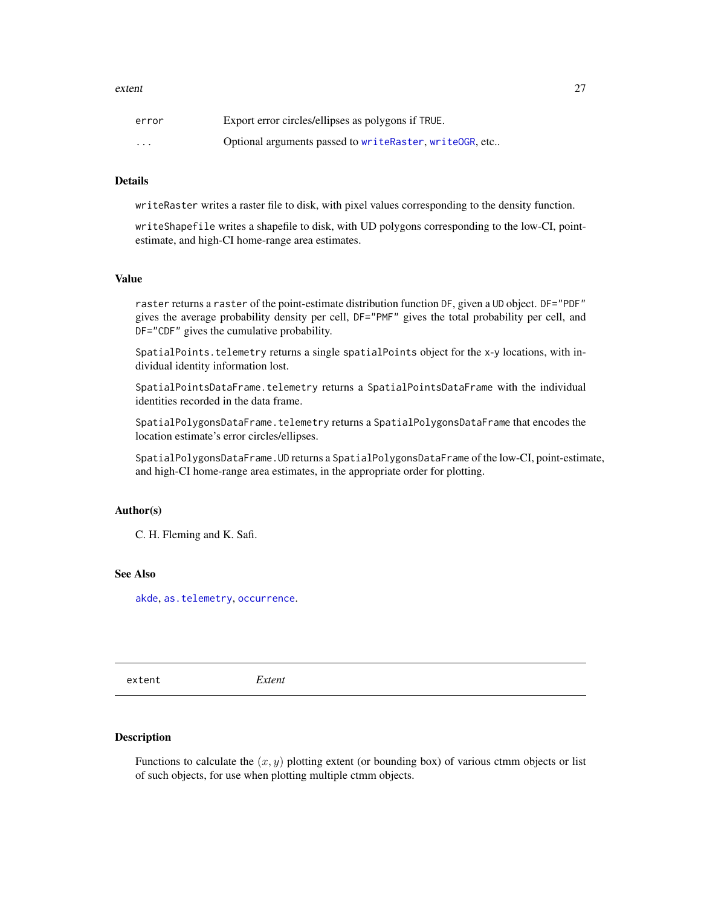#### <span id="page-26-0"></span>extent 27

| error    | Export error circles/ellipses as polygons if TRUE.      |
|----------|---------------------------------------------------------|
| $\cdots$ | Optional arguments passed to writeRaster, writeOGR, etc |

### Details

writeRaster writes a raster file to disk, with pixel values corresponding to the density function.

writeShapefile writes a shapefile to disk, with UD polygons corresponding to the low-CI, pointestimate, and high-CI home-range area estimates.

### Value

raster returns a raster of the point-estimate distribution function DF, given a UD object. DF="PDF" gives the average probability density per cell, DF="PMF" gives the total probability per cell, and DF="CDF" gives the cumulative probability.

SpatialPoints.telemetry returns a single spatialPoints object for the x-y locations, with individual identity information lost.

SpatialPointsDataFrame.telemetry returns a SpatialPointsDataFrame with the individual identities recorded in the data frame.

SpatialPolygonsDataFrame.telemetry returns a SpatialPolygonsDataFrame that encodes the location estimate's error circles/ellipses.

SpatialPolygonsDataFrame.UD returns a SpatialPolygonsDataFrame of the low-CI, point-estimate, and high-CI home-range area estimates, in the appropriate order for plotting.

#### Author(s)

C. H. Fleming and K. Safi.

### See Also

[akde](#page-4-1), [as.telemetry](#page-6-1), [occurrence](#page-34-1).

<span id="page-26-1"></span>extent *Extent*

#### Description

Functions to calculate the  $(x, y)$  plotting extent (or bounding box) of various ctmm objects or list of such objects, for use when plotting multiple ctmm objects.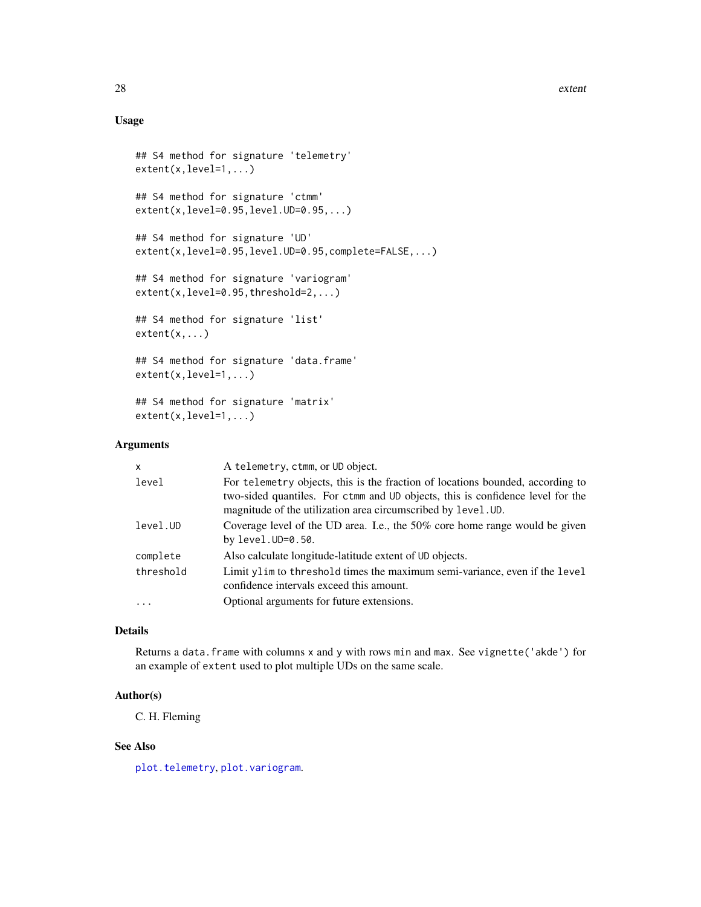### Usage

```
## S4 method for signature 'telemetry'
extent(x,level=1,...)
## S4 method for signature 'ctmm'
extent(x,level=0.95,level.UD=0.95,...)
## S4 method for signature 'UD'
extent(x,level=0.95,level.UD=0.95,complete=FALSE,...)
## S4 method for signature 'variogram'
extent(x,level=0.95,threshold=2,...)
## S4 method for signature 'list'
extent(x,...)
## S4 method for signature 'data.frame'
extent(x,level=1,...)
## S4 method for signature 'matrix'
extent(x,level=1,...)
```
### Arguments

| X         | A telemetry, ctmm, or UD object.                                                                                                                                                                                                  |
|-----------|-----------------------------------------------------------------------------------------------------------------------------------------------------------------------------------------------------------------------------------|
| level     | For telemetry objects, this is the fraction of locations bounded, according to<br>two-sided quantiles. For ctmm and UD objects, this is confidence level for the<br>magnitude of the utilization area circumscribed by level. UD. |
| level.UD  | Coverage level of the UD area. I.e., the 50% core home range would be given<br>by $level.UD=0.50$ .                                                                                                                               |
| complete  | Also calculate longitude-latitude extent of UD objects.                                                                                                                                                                           |
| threshold | Limit ylim to threshold times the maximum semi-variance, even if the level<br>confidence intervals exceed this amount.                                                                                                            |
| $\ddotsc$ | Optional arguments for future extensions.                                                                                                                                                                                         |

### Details

Returns a data.frame with columns x and y with rows min and max. See vignette('akde') for an example of extent used to plot multiple UDs on the same scale.

#### Author(s)

C. H. Fleming

#### See Also

[plot.telemetry](#page-44-1), [plot.variogram](#page-46-1).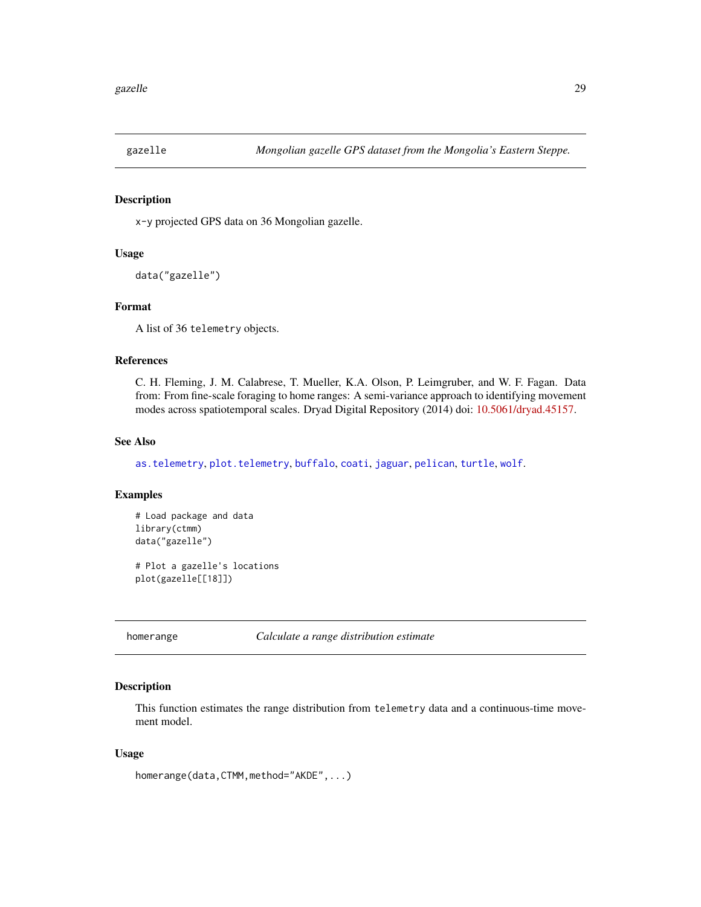<span id="page-28-1"></span><span id="page-28-0"></span>

### Description

x-y projected GPS data on 36 Mongolian gazelle.

#### Usage

```
data("gazelle")
```
### Format

A list of 36 telemetry objects.

### References

C. H. Fleming, J. M. Calabrese, T. Mueller, K.A. Olson, P. Leimgruber, and W. F. Fagan. Data from: From fine-scale foraging to home ranges: A semi-variance approach to identifying movement modes across spatiotemporal scales. Dryad Digital Repository (2014) doi: [10.5061/dryad.45157.](https://doi.org/10.5061/dryad.45157)

### See Also

[as.telemetry](#page-6-1), [plot.telemetry](#page-44-1), [buffalo](#page-10-1), [coati](#page-11-1), [jaguar](#page-29-1), [pelican](#page-41-1), [turtle](#page-61-1), [wolf](#page-68-1).

#### Examples

```
# Load package and data
library(ctmm)
data("gazelle")
# Plot a gazelle's locations
```
plot(gazelle[[18]])

homerange *Calculate a range distribution estimate*

### Description

This function estimates the range distribution from telemetry data and a continuous-time movement model.

#### Usage

```
homerange(data,CTMM,method="AKDE",...)
```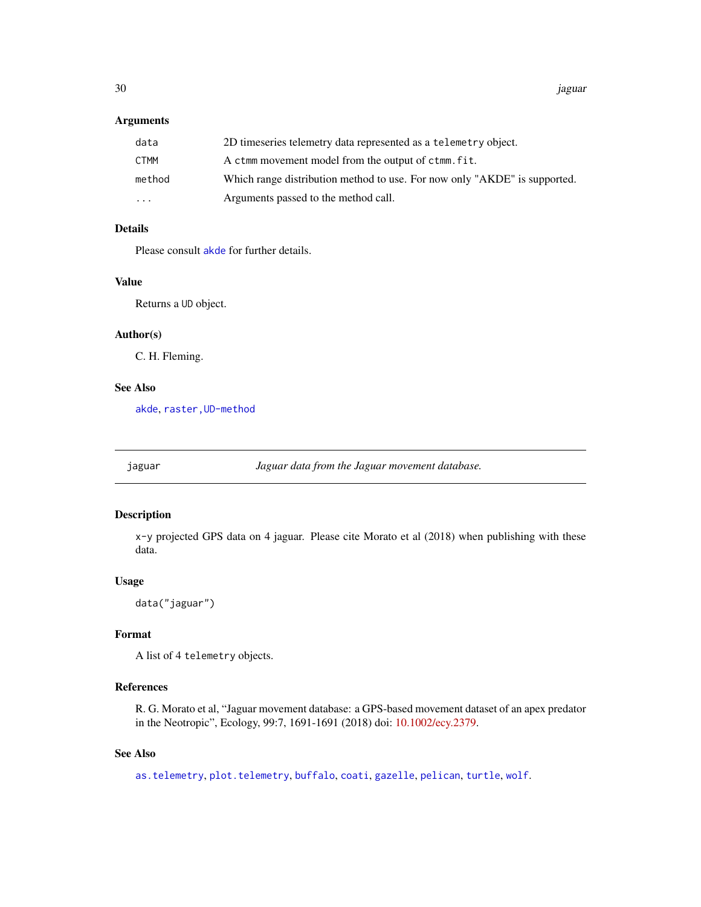### <span id="page-29-0"></span>Arguments

| data                    | 2D timeseries telemetry data represented as a telemetry object.           |
|-------------------------|---------------------------------------------------------------------------|
| CTMM                    | A ctmm movement model from the output of ctmm. fit.                       |
| method                  | Which range distribution method to use. For now only "AKDE" is supported. |
| $\cdot$ $\cdot$ $\cdot$ | Arguments passed to the method call.                                      |

## Details

Please consult [akde](#page-4-1) for further details.

#### Value

Returns a UD object.

### Author(s)

C. H. Fleming.

### See Also

[akde](#page-4-1), [raster,UD-method](#page-0-0)

<span id="page-29-1"></span>jaguar *Jaguar data from the Jaguar movement database.*

### Description

x-y projected GPS data on 4 jaguar. Please cite Morato et al (2018) when publishing with these data.

### Usage

data("jaguar")

#### Format

A list of 4 telemetry objects.

### References

R. G. Morato et al, "Jaguar movement database: a GPS-based movement dataset of an apex predator in the Neotropic", Ecology, 99:7, 1691-1691 (2018) doi: [10.1002/ecy.2379.](https://doi.org/10.1002/ecy.2379)

### See Also

[as.telemetry](#page-6-1), [plot.telemetry](#page-44-1), [buffalo](#page-10-1), [coati](#page-11-1), [gazelle](#page-28-1), [pelican](#page-41-1), [turtle](#page-61-1), [wolf](#page-68-1).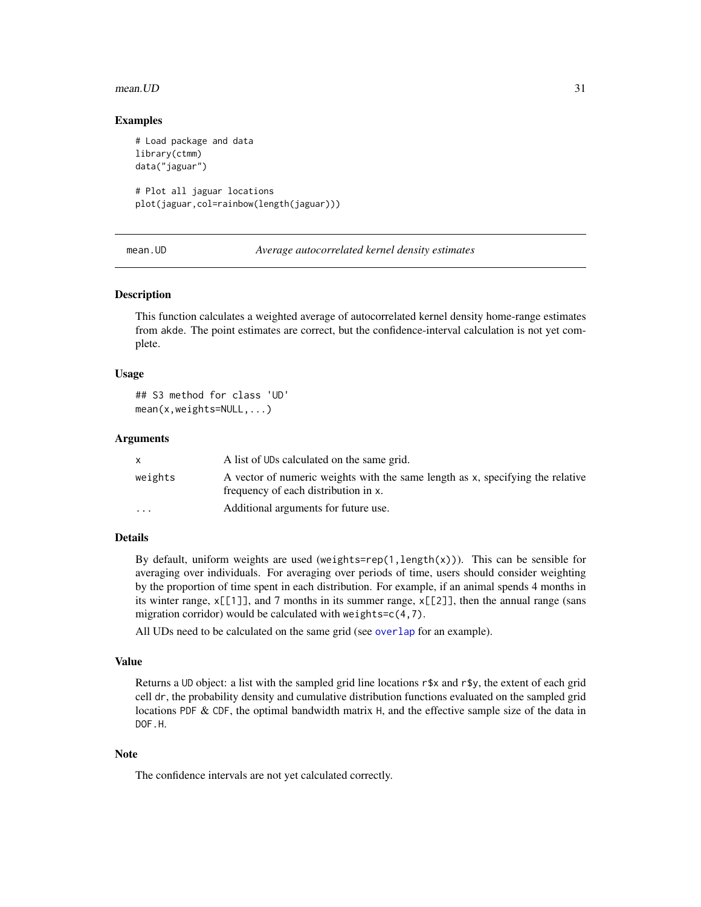#### <span id="page-30-0"></span> $mean.UD$  31

### Examples

```
# Load package and data
library(ctmm)
data("jaguar")
# Plot all jaguar locations
plot(jaguar,col=rainbow(length(jaguar)))
```
<span id="page-30-1"></span>mean.UD *Average autocorrelated kernel density estimates*

#### Description

This function calculates a weighted average of autocorrelated kernel density home-range estimates from akde. The point estimates are correct, but the confidence-interval calculation is not yet complete.

#### Usage

## S3 method for class 'UD' mean(x,weights=NULL,...)

#### Arguments

|                         | A list of UDs calculated on the same grid.                                                                             |
|-------------------------|------------------------------------------------------------------------------------------------------------------------|
| weights                 | A vector of numeric weights with the same length as x, specifying the relative<br>frequency of each distribution in x. |
| $\cdot$ $\cdot$ $\cdot$ | Additional arguments for future use.                                                                                   |

#### Details

By default, uniform weights are used (weights=rep(1,length(x))). This can be sensible for averaging over individuals. For averaging over periods of time, users should consider weighting by the proportion of time spent in each distribution. For example, if an animal spends 4 months in its winter range,  $x[[1]]$ , and 7 months in its summer range,  $x[[2]]$ , then the annual range (sans migration corridor) would be calculated with weights=c(4,7).

All UDs need to be calculated on the same grid (see [overlap](#page-39-1) for an example).

### Value

Returns a UD object: a list with the sampled grid line locations r\$x and r\$y, the extent of each grid cell dr, the probability density and cumulative distribution functions evaluated on the sampled grid locations PDF & CDF, the optimal bandwidth matrix H, and the effective sample size of the data in DOF.H.

### Note

The confidence intervals are not yet calculated correctly.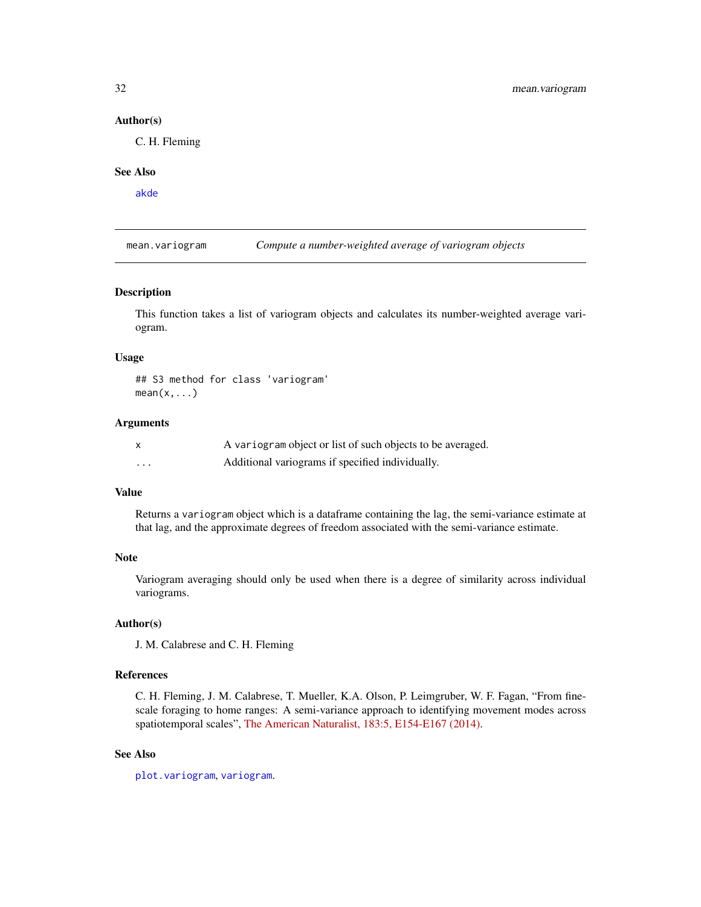#### <span id="page-31-0"></span>Author(s)

C. H. Fleming

### See Also

[akde](#page-4-1)

mean.variogram *Compute a number-weighted average of variogram objects*

#### Description

This function takes a list of variogram objects and calculates its number-weighted average variogram.

### Usage

## S3 method for class 'variogram'  $mean(x, \ldots)$ 

#### Arguments

|   | A variogram object or list of such objects to be averaged. |
|---|------------------------------------------------------------|
| . | Additional variograms if specified individually.           |

### Value

Returns a variogram object which is a dataframe containing the lag, the semi-variance estimate at that lag, and the approximate degrees of freedom associated with the semi-variance estimate.

### Note

Variogram averaging should only be used when there is a degree of similarity across individual variograms.

### Author(s)

J. M. Calabrese and C. H. Fleming

### References

C. H. Fleming, J. M. Calabrese, T. Mueller, K.A. Olson, P. Leimgruber, W. F. Fagan, "From finescale foraging to home ranges: A semi-variance approach to identifying movement modes across spatiotemporal scales", [The American Naturalist, 183:5, E154-E167 \(2014\).](https://www.jstor.org/stable/10.1086/675504)

### See Also

[plot.variogram](#page-46-1), [variogram](#page-65-1).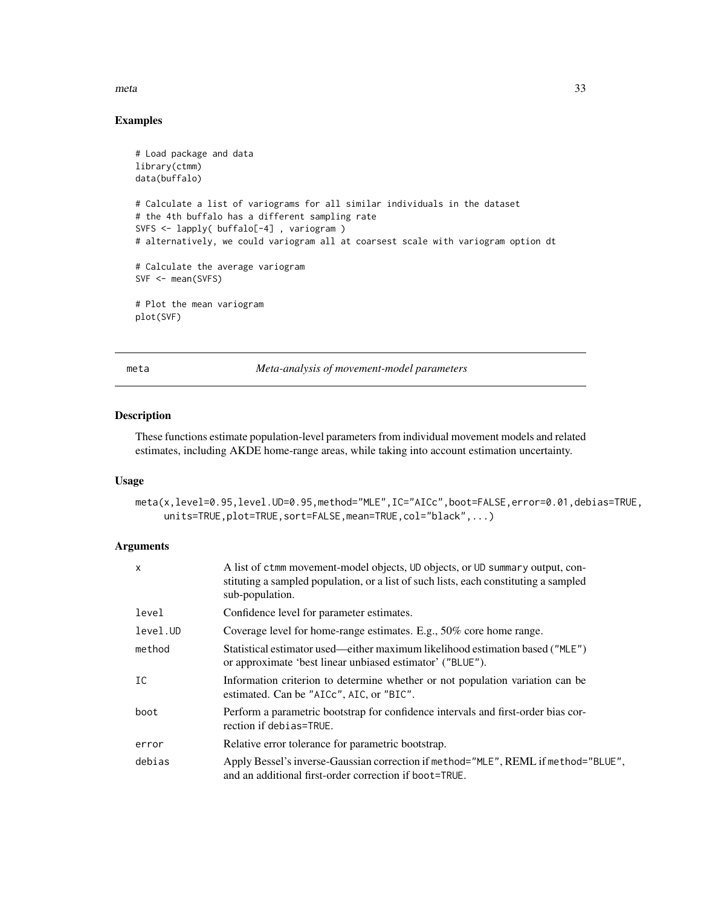#### <span id="page-32-0"></span>meta 33

### Examples

```
# Load package and data
library(ctmm)
data(buffalo)
# Calculate a list of variograms for all similar individuals in the dataset
# the 4th buffalo has a different sampling rate
SVFS <- lapply( buffalo[-4] , variogram )
# alternatively, we could variogram all at coarsest scale with variogram option dt
# Calculate the average variogram
SVF <- mean(SVFS)
# Plot the mean variogram
plot(SVF)
```
meta *Meta-analysis of movement-model parameters*

### Description

These functions estimate population-level parameters from individual movement models and related estimates, including AKDE home-range areas, while taking into account estimation uncertainty.

#### Usage

```
meta(x,level=0.95,level.UD=0.95,method="MLE",IC="AICc",boot=FALSE,error=0.01,debias=TRUE,
     units=TRUE,plot=TRUE,sort=FALSE,mean=TRUE,col="black",...)
```
### Arguments

| X        | A list of ctmm movement-model objects, UD objects, or UD summary output, con-<br>stituting a sampled population, or a list of such lists, each constituting a sampled<br>sub-population. |
|----------|------------------------------------------------------------------------------------------------------------------------------------------------------------------------------------------|
| level    | Confidence level for parameter estimates.                                                                                                                                                |
| level.UD | Coverage level for home-range estimates. E.g., 50% core home range.                                                                                                                      |
| method   | Statistical estimator used—either maximum likelihood estimation based ("MLE")<br>or approximate 'best linear unbiased estimator' ("BLUE").                                               |
| IC       | Information criterion to determine whether or not population variation can be<br>estimated. Can be "AICc", AIC, or "BIC".                                                                |
| boot     | Perform a parametric bootstrap for confidence intervals and first-order bias cor-<br>rection if debias=TRUE.                                                                             |
| error    | Relative error tolerance for parametric bootstrap.                                                                                                                                       |
| debias   | Apply Bessel's inverse-Gaussian correction if method="MLE", REML if method="BLUE",<br>and an additional first-order correction if boot=TRUE.                                             |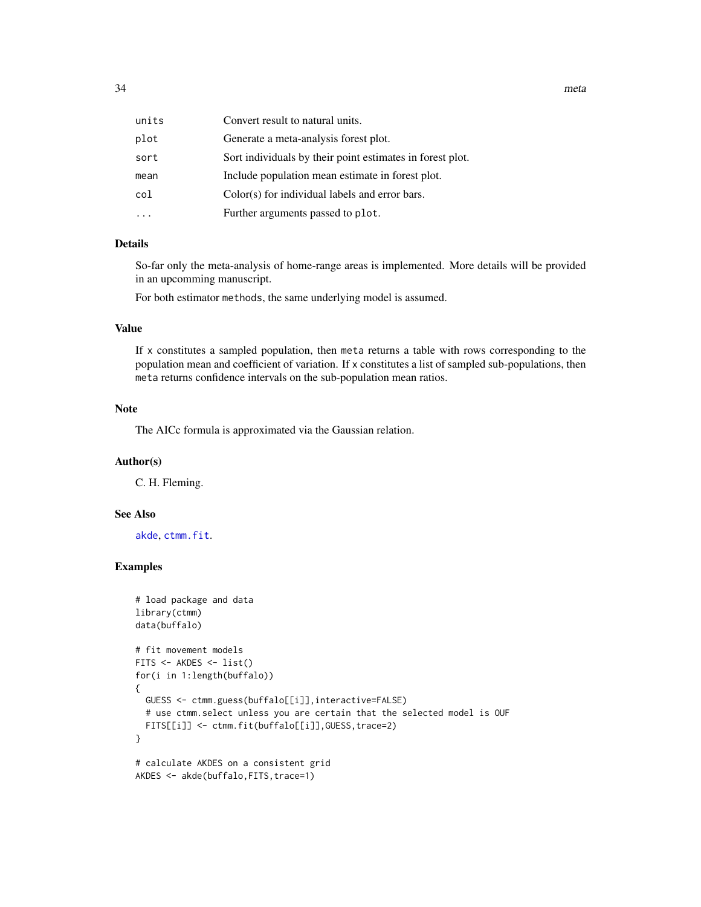| units | Convert result to natural units.                          |
|-------|-----------------------------------------------------------|
| plot  | Generate a meta-analysis forest plot.                     |
| sort  | Sort individuals by their point estimates in forest plot. |
| mean  | Include population mean estimate in forest plot.          |
| col   | Color(s) for individual labels and error bars.            |
|       | Further arguments passed to plot.                         |

#### Details

So-far only the meta-analysis of home-range areas is implemented. More details will be provided in an upcomming manuscript.

For both estimator methods, the same underlying model is assumed.

### Value

If x constitutes a sampled population, then meta returns a table with rows corresponding to the population mean and coefficient of variation. If x constitutes a list of sampled sub-populations, then meta returns confidence intervals on the sub-population mean ratios.

### Note

The AICc formula is approximated via the Gaussian relation.

### Author(s)

C. H. Fleming.

### See Also

[akde](#page-4-1), [ctmm.fit](#page-13-1).

### Examples

```
# load package and data
library(ctmm)
data(buffalo)
# fit movement models
FITS <- AKDES <- list()
for(i in 1:length(buffalo))
{
  GUESS <- ctmm.guess(buffalo[[i]],interactive=FALSE)
  # use ctmm.select unless you are certain that the selected model is OUF
  FITS[[i]] <- ctmm.fit(buffalo[[i]],GUESS,trace=2)
}
# calculate AKDES on a consistent grid
AKDES <- akde(buffalo, FITS, trace=1)
```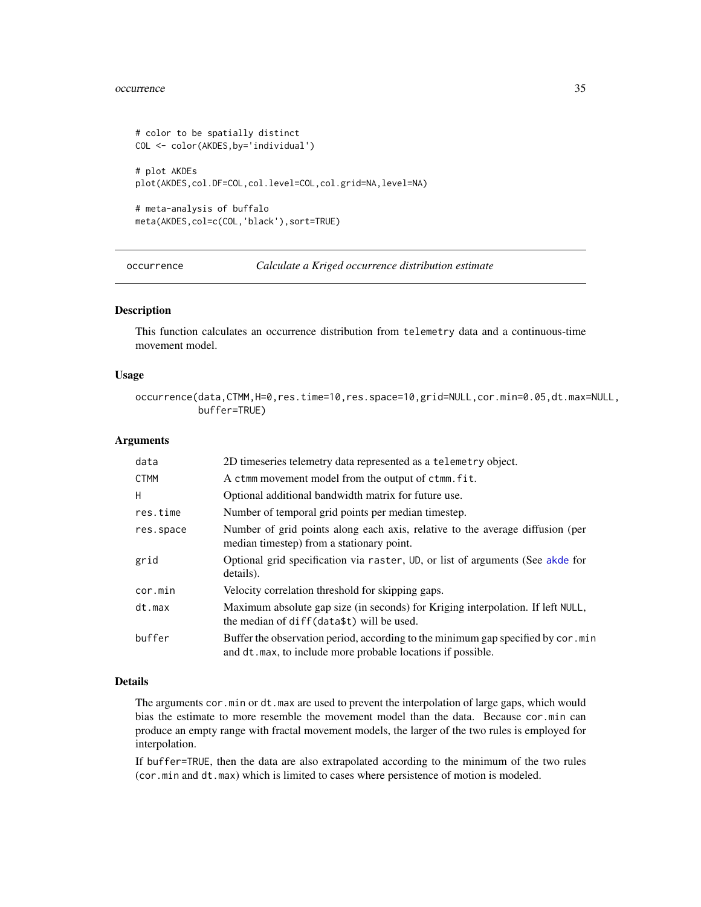#### <span id="page-34-0"></span>occurrence 35

```
# color to be spatially distinct
COL <- color(AKDES,by='individual')
# plot AKDEs
plot(AKDES,col.DF=COL,col.level=COL,col.grid=NA,level=NA)
# meta-analysis of buffalo
meta(AKDES,col=c(COL,'black'),sort=TRUE)
```

```
occurrence Calculate a Kriged occurrence distribution estimate
```
### Description

This function calculates an occurrence distribution from telemetry data and a continuous-time movement model.

#### Usage

occurrence(data,CTMM,H=0,res.time=10,res.space=10,grid=NULL,cor.min=0.05,dt.max=NULL, buffer=TRUE)

### Arguments

| data        | 2D timeseries telemetry data represented as a telemetry object.                                                                                   |
|-------------|---------------------------------------------------------------------------------------------------------------------------------------------------|
| <b>CTMM</b> | A ctmm movement model from the output of ctmm. fit.                                                                                               |
| H           | Optional additional bandwidth matrix for future use.                                                                                              |
| res.time    | Number of temporal grid points per median timestep.                                                                                               |
| res.space   | Number of grid points along each axis, relative to the average diffusion (per<br>median timestep) from a stationary point.                        |
| grid        | Optional grid specification via raster, UD, or list of arguments (See akde for<br>details).                                                       |
| cor.min     | Velocity correlation threshold for skipping gaps.                                                                                                 |
| dt.max      | Maximum absolute gap size (in seconds) for Kriging interpolation. If left NULL,<br>the median of diff(data\$t) will be used.                      |
| buffer      | Buffer the observation period, according to the minimum gap specified by cor. min<br>and dt. max, to include more probable locations if possible. |

### Details

The arguments cor.min or dt.max are used to prevent the interpolation of large gaps, which would bias the estimate to more resemble the movement model than the data. Because cor.min can produce an empty range with fractal movement models, the larger of the two rules is employed for interpolation.

If buffer=TRUE, then the data are also extrapolated according to the minimum of the two rules (cor.min and dt.max) which is limited to cases where persistence of motion is modeled.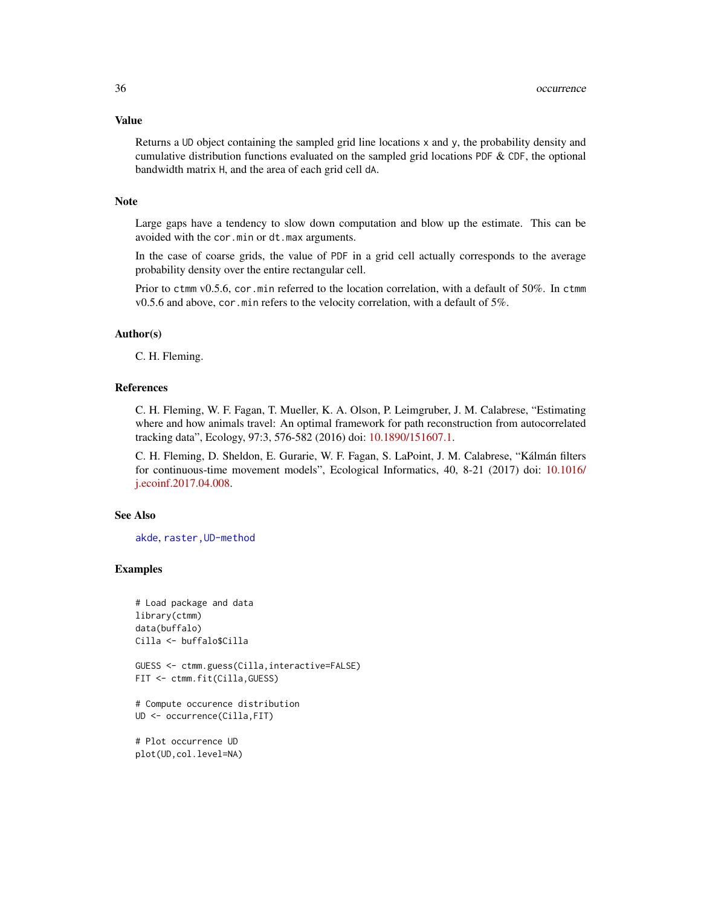Returns a UD object containing the sampled grid line locations x and y, the probability density and cumulative distribution functions evaluated on the sampled grid locations PDF & CDF, the optional bandwidth matrix H, and the area of each grid cell dA.

### Note

Large gaps have a tendency to slow down computation and blow up the estimate. This can be avoided with the cor.min or dt.max arguments.

In the case of coarse grids, the value of PDF in a grid cell actually corresponds to the average probability density over the entire rectangular cell.

Prior to ctmm v0.5.6, cor.min referred to the location correlation, with a default of 50%. In ctmm v0.5.6 and above, cor.min refers to the velocity correlation, with a default of 5%.

### Author(s)

C. H. Fleming.

#### References

C. H. Fleming, W. F. Fagan, T. Mueller, K. A. Olson, P. Leimgruber, J. M. Calabrese, "Estimating where and how animals travel: An optimal framework for path reconstruction from autocorrelated tracking data", Ecology, 97:3, 576-582 (2016) doi: [10.1890/151607.1.](https://doi.org/10.1890/15-1607.1)

C. H. Fleming, D. Sheldon, E. Gurarie, W. F. Fagan, S. LaPoint, J. M. Calabrese, "Kálmán filters for continuous-time movement models", Ecological Informatics, 40, 8-21 (2017) doi: [10.1016/](https://doi.org/10.1016/j.ecoinf.2017.04.008) [j.ecoinf.2017.04.008.](https://doi.org/10.1016/j.ecoinf.2017.04.008)

### See Also

[akde](#page-4-1), [raster,UD-method](#page-0-0)

#### Examples

```
# Load package and data
library(ctmm)
data(buffalo)
Cilla <- buffalo$Cilla
GUESS <- ctmm.guess(Cilla,interactive=FALSE)
FIT <- ctmm.fit(Cilla,GUESS)
```
# Compute occurence distribution UD <- occurrence(Cilla,FIT)

# Plot occurrence UD plot(UD,col.level=NA)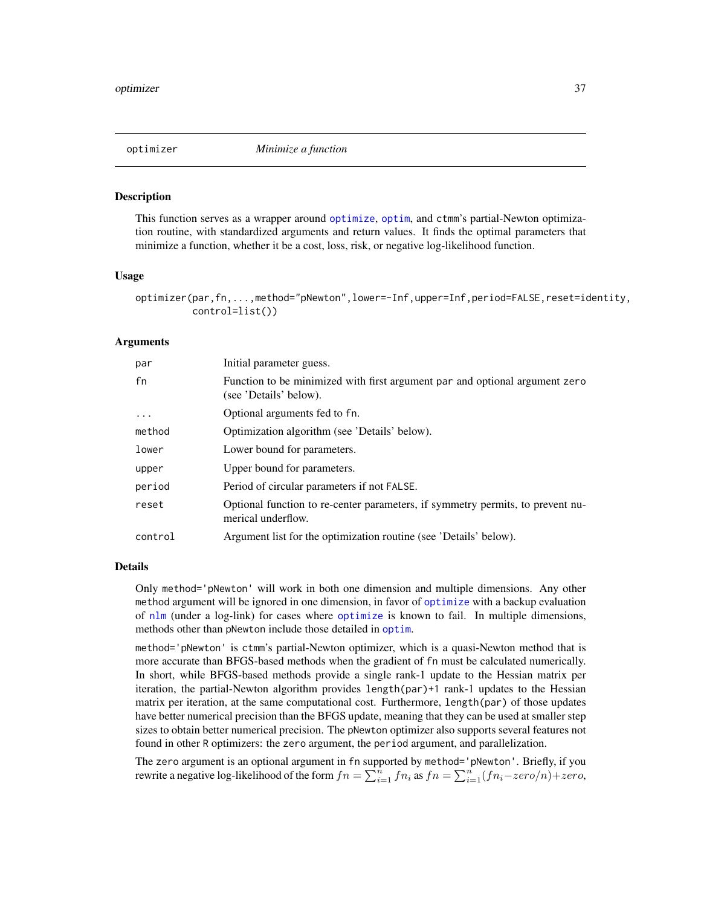<span id="page-36-0"></span>

#### Description

This function serves as a wrapper around [optimize](#page-0-0), [optim](#page-0-0), and ctmm's partial-Newton optimization routine, with standardized arguments and return values. It finds the optimal parameters that minimize a function, whether it be a cost, loss, risk, or negative log-likelihood function.

# Usage

```
optimizer(par,fn,...,method="pNewton",lower=-Inf,upper=Inf,period=FALSE,reset=identity,
          control=list())
```
#### Arguments

| par     | Initial parameter guess.                                                                              |
|---------|-------------------------------------------------------------------------------------------------------|
| fn      | Function to be minimized with first argument par and optional argument zero<br>(see 'Details' below). |
| $\cdot$ | Optional arguments fed to fn.                                                                         |
| method  | Optimization algorithm (see 'Details' below).                                                         |
| lower   | Lower bound for parameters.                                                                           |
| upper   | Upper bound for parameters.                                                                           |
| period  | Period of circular parameters if not FALSE.                                                           |
| reset   | Optional function to re-center parameters, if symmetry permits, to prevent nu-<br>merical underflow.  |
| control | Argument list for the optimization routine (see 'Details' below).                                     |

# Details

Only method='pNewton' will work in both one dimension and multiple dimensions. Any other method argument will be ignored in one dimension, in favor of [optimize](#page-0-0) with a backup evaluation of [nlm](#page-0-0) (under a log-link) for cases where [optimize](#page-0-0) is known to fail. In multiple dimensions, methods other than pNewton include those detailed in [optim](#page-0-0).

method='pNewton' is ctmm's partial-Newton optimizer, which is a quasi-Newton method that is more accurate than BFGS-based methods when the gradient of fn must be calculated numerically. In short, while BFGS-based methods provide a single rank-1 update to the Hessian matrix per iteration, the partial-Newton algorithm provides length(par)+1 rank-1 updates to the Hessian matrix per iteration, at the same computational cost. Furthermore, length(par) of those updates have better numerical precision than the BFGS update, meaning that they can be used at smaller step sizes to obtain better numerical precision. The pNewton optimizer also supports several features not found in other R optimizers: the zero argument, the period argument, and parallelization.

The zero argument is an optional argument in fn supported by method='pNewton'. Briefly, if you rewrite a negative log-likelihood of the form  $fn = \sum_{i=1}^{n} fn_i$  as  $fn = \sum_{i=1}^{n} (fn_i - zero/n) + zero$ ,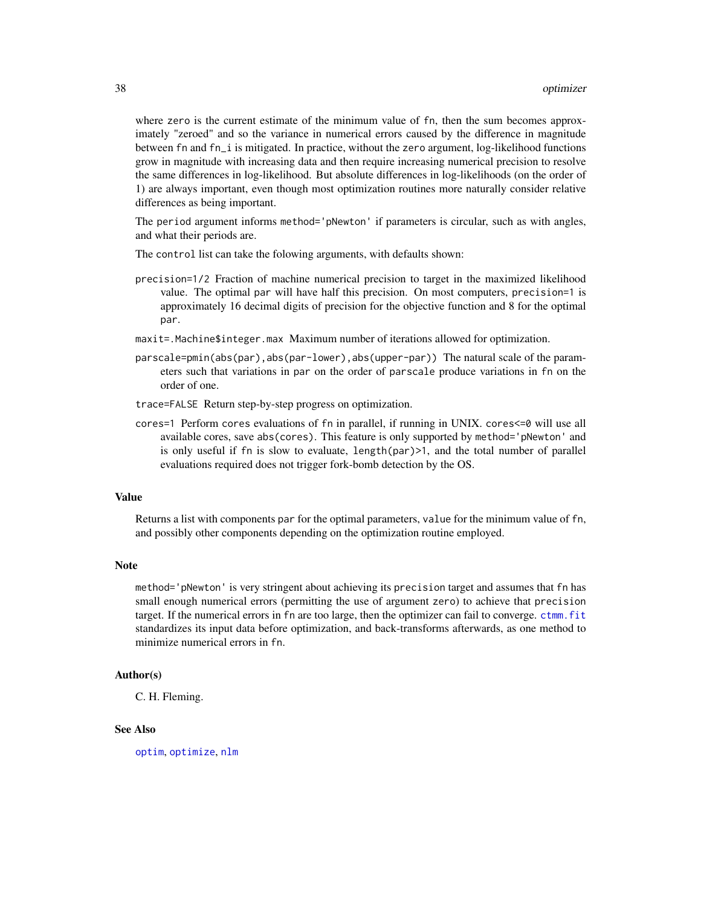<span id="page-37-0"></span>where zero is the current estimate of the minimum value of fn, then the sum becomes approximately "zeroed" and so the variance in numerical errors caused by the difference in magnitude between fn and fn\_i is mitigated. In practice, without the zero argument, log-likelihood functions grow in magnitude with increasing data and then require increasing numerical precision to resolve the same differences in log-likelihood. But absolute differences in log-likelihoods (on the order of 1) are always important, even though most optimization routines more naturally consider relative differences as being important.

The period argument informs method='pNewton' if parameters is circular, such as with angles, and what their periods are.

The control list can take the folowing arguments, with defaults shown:

- precision=1/2 Fraction of machine numerical precision to target in the maximized likelihood value. The optimal par will have half this precision. On most computers, precision=1 is approximately 16 decimal digits of precision for the objective function and 8 for the optimal par.
- maxit=.Machine\$integer.max Maximum number of iterations allowed for optimization.
- parscale=pmin(abs(par),abs(par-lower),abs(upper-par)) The natural scale of the parameters such that variations in par on the order of parscale produce variations in fn on the order of one.

trace=FALSE Return step-by-step progress on optimization.

cores=1 Perform cores evaluations of fn in parallel, if running in UNIX. cores<=0 will use all available cores, save abs(cores). This feature is only supported by method='pNewton' and is only useful if fn is slow to evaluate, length(par)>1, and the total number of parallel evaluations required does not trigger fork-bomb detection by the OS.

# Value

Returns a list with components par for the optimal parameters, value for the minimum value of fn, and possibly other components depending on the optimization routine employed.

# **Note**

method='pNewton' is very stringent about achieving its precision target and assumes that fn has small enough numerical errors (permitting the use of argument zero) to achieve that precision target. If the numerical errors in fn are too large, then the optimizer can fail to converge. [ctmm.fit](#page-13-0) standardizes its input data before optimization, and back-transforms afterwards, as one method to minimize numerical errors in fn.

# Author(s)

C. H. Fleming.

# See Also

[optim](#page-0-0), [optimize](#page-0-0), [nlm](#page-0-0)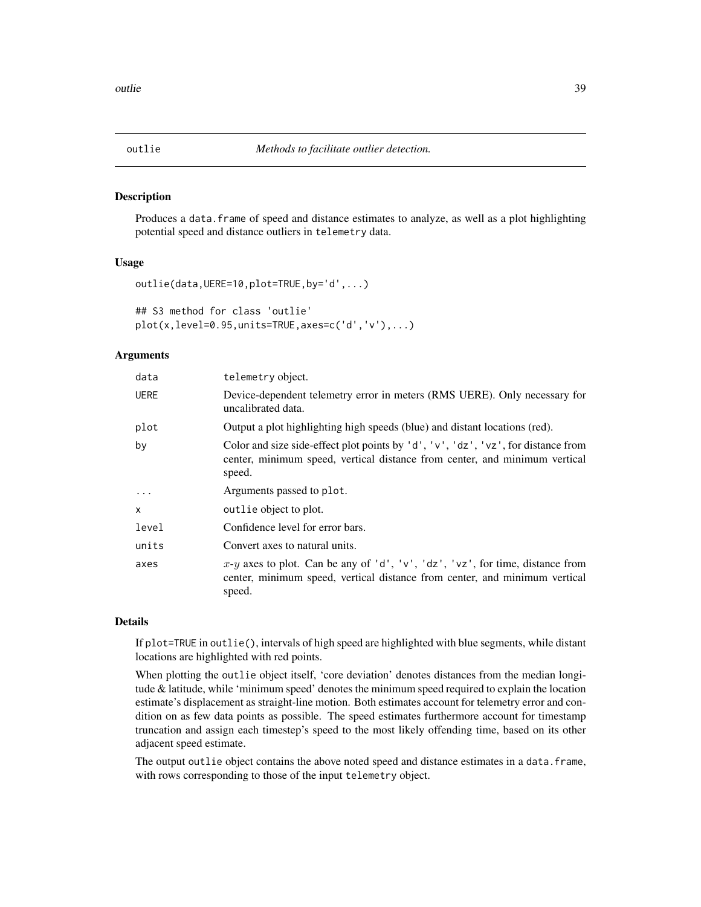<span id="page-38-0"></span>

#### Description

Produces a data.frame of speed and distance estimates to analyze, as well as a plot highlighting potential speed and distance outliers in telemetry data.

#### Usage

```
outlie(data,UERE=10,plot=TRUE,by='d',...)
```

```
## S3 method for class 'outlie'
plot(x,level=0.95,units=TRUE,axes=c('d','v'),...)
```
#### Arguments

| data  | telemetry object.                                                                                                                                                         |
|-------|---------------------------------------------------------------------------------------------------------------------------------------------------------------------------|
| UERE  | Device-dependent telemetry error in meters (RMS UERE). Only necessary for<br>uncalibrated data.                                                                           |
| plot  | Output a plot highlighting high speeds (blue) and distant locations (red).                                                                                                |
| by    | Color and size side-effect plot points by 'd', 'v', 'dz', 'vz', for distance from<br>center, minimum speed, vertical distance from center, and minimum vertical<br>speed. |
| .     | Arguments passed to plot.                                                                                                                                                 |
| x     | outlie object to plot.                                                                                                                                                    |
| level | Confidence level for error bars.                                                                                                                                          |
| units | Convert axes to natural units.                                                                                                                                            |
| axes  | x-y axes to plot. Can be any of 'd', 'v', 'dz', 'vz', for time, distance from<br>center, minimum speed, vertical distance from center, and minimum vertical<br>speed.     |

#### Details

If plot=TRUE in outlie(), intervals of high speed are highlighted with blue segments, while distant locations are highlighted with red points.

When plotting the outlie object itself, 'core deviation' denotes distances from the median longitude & latitude, while 'minimum speed' denotes the minimum speed required to explain the location estimate's displacement as straight-line motion. Both estimates account for telemetry error and condition on as few data points as possible. The speed estimates furthermore account for timestamp truncation and assign each timestep's speed to the most likely offending time, based on its other adjacent speed estimate.

The output outlie object contains the above noted speed and distance estimates in a data. frame, with rows corresponding to those of the input telemetry object.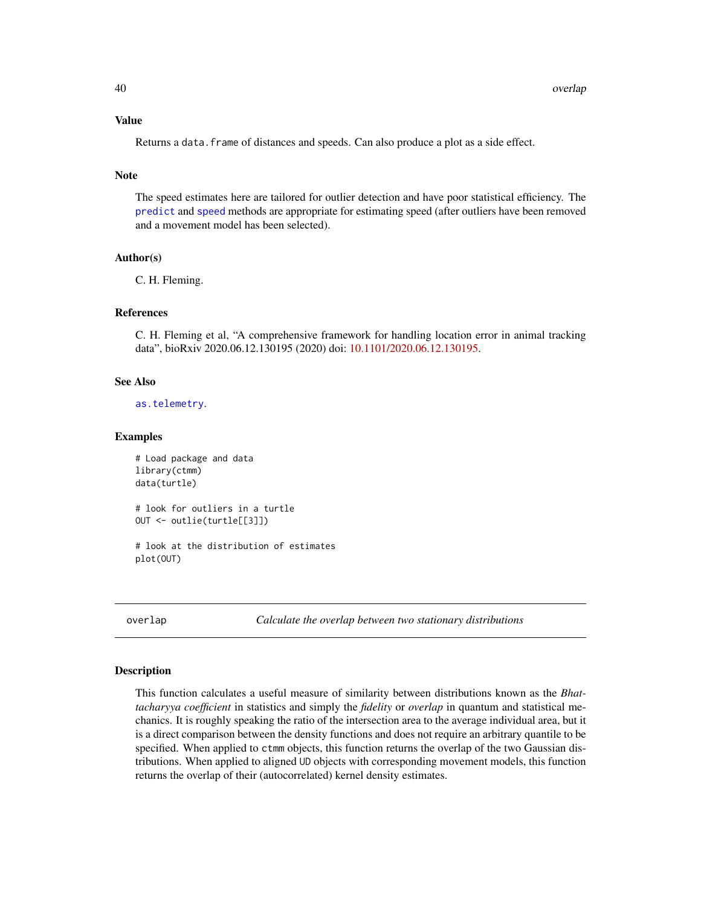#### <span id="page-39-0"></span>Value

Returns a data.frame of distances and speeds. Can also produce a plot as a side effect.

# Note

The speed estimates here are tailored for outlier detection and have poor statistical efficiency. The [predict](#page-53-0) and [speed](#page-55-0) methods are appropriate for estimating speed (after outliers have been removed and a movement model has been selected).

# Author(s)

C. H. Fleming.

#### References

C. H. Fleming et al, "A comprehensive framework for handling location error in animal tracking data", bioRxiv 2020.06.12.130195 (2020) doi: [10.1101/2020.06.12.130195.](https://doi.org/10.1101/2020.06.12.130195)

#### See Also

[as.telemetry](#page-6-0).

#### Examples

```
# Load package and data
library(ctmm)
data(turtle)
```
# look for outliers in a turtle OUT <- outlie(turtle[[3]])

# look at the distribution of estimates plot(OUT)

overlap *Calculate the overlap between two stationary distributions*

#### Description

This function calculates a useful measure of similarity between distributions known as the *Bhattacharyya coefficient* in statistics and simply the *fidelity* or *overlap* in quantum and statistical mechanics. It is roughly speaking the ratio of the intersection area to the average individual area, but it is a direct comparison between the density functions and does not require an arbitrary quantile to be specified. When applied to ctmm objects, this function returns the overlap of the two Gaussian distributions. When applied to aligned UD objects with corresponding movement models, this function returns the overlap of their (autocorrelated) kernel density estimates.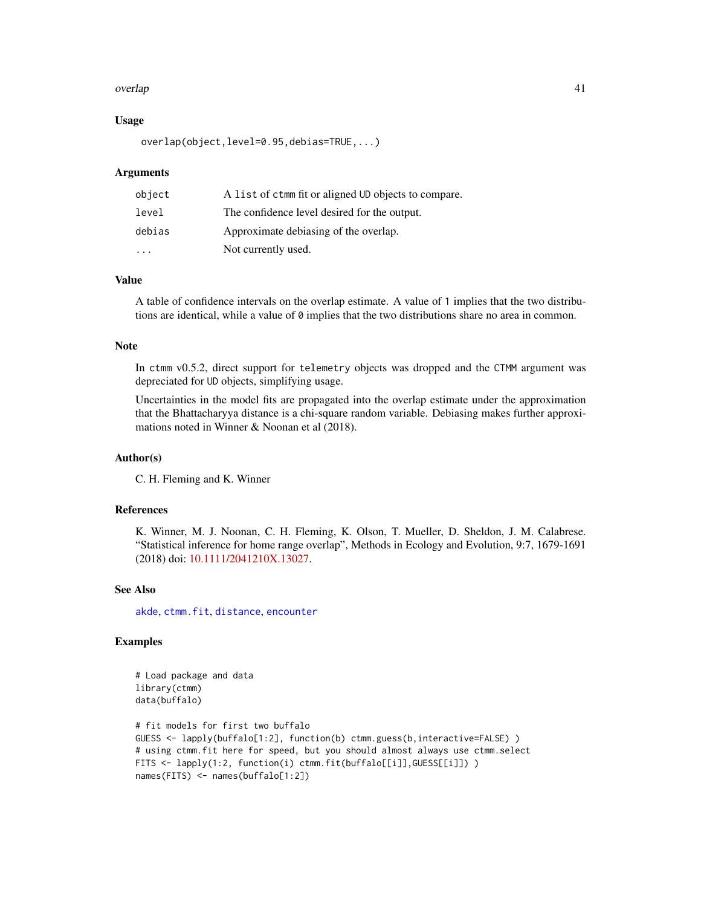#### <span id="page-40-0"></span>overlap 41

#### Usage

overlap(object,level=0.95,debias=TRUE,...)

#### Arguments

| object                  | A list of ctmm fit or aligned UD objects to compare. |
|-------------------------|------------------------------------------------------|
| level                   | The confidence level desired for the output.         |
| debias                  | Approximate debiasing of the overlap.                |
| $\cdot$ $\cdot$ $\cdot$ | Not currently used.                                  |

# Value

A table of confidence intervals on the overlap estimate. A value of 1 implies that the two distributions are identical, while a value of  $\theta$  implies that the two distributions share no area in common.

# Note

In ctmm v0.5.2, direct support for telemetry objects was dropped and the CTMM argument was depreciated for UD objects, simplifying usage.

Uncertainties in the model fits are propagated into the overlap estimate under the approximation that the Bhattacharyya distance is a chi-square random variable. Debiasing makes further approximations noted in Winner & Noonan et al (2018).

# Author(s)

C. H. Fleming and K. Winner

# References

K. Winner, M. J. Noonan, C. H. Fleming, K. Olson, T. Mueller, D. Sheldon, J. M. Calabrese. "Statistical inference for home range overlap", Methods in Ecology and Evolution, 9:7, 1679-1691 (2018) doi: [10.1111/2041210X.13027.](https://doi.org/10.1111/2041-210X.13027)

#### See Also

[akde](#page-4-0), [ctmm.fit](#page-13-0), [distance](#page-21-0), [encounter](#page-23-0)

#### Examples

```
# Load package and data
library(ctmm)
data(buffalo)
# fit models for first two buffalo
GUESS <- lapply(buffalo[1:2], function(b) ctmm.guess(b,interactive=FALSE))
# using ctmm.fit here for speed, but you should almost always use ctmm.select
FITS <- lapply(1:2, function(i) ctmm.fit(buffalo[[i]],GUESS[[i]]) )
names(FITS) <- names(buffalo[1:2])
```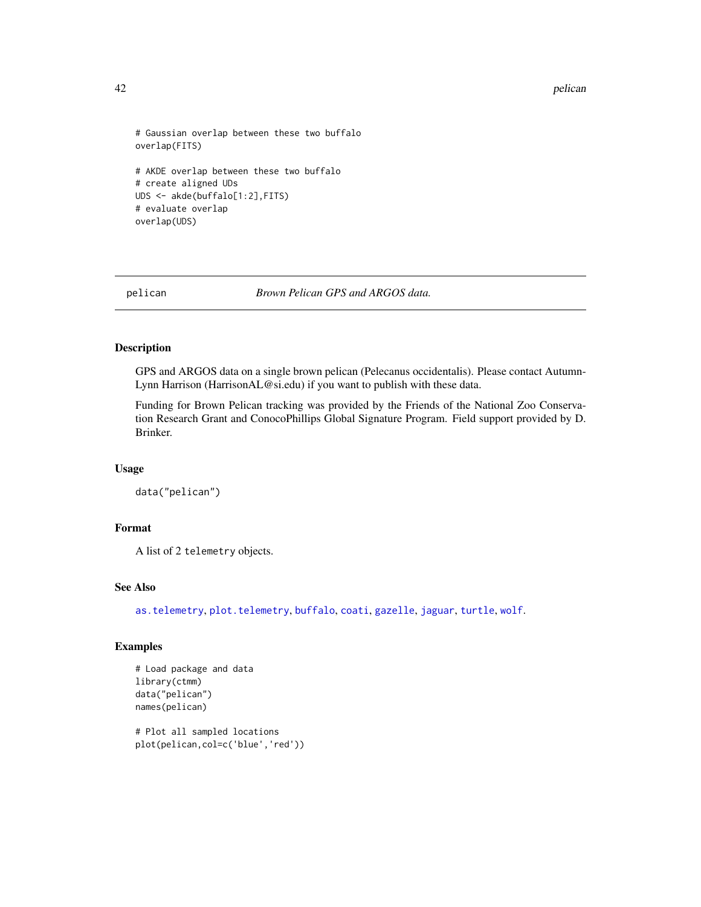#### <span id="page-41-1"></span>42 **pelican**

```
# Gaussian overlap between these two buffalo
overlap(FITS)
# AKDE overlap between these two buffalo
# create aligned UDs
UDS <- akde(buffalo[1:2],FITS)
# evaluate overlap
overlap(UDS)
```
<span id="page-41-0"></span>

pelican *Brown Pelican GPS and ARGOS data.*

# Description

GPS and ARGOS data on a single brown pelican (Pelecanus occidentalis). Please contact Autumn-Lynn Harrison (HarrisonAL@si.edu) if you want to publish with these data.

Funding for Brown Pelican tracking was provided by the Friends of the National Zoo Conservation Research Grant and ConocoPhillips Global Signature Program. Field support provided by D. Brinker.

#### Usage

```
data("pelican")
```
# Format

A list of 2 telemetry objects.

# See Also

[as.telemetry](#page-6-0), [plot.telemetry](#page-44-0), [buffalo](#page-10-0), [coati](#page-11-0), [gazelle](#page-28-0), [jaguar](#page-29-0), [turtle](#page-61-0), [wolf](#page-68-0).

#### Examples

```
# Load package and data
library(ctmm)
data("pelican")
names(pelican)
```

```
# Plot all sampled locations
plot(pelican,col=c('blue','red'))
```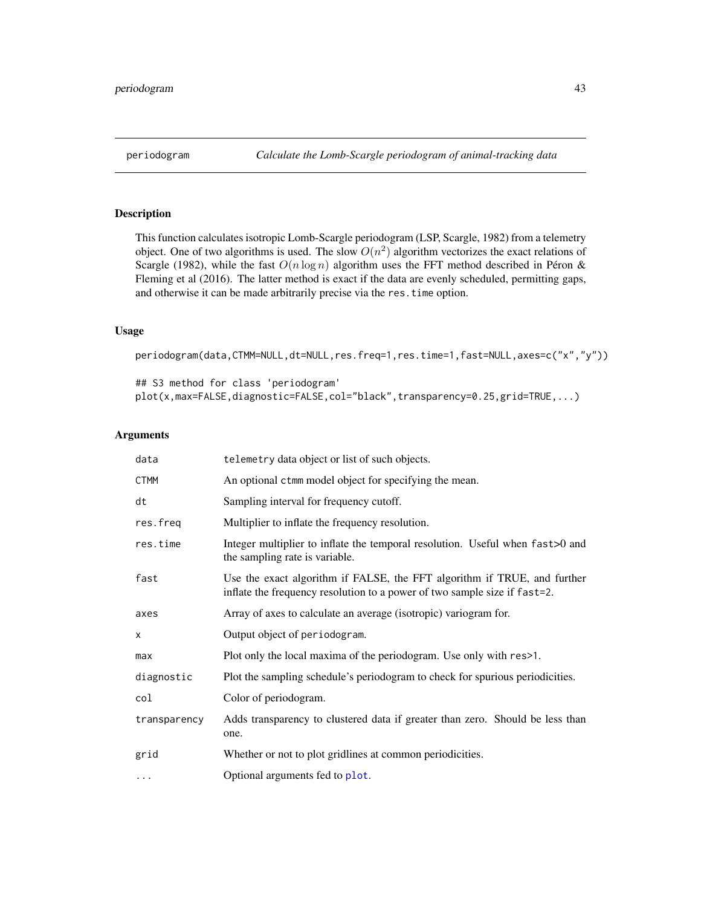# <span id="page-42-0"></span>Description

This function calculates isotropic Lomb-Scargle periodogram (LSP, Scargle, 1982) from a telemetry object. One of two algorithms is used. The slow  $O(n^2)$  algorithm vectorizes the exact relations of Scargle (1982), while the fast  $O(n \log n)$  algorithm uses the FFT method described in Péron & Fleming et al (2016). The latter method is exact if the data are evenly scheduled, permitting gaps, and otherwise it can be made arbitrarily precise via the res. time option.

#### Usage

periodogram(data,CTMM=NULL,dt=NULL,res.freq=1,res.time=1,fast=NULL,axes=c("x","y"))

## S3 method for class 'periodogram' plot(x,max=FALSE,diagnostic=FALSE,col="black",transparency=0.25,grid=TRUE,...)

# Arguments

| data         | telemetry data object or list of such objects.                                                                                                        |
|--------------|-------------------------------------------------------------------------------------------------------------------------------------------------------|
| <b>CTMM</b>  | An optional ctmm model object for specifying the mean.                                                                                                |
| dt           | Sampling interval for frequency cutoff.                                                                                                               |
| res.freq     | Multiplier to inflate the frequency resolution.                                                                                                       |
| res.time     | Integer multiplier to inflate the temporal resolution. Useful when fast>0 and<br>the sampling rate is variable.                                       |
| fast         | Use the exact algorithm if FALSE, the FFT algorithm if TRUE, and further<br>inflate the frequency resolution to a power of two sample size if fast=2. |
| axes         | Array of axes to calculate an average (isotropic) variogram for.                                                                                      |
| X            | Output object of periodogram.                                                                                                                         |
| max          | Plot only the local maxima of the periodogram. Use only with res > 1.                                                                                 |
| diagnostic   | Plot the sampling schedule's periodogram to check for spurious periodicities.                                                                         |
| col          | Color of periodogram.                                                                                                                                 |
| transparency | Adds transparency to clustered data if greater than zero. Should be less than<br>one.                                                                 |
| grid         | Whether or not to plot gridlines at common periodicities.                                                                                             |
| $\cdots$     | Optional arguments fed to plot.                                                                                                                       |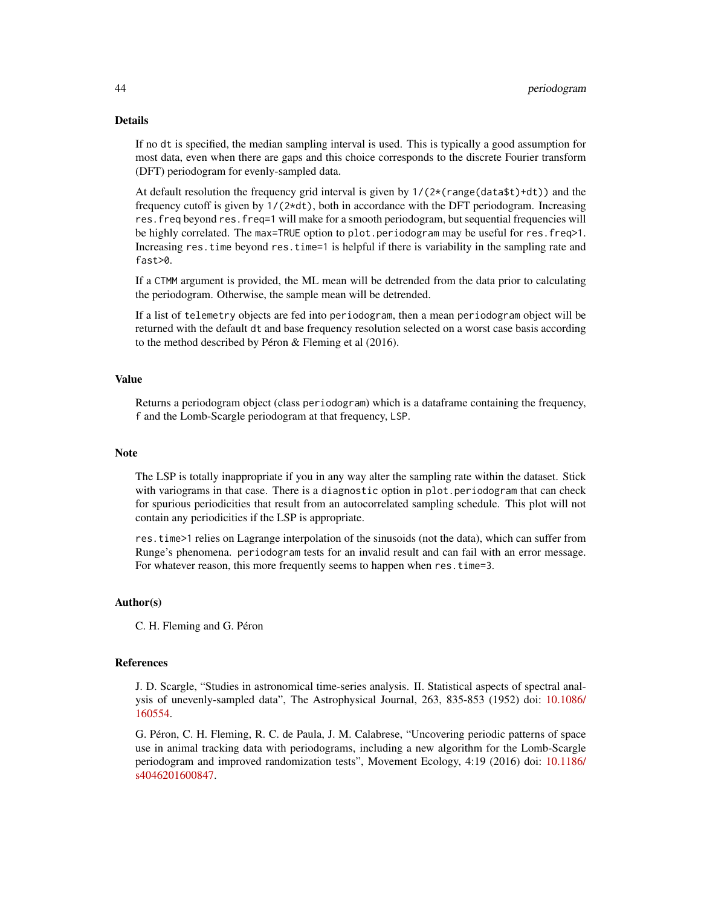#### Details

If no dt is specified, the median sampling interval is used. This is typically a good assumption for most data, even when there are gaps and this choice corresponds to the discrete Fourier transform (DFT) periodogram for evenly-sampled data.

At default resolution the frequency grid interval is given by 1/(2\*(range(data\$t)+dt)) and the frequency cutoff is given by  $1/(2 \star dt)$ , both in accordance with the DFT periodogram. Increasing res.freq beyond res.freq=1 will make for a smooth periodogram, but sequential frequencies will be highly correlated. The max=TRUE option to plot.periodogram may be useful for res.freq>1. Increasing res.time beyond res.time=1 is helpful if there is variability in the sampling rate and fast>0.

If a CTMM argument is provided, the ML mean will be detrended from the data prior to calculating the periodogram. Otherwise, the sample mean will be detrended.

If a list of telemetry objects are fed into periodogram, then a mean periodogram object will be returned with the default dt and base frequency resolution selected on a worst case basis according to the method described by Péron & Fleming et al (2016).

#### Value

Returns a periodogram object (class periodogram) which is a dataframe containing the frequency, f and the Lomb-Scargle periodogram at that frequency, LSP.

#### Note

The LSP is totally inappropriate if you in any way alter the sampling rate within the dataset. Stick with variograms in that case. There is a diagnostic option in plot.periodogram that can check for spurious periodicities that result from an autocorrelated sampling schedule. This plot will not contain any periodicities if the LSP is appropriate.

res.time>1 relies on Lagrange interpolation of the sinusoids (not the data), which can suffer from Runge's phenomena. periodogram tests for an invalid result and can fail with an error message. For whatever reason, this more frequently seems to happen when res.time=3.

#### Author(s)

C. H. Fleming and G. Péron

### References

J. D. Scargle, "Studies in astronomical time-series analysis. II. Statistical aspects of spectral analysis of unevenly-sampled data", The Astrophysical Journal, 263, 835-853 (1952) doi: [10.1086/](https://doi.org/10.1086/160554) [160554.](https://doi.org/10.1086/160554)

G. Péron, C. H. Fleming, R. C. de Paula, J. M. Calabrese, "Uncovering periodic patterns of space use in animal tracking data with periodograms, including a new algorithm for the Lomb-Scargle periodogram and improved randomization tests", Movement Ecology, 4:19 (2016) doi: [10.1186/](https://doi.org/10.1186/s40462-016-0084-7) [s4046201600847.](https://doi.org/10.1186/s40462-016-0084-7)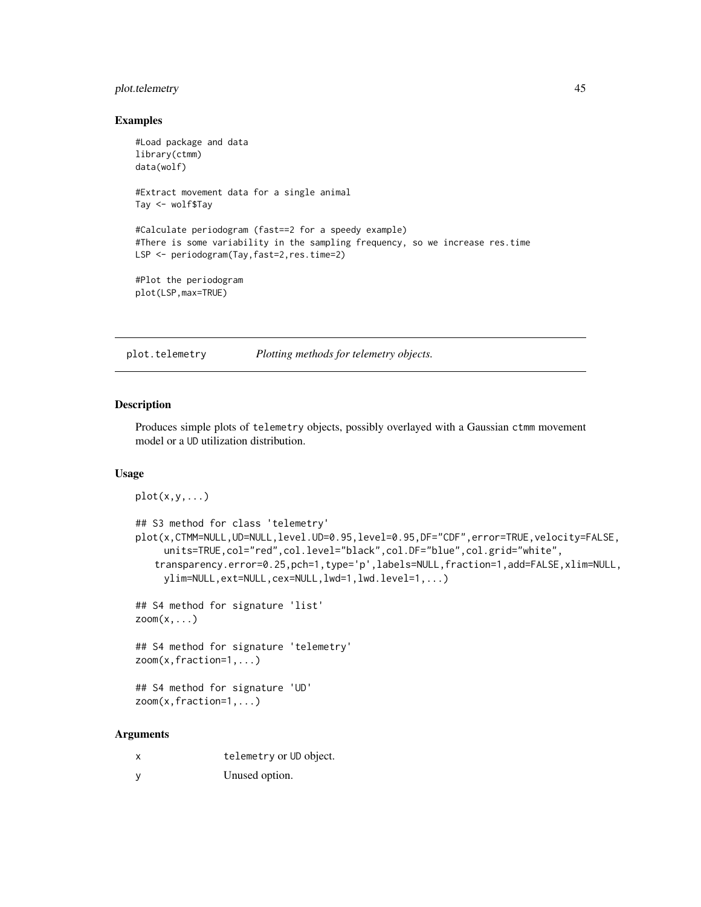# <span id="page-44-2"></span>plot.telemetry 45

#### Examples

```
#Load package and data
library(ctmm)
data(wolf)
#Extract movement data for a single animal
Tay <- wolf$Tay
#Calculate periodogram (fast==2 for a speedy example)
#There is some variability in the sampling frequency, so we increase res.time
LSP <- periodogram(Tay, fast=2, res.time=2)
#Plot the periodogram
plot(LSP,max=TRUE)
```
<span id="page-44-0"></span>plot.telemetry *Plotting methods for telemetry objects.*

#### <span id="page-44-1"></span>Description

Produces simple plots of telemetry objects, possibly overlayed with a Gaussian ctmm movement model or a UD utilization distribution.

#### Usage

```
plot(x,y,...)## S3 method for class 'telemetry'
   plot(x,CTMM=NULL,UD=NULL,level.UD=0.95,level=0.95,DF="CDF",error=TRUE,velocity=FALSE,
        units=TRUE,col="red",col.level="black",col.DF="blue",col.grid="white",
       transparency.error=0.25,pch=1,type='p',labels=NULL,fraction=1,add=FALSE,xlim=NULL,
        ylim=NULL,ext=NULL,cex=NULL,lwd=1,lwd.level=1,...)
   ## S4 method for signature 'list'
   zoom(x, \ldots)## S4 method for signature 'telemetry'
   zoom(x,fraction=1,...)
   ## S4 method for signature 'UD'
   zoom(x,fraction=1,...)
Arguments
```
- x telemetry or UD object.
- y Unused option.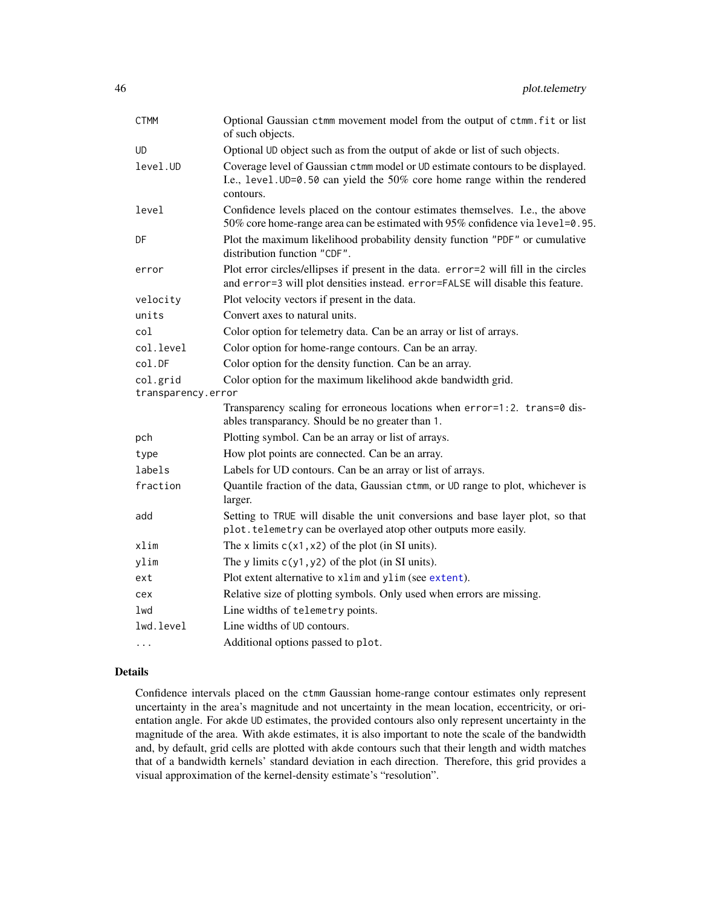<span id="page-45-0"></span>

| <b>CTMM</b>                    | Optional Gaussian ctmm movement model from the output of ctmm. fit or list<br>of such objects.                                                                            |
|--------------------------------|---------------------------------------------------------------------------------------------------------------------------------------------------------------------------|
| UD                             | Optional UD object such as from the output of akde or list of such objects.                                                                                               |
| level.UD                       | Coverage level of Gaussian ctmm model or UD estimate contours to be displayed.<br>I.e., level. UD=0.50 can yield the 50% core home range within the rendered<br>contours. |
| level                          | Confidence levels placed on the contour estimates themselves. I.e., the above<br>50% core home-range area can be estimated with 95% confidence via level=0.95.            |
| DF                             | Plot the maximum likelihood probability density function "PDF" or cumulative<br>distribution function "CDF".                                                              |
| error                          | Plot error circles/ellipses if present in the data. error=2 will fill in the circles<br>and error=3 will plot densities instead. error=FALSE will disable this feature.   |
| velocity                       | Plot velocity vectors if present in the data.                                                                                                                             |
| units                          | Convert axes to natural units.                                                                                                                                            |
| col                            | Color option for telemetry data. Can be an array or list of arrays.                                                                                                       |
| col.level                      | Color option for home-range contours. Can be an array.                                                                                                                    |
| col.DF                         | Color option for the density function. Can be an array.                                                                                                                   |
| col.grid<br>transparency.error | Color option for the maximum likelihood akde bandwidth grid.                                                                                                              |
|                                | Transparency scaling for erroneous locations when error=1:2. trans=0 dis-<br>ables transparancy. Should be no greater than 1.                                             |
| pch                            | Plotting symbol. Can be an array or list of arrays.                                                                                                                       |
| type                           | How plot points are connected. Can be an array.                                                                                                                           |
| labels                         | Labels for UD contours. Can be an array or list of arrays.                                                                                                                |
| fraction                       | Quantile fraction of the data, Gaussian ctmm, or UD range to plot, whichever is<br>larger.                                                                                |
| add                            | Setting to TRUE will disable the unit conversions and base layer plot, so that<br>plot. telemetry can be overlayed atop other outputs more easily.                        |
| xlim                           | The x limits $c(x1, x2)$ of the plot (in SI units).                                                                                                                       |
| ylim                           | The y limits $c(y1, y2)$ of the plot (in SI units).                                                                                                                       |
| ext                            | Plot extent alternative to xlim and ylim (see extent).                                                                                                                    |
| cex                            | Relative size of plotting symbols. Only used when errors are missing.                                                                                                     |
| lwd                            | Line widths of telemetry points.                                                                                                                                          |
| lwd.level                      | Line widths of UD contours.                                                                                                                                               |
| .                              | Additional options passed to plot.                                                                                                                                        |

# Details

Confidence intervals placed on the ctmm Gaussian home-range contour estimates only represent uncertainty in the area's magnitude and not uncertainty in the mean location, eccentricity, or orientation angle. For akde UD estimates, the provided contours also only represent uncertainty in the magnitude of the area. With akde estimates, it is also important to note the scale of the bandwidth and, by default, grid cells are plotted with akde contours such that their length and width matches that of a bandwidth kernels' standard deviation in each direction. Therefore, this grid provides a visual approximation of the kernel-density estimate's "resolution".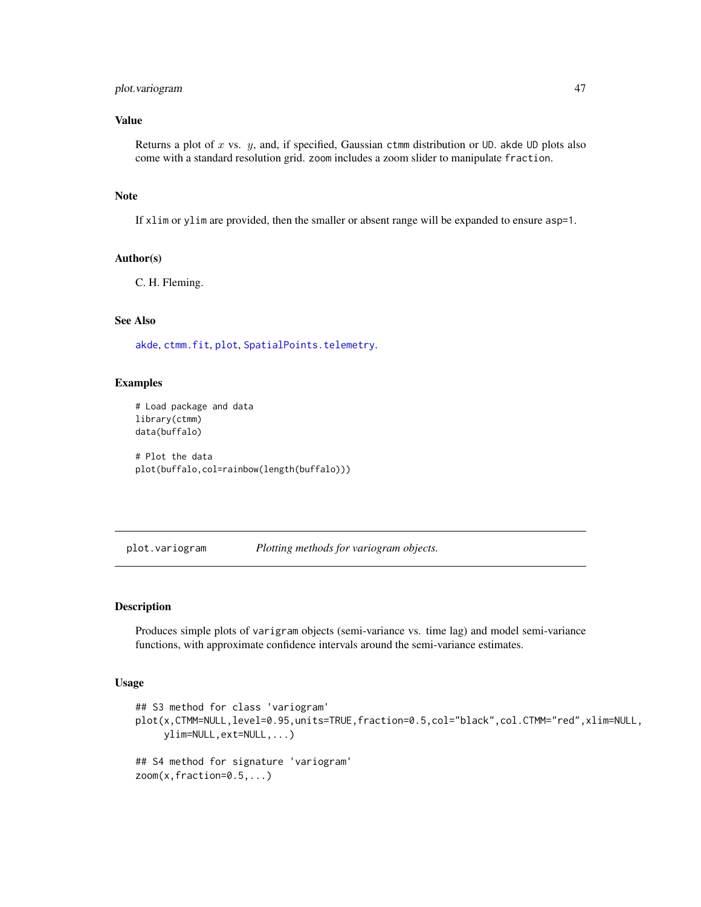# <span id="page-46-1"></span>plot.variogram 47

# Value

Returns a plot of x vs.  $y$ , and, if specified, Gaussian ctmm distribution or UD. akde UD plots also come with a standard resolution grid. zoom includes a zoom slider to manipulate fraction.

#### Note

If xlim or ylim are provided, then the smaller or absent range will be expanded to ensure asp=1.

# Author(s)

C. H. Fleming.

# See Also

[akde](#page-4-0), [ctmm.fit](#page-13-0), [plot](#page-44-1), [SpatialPoints.telemetry](#page-25-0).

#### Examples

```
# Load package and data
library(ctmm)
data(buffalo)
# Plot the data
```
plot(buffalo,col=rainbow(length(buffalo)))

<span id="page-46-0"></span>plot.variogram *Plotting methods for variogram objects.*

#### Description

Produces simple plots of varigram objects (semi-variance vs. time lag) and model semi-variance functions, with approximate confidence intervals around the semi-variance estimates.

#### Usage

```
## S3 method for class 'variogram'
plot(x,CTMM=NULL,level=0.95,units=TRUE,fraction=0.5,col="black",col.CTMM="red",xlim=NULL,
     ylim=NULL,ext=NULL,...)
## S4 method for signature 'variogram'
zoom(x,fraction=0.5,...)
```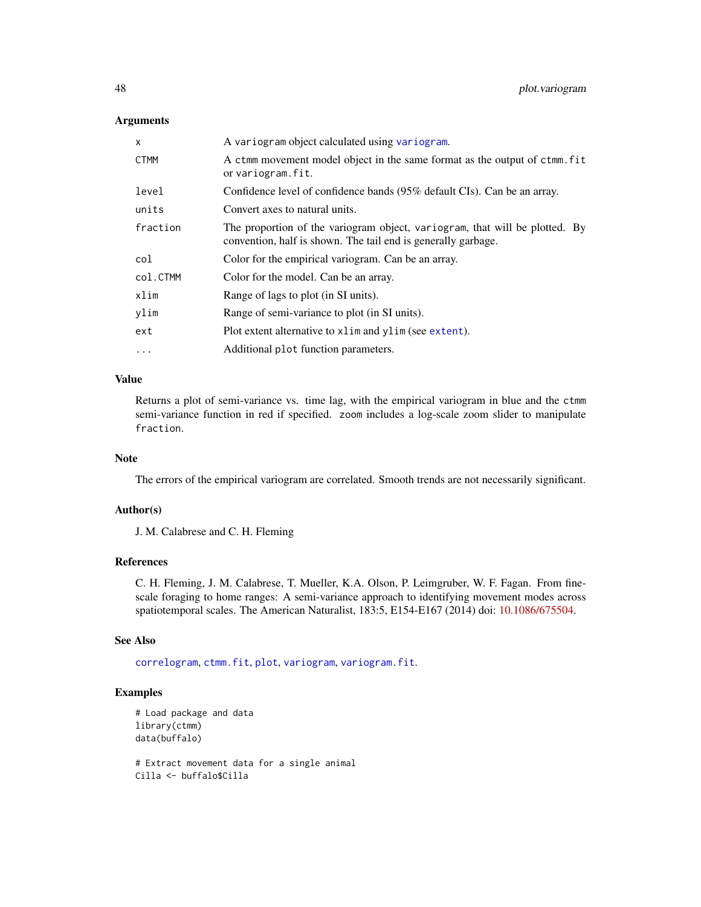#### Arguments

| x           | A variogram object calculated using variogram.                                                                                               |
|-------------|----------------------------------------------------------------------------------------------------------------------------------------------|
| <b>CTMM</b> | A ctmm movement model object in the same format as the output of ctmm. fit<br>or variogram.fit.                                              |
| level       | Confidence level of confidence bands (95% default CIs). Can be an array.                                                                     |
| units       | Convert axes to natural units.                                                                                                               |
| fraction    | The proportion of the variogram object, variogram, that will be plotted. By<br>convention, half is shown. The tail end is generally garbage. |
| col         | Color for the empirical variogram. Can be an array.                                                                                          |
| col.CTMM    | Color for the model. Can be an array.                                                                                                        |
| xlim        | Range of lags to plot (in SI units).                                                                                                         |
| ylim        | Range of semi-variance to plot (in SI units).                                                                                                |
| ext         | Plot extent alternative to xlim and ylim (see extent).                                                                                       |
| $\cdots$    | Additional plot function parameters.                                                                                                         |

# Value

Returns a plot of semi-variance vs. time lag, with the empirical variogram in blue and the ctmm semi-variance function in red if specified. zoom includes a log-scale zoom slider to manipulate fraction.

#### Note

The errors of the empirical variogram are correlated. Smooth trends are not necessarily significant.

#### Author(s)

J. M. Calabrese and C. H. Fleming

# References

C. H. Fleming, J. M. Calabrese, T. Mueller, K.A. Olson, P. Leimgruber, W. F. Fagan. From finescale foraging to home ranges: A semi-variance approach to identifying movement modes across spatiotemporal scales. The American Naturalist, 183:5, E154-E167 (2014) doi: [10.1086/675504.](https://doi.org/10.1086/675504)

#### See Also

[correlogram](#page-49-0), [ctmm.fit](#page-13-0), [plot](#page-44-1), [variogram](#page-65-0), [variogram.fit](#page-67-0).

# Examples

```
# Load package and data
library(ctmm)
data(buffalo)
# Extract movement data for a single animal
Cilla <- buffalo$Cilla
```
<span id="page-47-0"></span>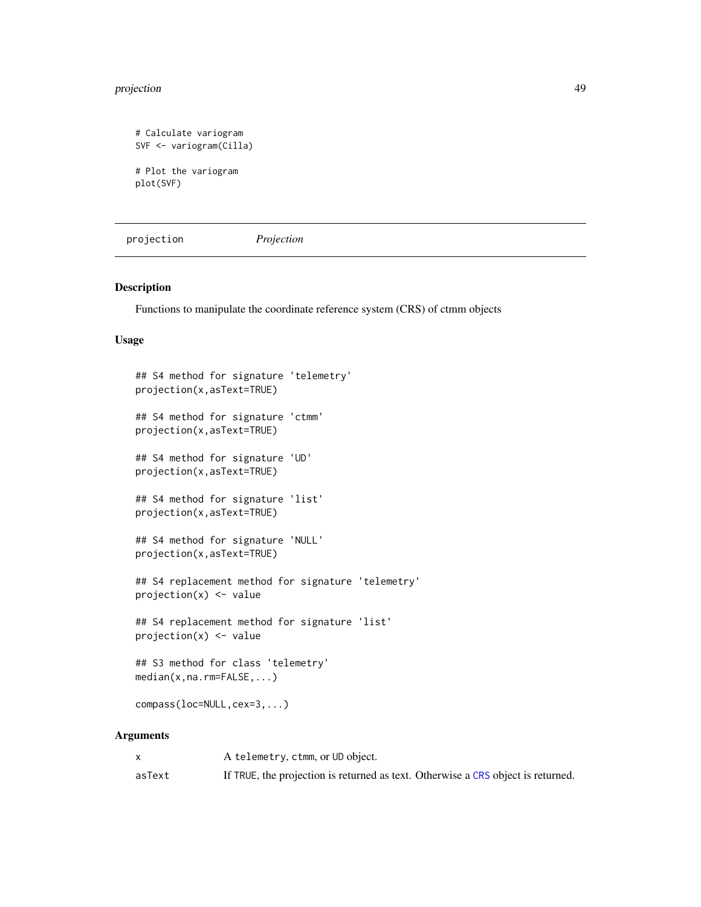#### <span id="page-48-0"></span>projection 49

```
# Calculate variogram
SVF <- variogram(Cilla)
# Plot the variogram
plot(SVF)
```
projection *Projection*

### Description

Functions to manipulate the coordinate reference system (CRS) of ctmm objects

# Usage

```
## S4 method for signature 'telemetry'
projection(x,asText=TRUE)
## S4 method for signature 'ctmm'
projection(x,asText=TRUE)
## S4 method for signature 'UD'
projection(x,asText=TRUE)
## S4 method for signature 'list'
projection(x,asText=TRUE)
## S4 method for signature 'NULL'
projection(x,asText=TRUE)
## S4 replacement method for signature 'telemetry'
projection(x) <- value
## S4 replacement method for signature 'list'
projection(x) <- value
## S3 method for class 'telemetry'
median(x,na.rm=FALSE,...)
compass(loc=NULL,cex=3,...)
```
#### Arguments

|        | A telemetry, ctmm, or UD object.                                                 |
|--------|----------------------------------------------------------------------------------|
| asText | If TRUE, the projection is returned as text. Otherwise a CRS object is returned. |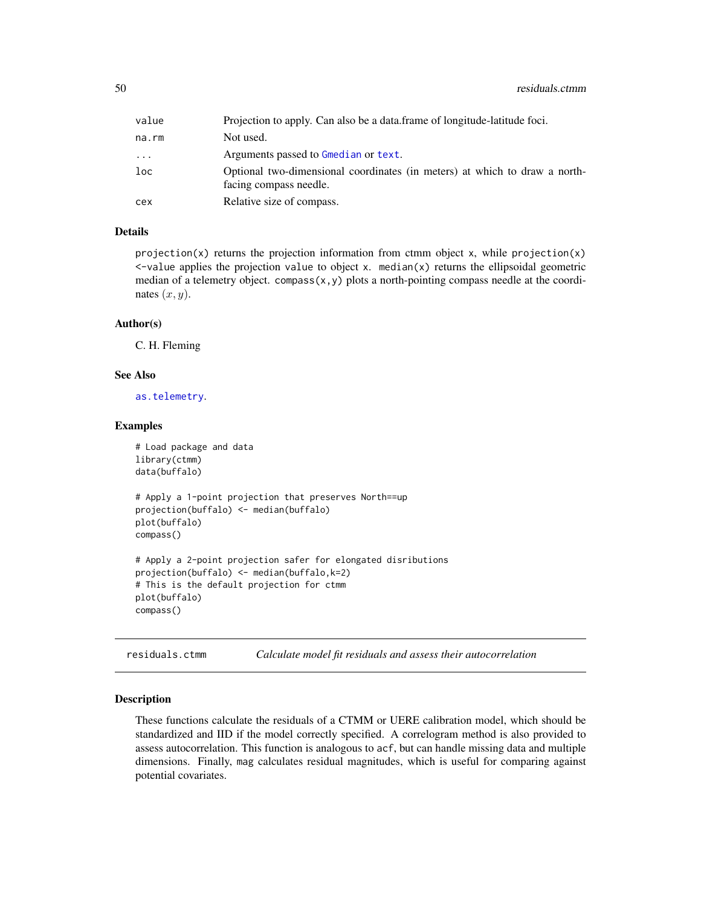<span id="page-49-1"></span>50 residuals.ctmm

| value | Projection to apply. Can also be a data frame of longitude-latitude foci.                            |
|-------|------------------------------------------------------------------------------------------------------|
| na.rm | Not used.                                                                                            |
| .     | Arguments passed to Gmedian or text.                                                                 |
| loc   | Optional two-dimensional coordinates (in meters) at which to draw a north-<br>facing compass needle. |
| cex   | Relative size of compass.                                                                            |
|       |                                                                                                      |

# Details

 $projection(x)$  returns the projection information from ctmm object x, while projection $(x)$  $\le$ -value applies the projection value to object x. median(x) returns the ellipsoidal geometric median of a telemetry object. compass(x,y) plots a north-pointing compass needle at the coordinates  $(x, y)$ .

#### Author(s)

C. H. Fleming

#### See Also

[as.telemetry](#page-6-0).

#### Examples

```
# Load package and data
library(ctmm)
data(buffalo)
# Apply a 1-point projection that preserves North==up
projection(buffalo) <- median(buffalo)
plot(buffalo)
compass()
# Apply a 2-point projection safer for elongated disributions
projection(buffalo) <- median(buffalo,k=2)
# This is the default projection for ctmm
plot(buffalo)
compass()
```
residuals.ctmm *Calculate model fit residuals and assess their autocorrelation*

# <span id="page-49-0"></span>**Description**

These functions calculate the residuals of a CTMM or UERE calibration model, which should be standardized and IID if the model correctly specified. A correlogram method is also provided to assess autocorrelation. This function is analogous to acf, but can handle missing data and multiple dimensions. Finally, mag calculates residual magnitudes, which is useful for comparing against potential covariates.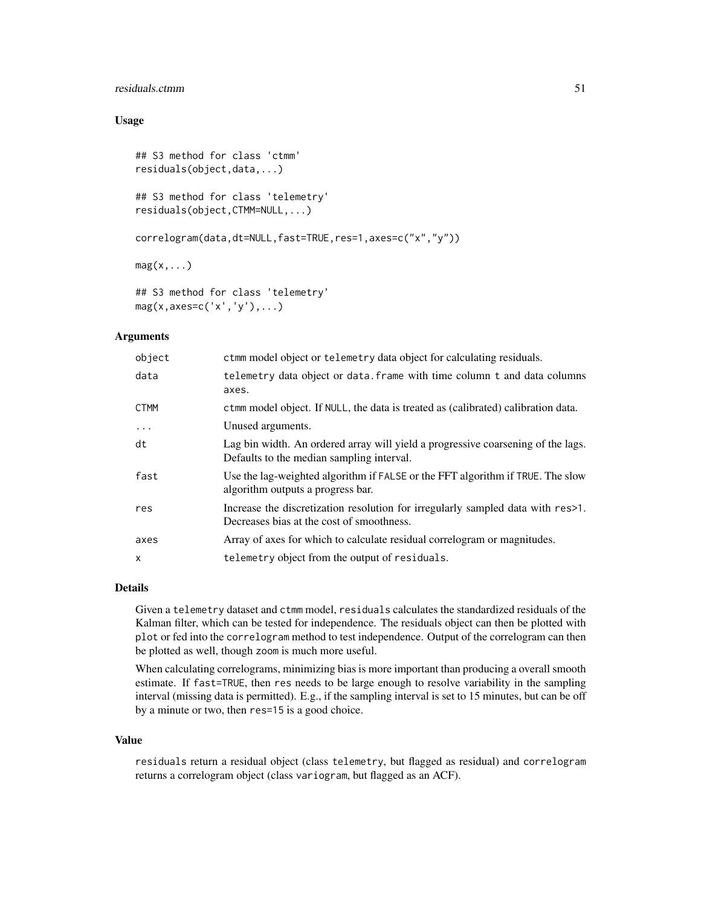# residuals.ctmm 51

# Usage

```
## S3 method for class 'ctmm'
residuals(object,data,...)
## S3 method for class 'telemetry'
residuals(object,CTMM=NULL,...)
correlogram(data,dt=NULL,fast=TRUE,res=1,axes=c("x","y"))
mag(x, \ldots)## S3 method for class 'telemetry'
mag(x,axes=c('x','y'),...)
```
# Arguments

| object       | ctmm model object or telemetry data object for calculating residuals.                                                          |
|--------------|--------------------------------------------------------------------------------------------------------------------------------|
| data         | telemetry data object or data. frame with time column t and data columns<br>axes.                                              |
| <b>CTMM</b>  | ctmm model object. If NULL, the data is treated as (calibrated) calibration data.                                              |
| $\cdots$     | Unused arguments.                                                                                                              |
| dt           | Lag bin width. An ordered array will yield a progressive coarsening of the lags.<br>Defaults to the median sampling interval.  |
| fast         | Use the lag-weighted algorithm if FALSE or the FFT algorithm if TRUE. The slow<br>algorithm outputs a progress bar.            |
| res          | Increase the discretization resolution for irregularly sampled data with res > 1.<br>Decreases bias at the cost of smoothness. |
| axes         | Array of axes for which to calculate residual correlogram or magnitudes.                                                       |
| $\mathsf{x}$ | telemetry object from the output of residuals.                                                                                 |

# Details

Given a telemetry dataset and ctmm model, residuals calculates the standardized residuals of the Kalman filter, which can be tested for independence. The residuals object can then be plotted with plot or fed into the correlogram method to test independence. Output of the correlogram can then be plotted as well, though zoom is much more useful.

When calculating correlograms, minimizing bias is more important than producing a overall smooth estimate. If fast=TRUE, then res needs to be large enough to resolve variability in the sampling interval (missing data is permitted). E.g., if the sampling interval is set to 15 minutes, but can be off by a minute or two, then res=15 is a good choice.

#### Value

residuals return a residual object (class telemetry, but flagged as residual) and correlogram returns a correlogram object (class variogram, but flagged as an ACF).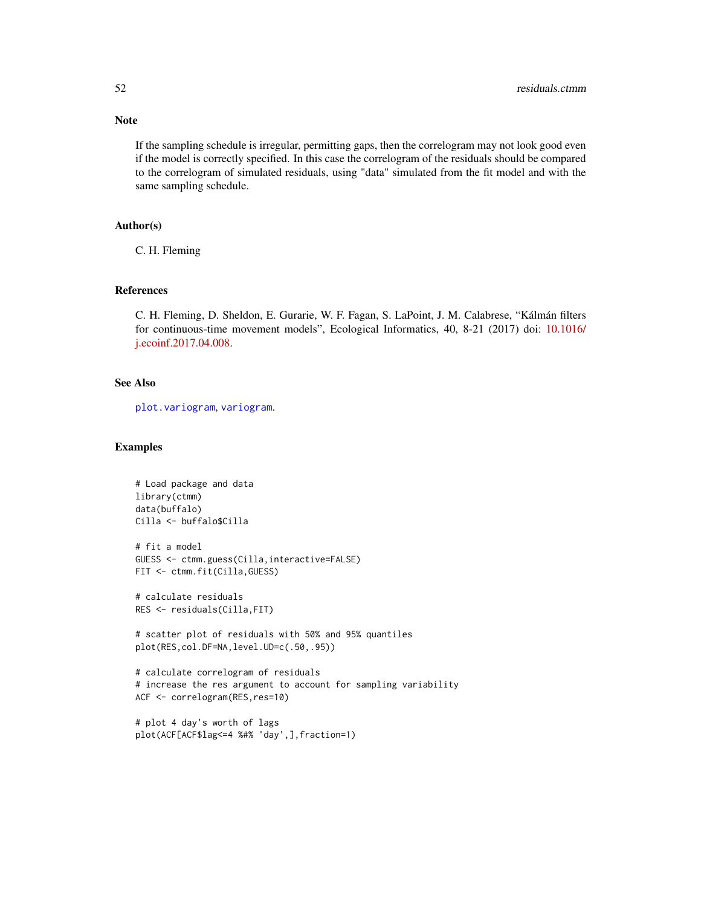If the sampling schedule is irregular, permitting gaps, then the correlogram may not look good even if the model is correctly specified. In this case the correlogram of the residuals should be compared to the correlogram of simulated residuals, using "data" simulated from the fit model and with the same sampling schedule.

#### Author(s)

C. H. Fleming

# References

C. H. Fleming, D. Sheldon, E. Gurarie, W. F. Fagan, S. LaPoint, J. M. Calabrese, "Kálmán filters for continuous-time movement models", Ecological Informatics, 40, 8-21 (2017) doi: [10.1016/](https://doi.org/10.1016/j.ecoinf.2017.04.008) [j.ecoinf.2017.04.008.](https://doi.org/10.1016/j.ecoinf.2017.04.008)

#### See Also

[plot.variogram](#page-46-0), [variogram](#page-65-0).

#### Examples

```
# Load package and data
library(ctmm)
data(buffalo)
Cilla <- buffalo$Cilla
```

```
# fit a model
GUESS <- ctmm.guess(Cilla,interactive=FALSE)
FIT <- ctmm.fit(Cilla,GUESS)
```

```
# calculate residuals
RES <- residuals(Cilla,FIT)
```

```
# scatter plot of residuals with 50% and 95% quantiles
plot(RES,col.DF=NA,level.UD=c(.50,.95))
```

```
# calculate correlogram of residuals
# increase the res argument to account for sampling variability
ACF <- correlogram(RES,res=10)
```

```
# plot 4 day's worth of lags
plot(ACF[ACF$lag<=4 %#% 'day',],fraction=1)
```
<span id="page-51-0"></span>

# Note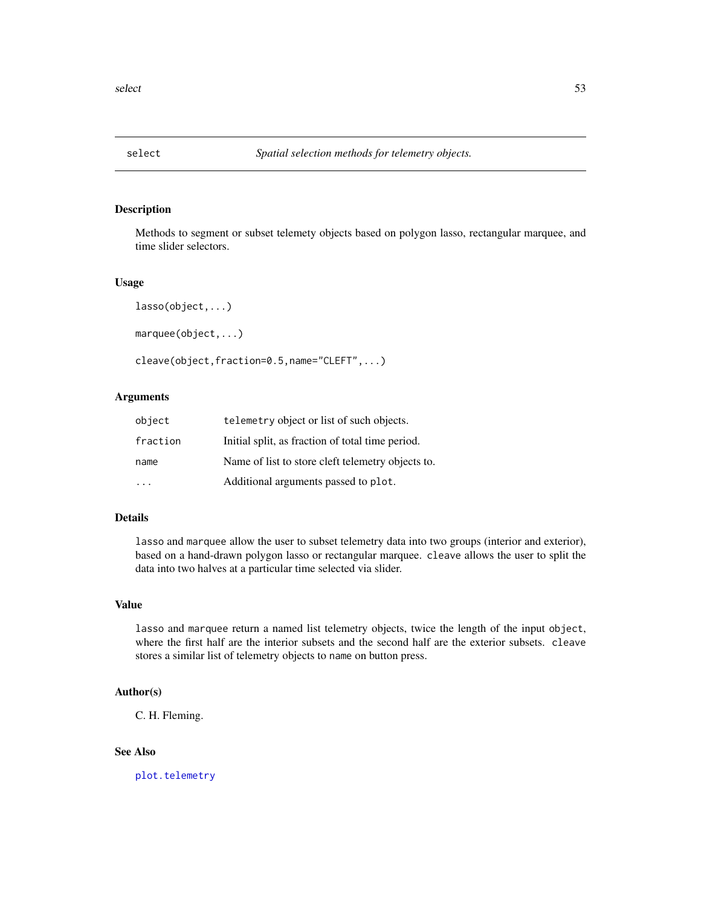<span id="page-52-0"></span>

# Description

Methods to segment or subset telemety objects based on polygon lasso, rectangular marquee, and time slider selectors.

# Usage

lasso(object,...) marquee(object,...) cleave(object,fraction=0.5,name="CLEFT",...)

# Arguments

| object   | telemetry object or list of such objects.         |
|----------|---------------------------------------------------|
| fraction | Initial split, as fraction of total time period.  |
| name     | Name of list to store cleft telemetry objects to. |
|          | Additional arguments passed to plot.              |

# Details

lasso and marquee allow the user to subset telemetry data into two groups (interior and exterior), based on a hand-drawn polygon lasso or rectangular marquee. cleave allows the user to split the data into two halves at a particular time selected via slider.

# Value

lasso and marquee return a named list telemetry objects, twice the length of the input object, where the first half are the interior subsets and the second half are the exterior subsets. cleave stores a similar list of telemetry objects to name on button press.

#### Author(s)

C. H. Fleming.

# See Also

[plot.telemetry](#page-44-0)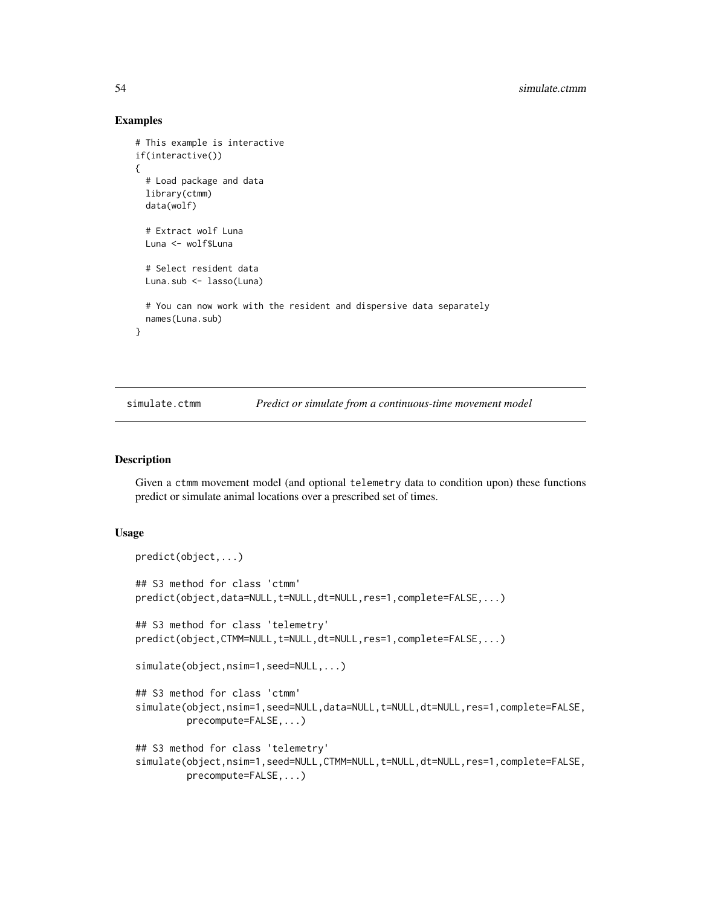# Examples

```
# This example is interactive
if(interactive())
{
 # Load package and data
 library(ctmm)
 data(wolf)
 # Extract wolf Luna
 Luna <- wolf$Luna
 # Select resident data
 Luna.sub <- lasso(Luna)
 # You can now work with the resident and dispersive data separately
 names(Luna.sub)
}
```
simulate.ctmm *Predict or simulate from a continuous-time movement model*

# <span id="page-53-0"></span>**Description**

Given a ctmm movement model (and optional telemetry data to condition upon) these functions predict or simulate animal locations over a prescribed set of times.

#### Usage

```
predict(object,...)
## S3 method for class 'ctmm'
predict(object,data=NULL,t=NULL,dt=NULL,res=1,complete=FALSE,...)
## S3 method for class 'telemetry'
predict(object,CTMM=NULL,t=NULL,dt=NULL,res=1,complete=FALSE,...)
simulate(object,nsim=1,seed=NULL,...)
## S3 method for class 'ctmm'
simulate(object,nsim=1,seed=NULL,data=NULL,t=NULL,dt=NULL,res=1,complete=FALSE,
         precompute=FALSE,...)
## S3 method for class 'telemetry'
simulate(object,nsim=1,seed=NULL,CTMM=NULL,t=NULL,dt=NULL,res=1,complete=FALSE,
         precompute=FALSE,...)
```
<span id="page-53-1"></span>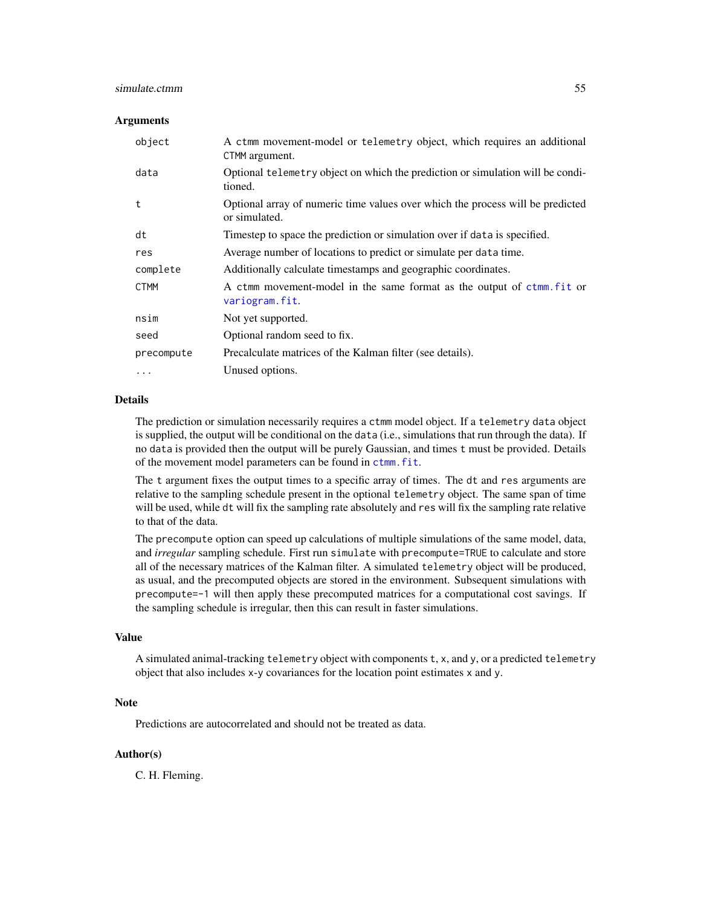#### <span id="page-54-0"></span>simulate.ctmm 55

#### Arguments

| object      | A ctmm movement-model or telemetry object, which requires an additional<br>CTMM argument.       |
|-------------|-------------------------------------------------------------------------------------------------|
| data        | Optional telemetry object on which the prediction or simulation will be condi-<br>tioned.       |
| t           | Optional array of numeric time values over which the process will be predicted<br>or simulated. |
| dt          | Timestep to space the prediction or simulation over if data is specified.                       |
| res         | Average number of locations to predict or simulate per data time.                               |
| complete    | Additionally calculate timestamps and geographic coordinates.                                   |
| <b>CTMM</b> | A ctmm movement-model in the same format as the output of ctmm. fit or<br>variogram.fit.        |
| nsim        | Not yet supported.                                                                              |
| seed        | Optional random seed to fix.                                                                    |
| precompute  | Precalculate matrices of the Kalman filter (see details).                                       |
| .           | Unused options.                                                                                 |

# **Details**

The prediction or simulation necessarily requires a ctmm model object. If a telemetry data object is supplied, the output will be conditional on the data (i.e., simulations that run through the data). If no data is provided then the output will be purely Gaussian, and times t must be provided. Details of the movement model parameters can be found in ctmm. fit.

The t argument fixes the output times to a specific array of times. The dt and res arguments are relative to the sampling schedule present in the optional telemetry object. The same span of time will be used, while dt will fix the sampling rate absolutely and res will fix the sampling rate relative to that of the data.

The precompute option can speed up calculations of multiple simulations of the same model, data, and *irregular* sampling schedule. First run simulate with precompute=TRUE to calculate and store all of the necessary matrices of the Kalman filter. A simulated telemetry object will be produced, as usual, and the precomputed objects are stored in the environment. Subsequent simulations with precompute=-1 will then apply these precomputed matrices for a computational cost savings. If the sampling schedule is irregular, then this can result in faster simulations.

#### Value

A simulated animal-tracking telemetry object with components t, x, and y, or a predicted telemetry object that also includes x-y covariances for the location point estimates x and y.

#### **Note**

Predictions are autocorrelated and should not be treated as data.

#### Author(s)

C. H. Fleming.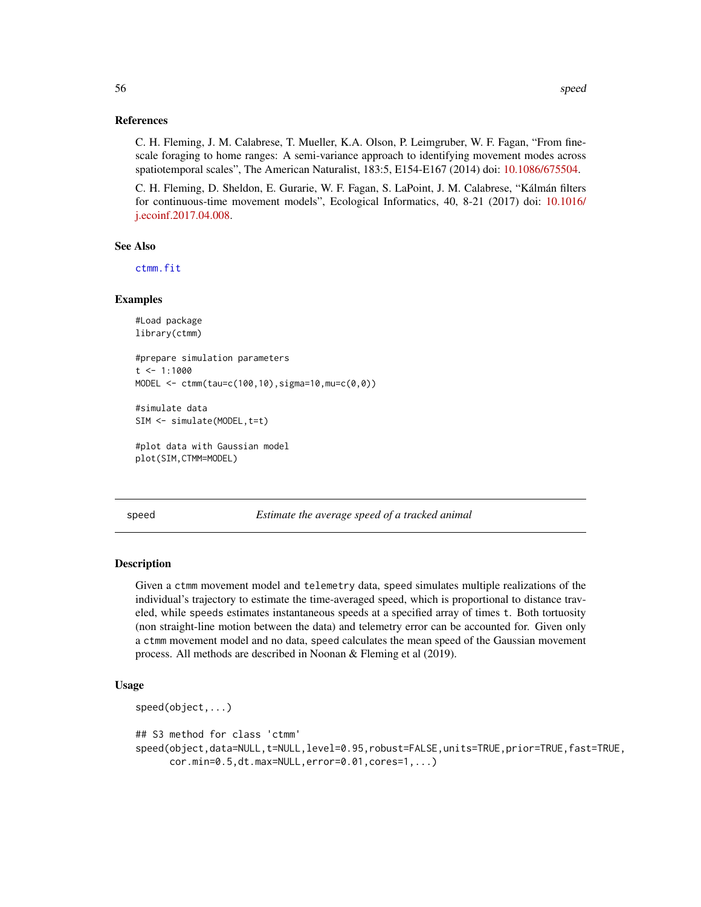#### References

C. H. Fleming, J. M. Calabrese, T. Mueller, K.A. Olson, P. Leimgruber, W. F. Fagan, "From finescale foraging to home ranges: A semi-variance approach to identifying movement modes across spatiotemporal scales", The American Naturalist, 183:5, E154-E167 (2014) doi: [10.1086/675504.](https://doi.org/10.1086/675504)

C. H. Fleming, D. Sheldon, E. Gurarie, W. F. Fagan, S. LaPoint, J. M. Calabrese, "Kálmán filters for continuous-time movement models", Ecological Informatics, 40, 8-21 (2017) doi: [10.1016/](https://doi.org/10.1016/j.ecoinf.2017.04.008) [j.ecoinf.2017.04.008.](https://doi.org/10.1016/j.ecoinf.2017.04.008)

# See Also

[ctmm.fit](#page-13-0)

#Load package

#### Examples

```
library(ctmm)
#prepare simulation parameters
t < -1:1000MODEL <- ctmm(tau=c(100,10),sigma=10,mu=c(0,0))
```
#simulate data SIM <- simulate(MODEL, t=t)

```
#plot data with Gaussian model
plot(SIM,CTMM=MODEL)
```
<span id="page-55-0"></span>speed *Estimate the average speed of a tracked animal*

### Description

Given a ctmm movement model and telemetry data, speed simulates multiple realizations of the individual's trajectory to estimate the time-averaged speed, which is proportional to distance traveled, while speeds estimates instantaneous speeds at a specified array of times t. Both tortuosity (non straight-line motion between the data) and telemetry error can be accounted for. Given only a ctmm movement model and no data, speed calculates the mean speed of the Gaussian movement process. All methods are described in Noonan & Fleming et al (2019).

#### Usage

```
speed(object,...)
## S3 method for class 'ctmm'
speed(object,data=NULL,t=NULL,level=0.95,robust=FALSE,units=TRUE,prior=TRUE,fast=TRUE,
     cor.min=0.5,dt.max=NULL,error=0.01,cores=1,...)
```
<span id="page-55-1"></span>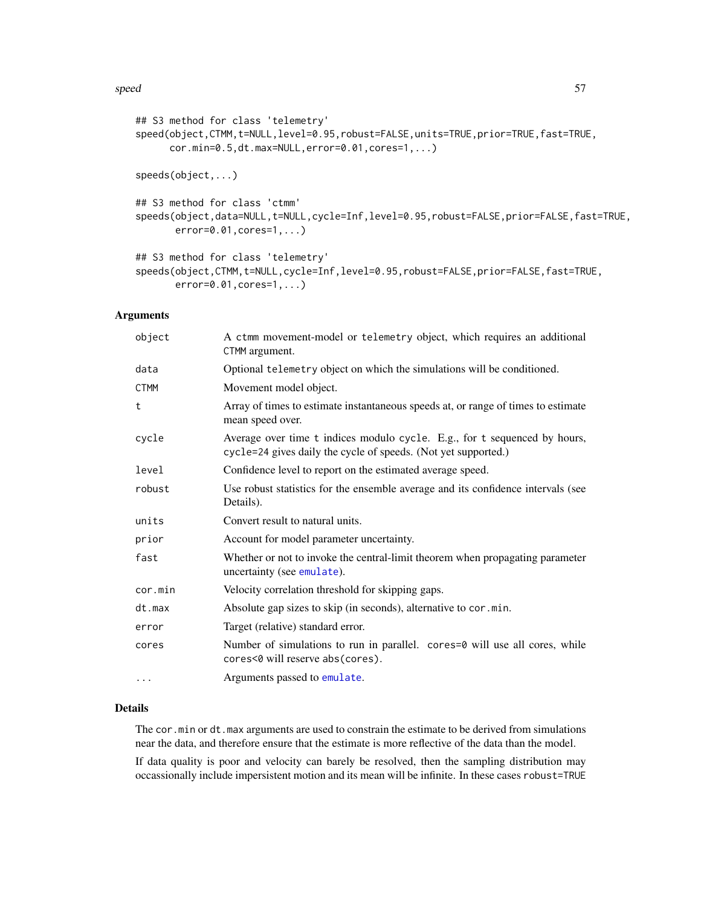#### <span id="page-56-0"></span>speed 57

```
## S3 method for class 'telemetry'
speed(object,CTMM,t=NULL,level=0.95,robust=FALSE,units=TRUE,prior=TRUE,fast=TRUE,
     cor.min=0.5,dt.max=NULL,error=0.01,cores=1,...)
speeds(object,...)
## S3 method for class 'ctmm'
speeds(object,data=NULL,t=NULL,cycle=Inf,level=0.95,robust=FALSE,prior=FALSE,fast=TRUE,
       error=0.01,cores=1,...)
## S3 method for class 'telemetry'
speeds(object,CTMM,t=NULL,cycle=Inf,level=0.95,robust=FALSE,prior=FALSE,fast=TRUE,
      error=0.01, cores=1,...)
```
#### Arguments

| object      | A ctmm movement-model or telemetry object, which requires an additional<br>CTMM argument.                                                   |
|-------------|---------------------------------------------------------------------------------------------------------------------------------------------|
| data        | Optional telemetry object on which the simulations will be conditioned.                                                                     |
| <b>CTMM</b> | Movement model object.                                                                                                                      |
| t           | Array of times to estimate instantaneous speeds at, or range of times to estimate<br>mean speed over.                                       |
| cycle       | Average over time t indices modulo cycle. E.g., for t sequenced by hours,<br>cycle=24 gives daily the cycle of speeds. (Not yet supported.) |
| level       | Confidence level to report on the estimated average speed.                                                                                  |
| robust      | Use robust statistics for the ensemble average and its confidence intervals (see<br>Details).                                               |
| units       | Convert result to natural units.                                                                                                            |
| prior       | Account for model parameter uncertainty.                                                                                                    |
| fast        | Whether or not to invoke the central-limit theorem when propagating parameter<br>uncertainty (see emulate).                                 |
| cor.min     | Velocity correlation threshold for skipping gaps.                                                                                           |
| dt.max      | Absolute gap sizes to skip (in seconds), alternative to cor.min.                                                                            |
| error       | Target (relative) standard error.                                                                                                           |
| cores       | Number of simulations to run in parallel. cores=0 will use all cores, while<br>cores<0 will reserve abs(cores).                             |
| .           | Arguments passed to emulate.                                                                                                                |

# Details

The cor.min or dt.max arguments are used to constrain the estimate to be derived from simulations near the data, and therefore ensure that the estimate is more reflective of the data than the model.

If data quality is poor and velocity can barely be resolved, then the sampling distribution may occassionally include impersistent motion and its mean will be infinite. In these cases robust=TRUE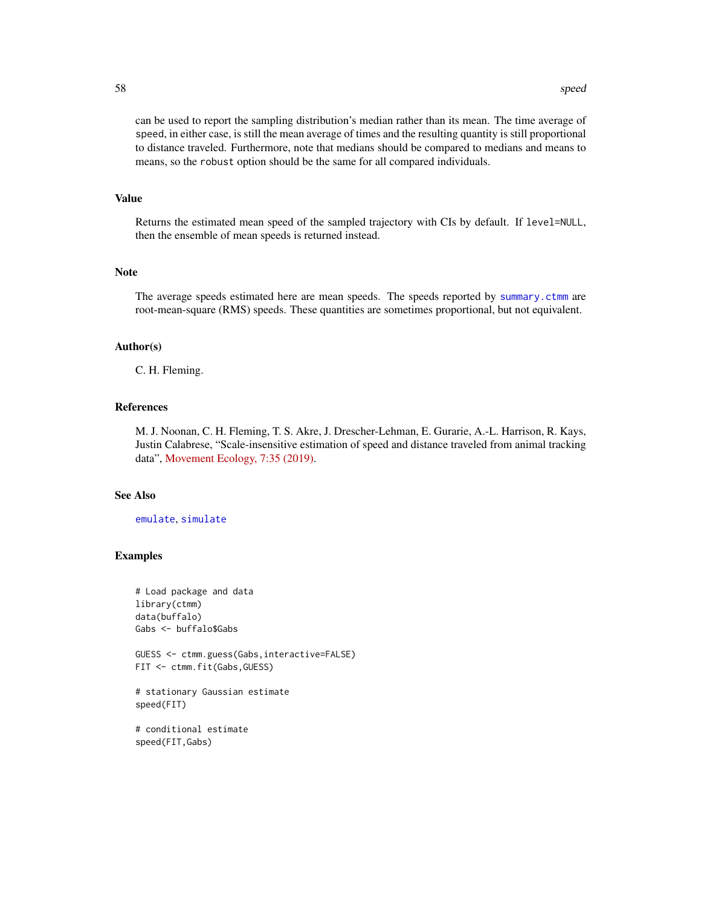can be used to report the sampling distribution's median rather than its mean. The time average of speed, in either case, is still the mean average of times and the resulting quantity is still proportional to distance traveled. Furthermore, note that medians should be compared to medians and means to means, so the robust option should be the same for all compared individuals.

# Value

Returns the estimated mean speed of the sampled trajectory with CIs by default. If level=NULL, then the ensemble of mean speeds is returned instead.

# Note

The average speeds estimated here are mean speeds. The speeds reported by [summary.ctmm](#page-58-0) are root-mean-square (RMS) speeds. These quantities are sometimes proportional, but not equivalent.

#### Author(s)

C. H. Fleming.

### References

M. J. Noonan, C. H. Fleming, T. S. Akre, J. Drescher-Lehman, E. Gurarie, A.-L. Harrison, R. Kays, Justin Calabrese, "Scale-insensitive estimation of speed and distance traveled from animal tracking data", [Movement Ecology, 7:35 \(2019\).](https://movementecologyjournal.biomedcentral.com/articles/10.1186/s40462-019-0177-1)

#### See Also

[emulate](#page-22-0), [simulate](#page-53-0)

#### Examples

```
# Load package and data
library(ctmm)
data(buffalo)
Gabs <- buffalo$Gabs
```
GUESS <- ctmm.guess(Gabs,interactive=FALSE) FIT <- ctmm.fit(Gabs,GUESS)

```
# stationary Gaussian estimate
speed(FIT)
```

```
# conditional estimate
speed(FIT,Gabs)
```
<span id="page-57-0"></span>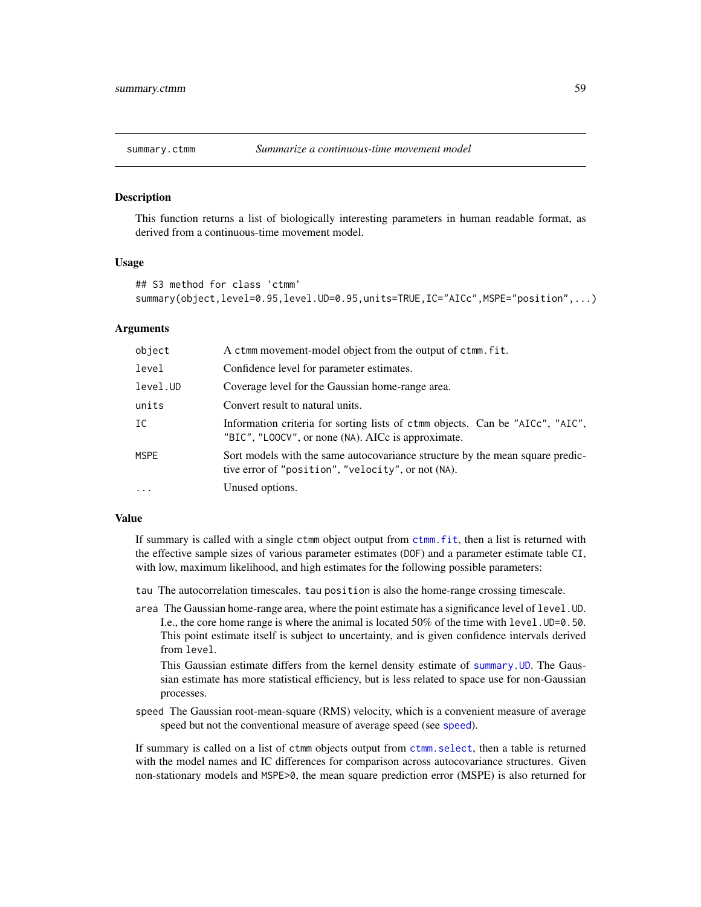<span id="page-58-1"></span><span id="page-58-0"></span>

#### Description

This function returns a list of biologically interesting parameters in human readable format, as derived from a continuous-time movement model.

#### Usage

```
## S3 method for class 'ctmm'
summary(object,level=0.95,level.UD=0.95,units=TRUE,IC="AICc",MSPE="position",...)
```
#### Arguments

| object      | A ctmm movement-model object from the output of ctmm. fit.                                                                          |  |
|-------------|-------------------------------------------------------------------------------------------------------------------------------------|--|
| level       | Confidence level for parameter estimates.                                                                                           |  |
| level.UD    | Coverage level for the Gaussian home-range area.                                                                                    |  |
| units       | Convert result to natural units.                                                                                                    |  |
| IC          | Information criteria for sorting lists of ctmm objects. Can be "AICc", "AIC",<br>"BIC", "LOOCV", or none (NA). AICc is approximate. |  |
| <b>MSPE</b> | Sort models with the same autocovariance structure by the mean square predic-<br>tive error of "position", "velocity", or not (NA). |  |
| $\ddots$ .  | Unused options.                                                                                                                     |  |

# Value

If summary is called with a single ctmm object output from [ctmm.fit](#page-13-0), then a list is returned with the effective sample sizes of various parameter estimates (DOF) and a parameter estimate table CI, with low, maximum likelihood, and high estimates for the following possible parameters:

- tau The autocorrelation timescales. tau position is also the home-range crossing timescale.
- area The Gaussian home-range area, where the point estimate has a significance level of level.UD. I.e., the core home range is where the animal is located 50% of the time with level.UD=0.50. This point estimate itself is subject to uncertainty, and is given confidence intervals derived from level.

This Gaussian estimate differs from the kernel density estimate of [summary.UD](#page-59-0). The Gaussian estimate has more statistical efficiency, but is less related to space use for non-Gaussian processes.

speed The Gaussian root-mean-square (RMS) velocity, which is a convenient measure of average [speed](#page-55-0) but not the conventional measure of average speed (see speed).

If summary is called on a list of ctmm objects output from [ctmm.select](#page-13-0), then a table is returned with the model names and IC differences for comparison across autocovariance structures. Given non-stationary models and MSPE>0, the mean square prediction error (MSPE) is also returned for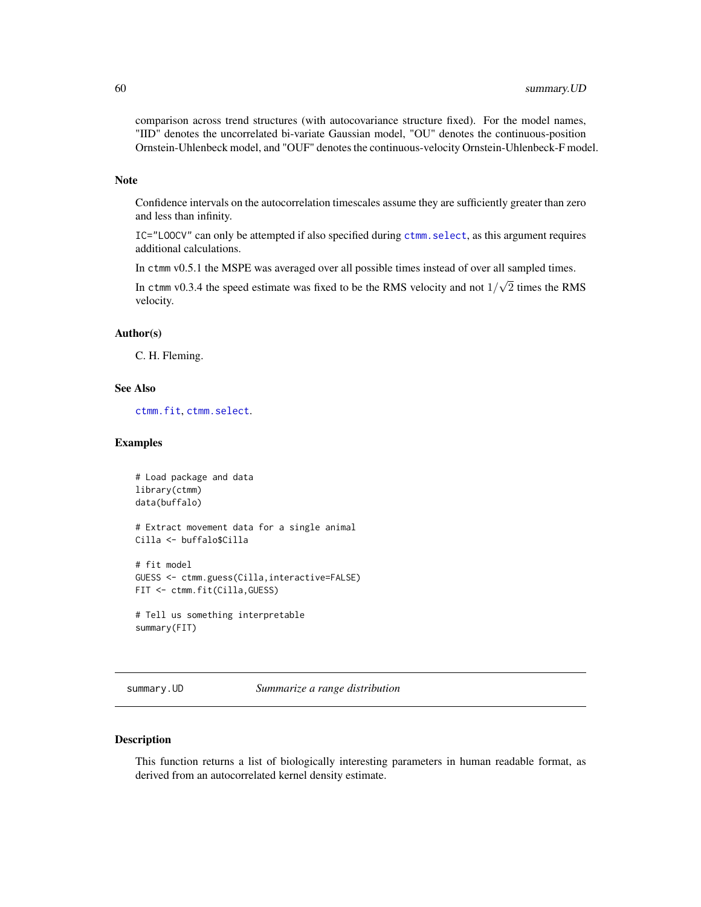<span id="page-59-1"></span>comparison across trend structures (with autocovariance structure fixed). For the model names, "IID" denotes the uncorrelated bi-variate Gaussian model, "OU" denotes the continuous-position Ornstein-Uhlenbeck model, and "OUF" denotes the continuous-velocity Ornstein-Uhlenbeck-F model.

#### Note

Confidence intervals on the autocorrelation timescales assume they are sufficiently greater than zero and less than infinity.

IC="LOOCV" can only be attempted if also specified during [ctmm.select](#page-13-0), as this argument requires additional calculations.

In ctmm v0.5.1 the MSPE was averaged over all possible times instead of over all sampled times.

In ctmm v0.3.4 the speed estimate was fixed to be the RMS velocity and not  $1/$ √ 2 times the RMS velocity.

# Author(s)

C. H. Fleming.

#### See Also

[ctmm.fit](#page-13-0), [ctmm.select](#page-13-0).

#### Examples

```
# Load package and data
library(ctmm)
data(buffalo)
# Extract movement data for a single animal
Cilla <- buffalo$Cilla
# fit model
GUESS <- ctmm.guess(Cilla,interactive=FALSE)
FIT <- ctmm.fit(Cilla,GUESS)
# Tell us something interpretable
summary(FIT)
```
<span id="page-59-0"></span>summary.UD *Summarize a range distribution*

#### Description

This function returns a list of biologically interesting parameters in human readable format, as derived from an autocorrelated kernel density estimate.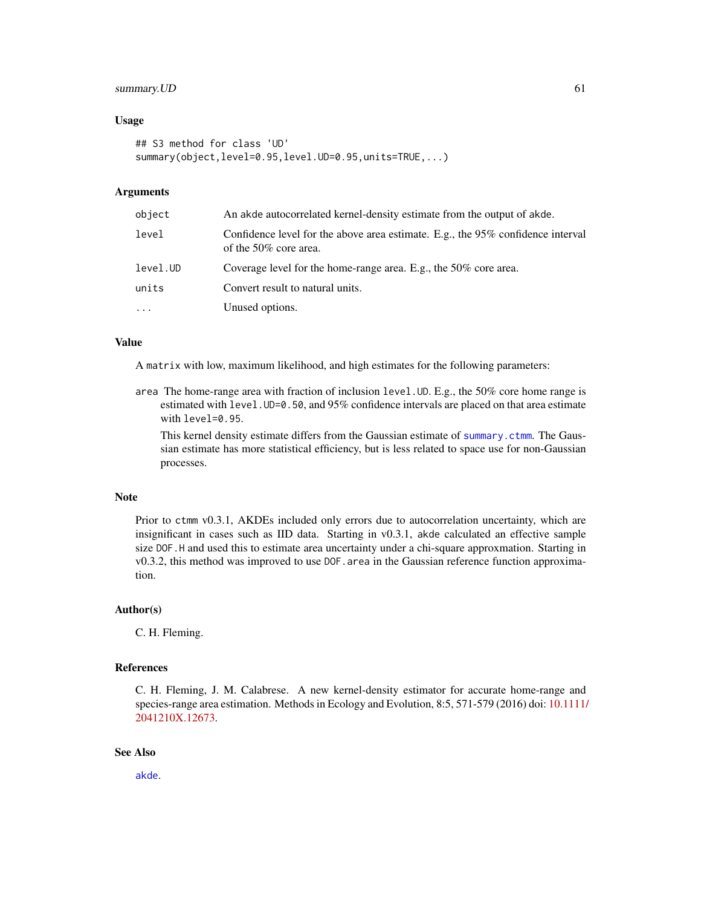# <span id="page-60-0"></span>summary.UD 61

#### Usage

```
## S3 method for class 'UD'
summary(object,level=0.95,level.UD=0.95,units=TRUE,...)
```
#### **Arguments**

| object   | An akde autocorrelated kernel-density estimate from the output of akde.                                  |
|----------|----------------------------------------------------------------------------------------------------------|
| level    | Confidence level for the above area estimate. E.g., the 95% confidence interval<br>of the 50% core area. |
| level.UD | Coverage level for the home-range area. E.g., the 50% core area.                                         |
| units    | Convert result to natural units.                                                                         |
| $\cdots$ | Unused options.                                                                                          |

# Value

A matrix with low, maximum likelihood, and high estimates for the following parameters:

area The home-range area with fraction of inclusion level.UD. E.g., the 50% core home range is estimated with level.UD=0.50, and 95% confidence intervals are placed on that area estimate with level=0.95.

This kernel density estimate differs from the Gaussian estimate of [summary.ctmm](#page-58-0). The Gaussian estimate has more statistical efficiency, but is less related to space use for non-Gaussian processes.

#### Note

Prior to ctmm v0.3.1, AKDEs included only errors due to autocorrelation uncertainty, which are insignificant in cases such as IID data. Starting in v0.3.1, akde calculated an effective sample size DOF.H and used this to estimate area uncertainty under a chi-square approxmation. Starting in v0.3.2, this method was improved to use DOF.area in the Gaussian reference function approximation.

#### Author(s)

C. H. Fleming.

# References

C. H. Fleming, J. M. Calabrese. A new kernel-density estimator for accurate home-range and species-range area estimation. Methods in Ecology and Evolution, 8:5, 571-579 (2016) doi: [10.1111/](https://doi.org/10.1111/2041-210X.12673) [2041210X.12673.](https://doi.org/10.1111/2041-210X.12673)

#### See Also

[akde](#page-4-0).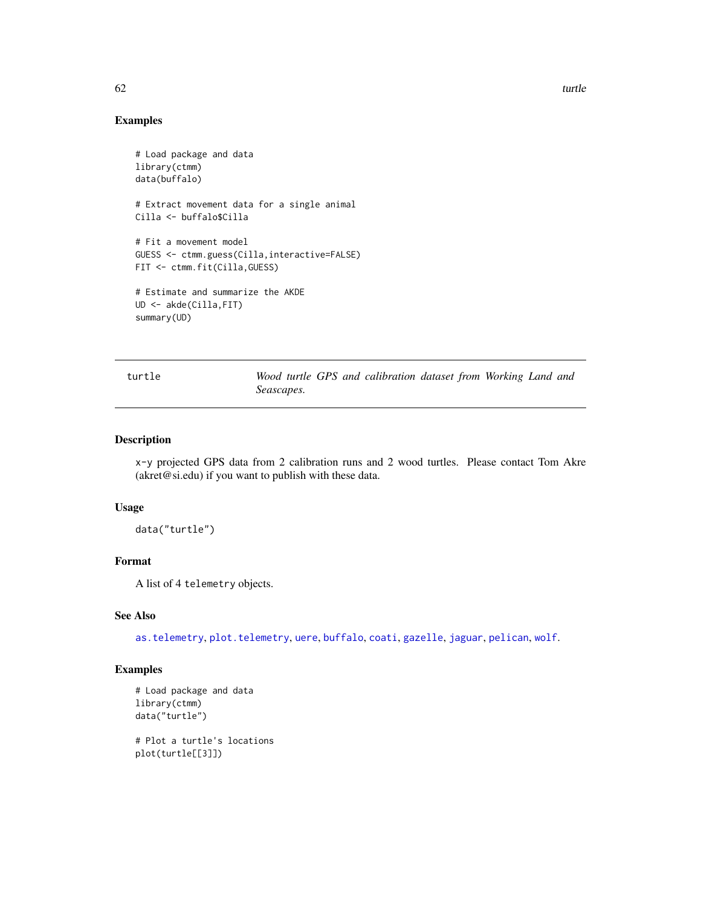# Examples

```
# Load package and data
library(ctmm)
data(buffalo)
# Extract movement data for a single animal
Cilla <- buffalo$Cilla
# Fit a movement model
GUESS <- ctmm.guess(Cilla,interactive=FALSE)
FIT <- ctmm.fit(Cilla,GUESS)
# Estimate and summarize the AKDE
UD <- akde(Cilla,FIT)
summary(UD)
```
<span id="page-61-0"></span>turtle *Wood turtle GPS and calibration dataset from Working Land and Seascapes.*

# Description

x-y projected GPS data from 2 calibration runs and 2 wood turtles. Please contact Tom Akre (akret@si.edu) if you want to publish with these data.

#### Usage

data("turtle")

# Format

A list of 4 telemetry objects.

# See Also

[as.telemetry](#page-6-0), [plot.telemetry](#page-44-0), [uere](#page-62-0), [buffalo](#page-10-0), [coati](#page-11-0), [gazelle](#page-28-0), [jaguar](#page-29-0), [pelican](#page-41-0), [wolf](#page-68-0).

# Examples

```
# Load package and data
library(ctmm)
data("turtle")
# Plot a turtle's locations
```
plot(turtle[[3]])

<span id="page-61-1"></span>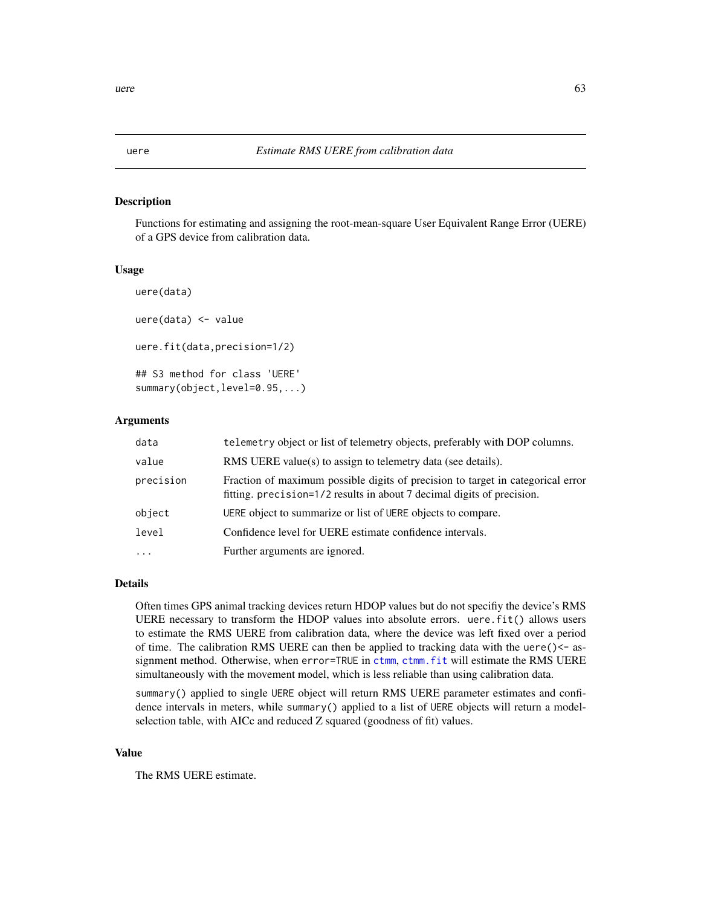#### <span id="page-62-1"></span><span id="page-62-0"></span>Description

Functions for estimating and assigning the root-mean-square User Equivalent Range Error (UERE) of a GPS device from calibration data.

#### Usage

```
uere(data)
uere(data) <- value
uere.fit(data,precision=1/2)
## S3 method for class 'UERE'
summary(object,level=0.95,...)
```
#### Arguments

| data      | telemetry object or list of telemetry objects, preferably with DOP columns.                                                                               |
|-----------|-----------------------------------------------------------------------------------------------------------------------------------------------------------|
| value     | RMS UERE value(s) to assign to telemetry data (see details).                                                                                              |
| precision | Fraction of maximum possible digits of precision to target in categorical error<br>fitting. precision=1/2 results in about 7 decimal digits of precision. |
| object    | UERE object to summarize or list of UERE objects to compare.                                                                                              |
| level     | Confidence level for UERE estimate confidence intervals.                                                                                                  |
| $\ddotsc$ | Further arguments are ignored.                                                                                                                            |

# Details

Often times GPS animal tracking devices return HDOP values but do not specifiy the device's RMS UERE necessary to transform the HDOP values into absolute errors. uere.fit() allows users to estimate the RMS UERE from calibration data, where the device was left fixed over a period of time. The calibration RMS UERE can then be applied to tracking data with the uere $(\mathcal{C}$  assignment method. Otherwise, when error=TRUE in [ctmm](#page-13-1), [ctmm.fit](#page-13-0) will estimate the RMS UERE simultaneously with the movement model, which is less reliable than using calibration data.

summary() applied to single UERE object will return RMS UERE parameter estimates and confidence intervals in meters, while summary() applied to a list of UERE objects will return a modelselection table, with AICc and reduced Z squared (goodness of fit) values.

#### Value

The RMS UERE estimate.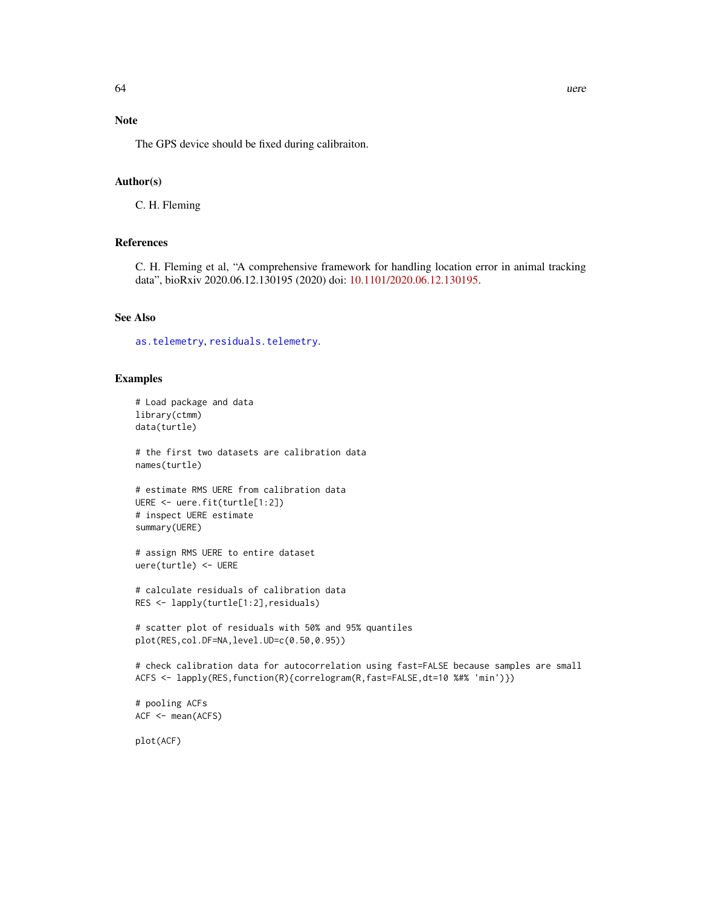# <span id="page-63-0"></span>Note

The GPS device should be fixed during calibraiton.

# Author(s)

C. H. Fleming

# References

C. H. Fleming et al, "A comprehensive framework for handling location error in animal tracking data", bioRxiv 2020.06.12.130195 (2020) doi: [10.1101/2020.06.12.130195.](https://doi.org/10.1101/2020.06.12.130195)

#### See Also

[as.telemetry](#page-6-0), [residuals.telemetry](#page-49-0).

# Examples

```
# Load package and data
library(ctmm)
data(turtle)
# the first two datasets are calibration data
names(turtle)
# estimate RMS UERE from calibration data
UERE <- uere.fit(turtle[1:2])
# inspect UERE estimate
summary(UERE)
# assign RMS UERE to entire dataset
uere(turtle) <- UERE
```
# calculate residuals of calibration data RES <- lapply(turtle[1:2],residuals)

```
# scatter plot of residuals with 50% and 95% quantiles
plot(RES,col.DF=NA,level.UD=c(0.50,0.95))
```

```
# check calibration data for autocorrelation using fast=FALSE because samples are small
ACFS <- lapply(RES,function(R){correlogram(R,fast=FALSE,dt=10 %#% 'min')})
```

```
# pooling ACFs
ACF <- mean(ACFS)
```
plot(ACF)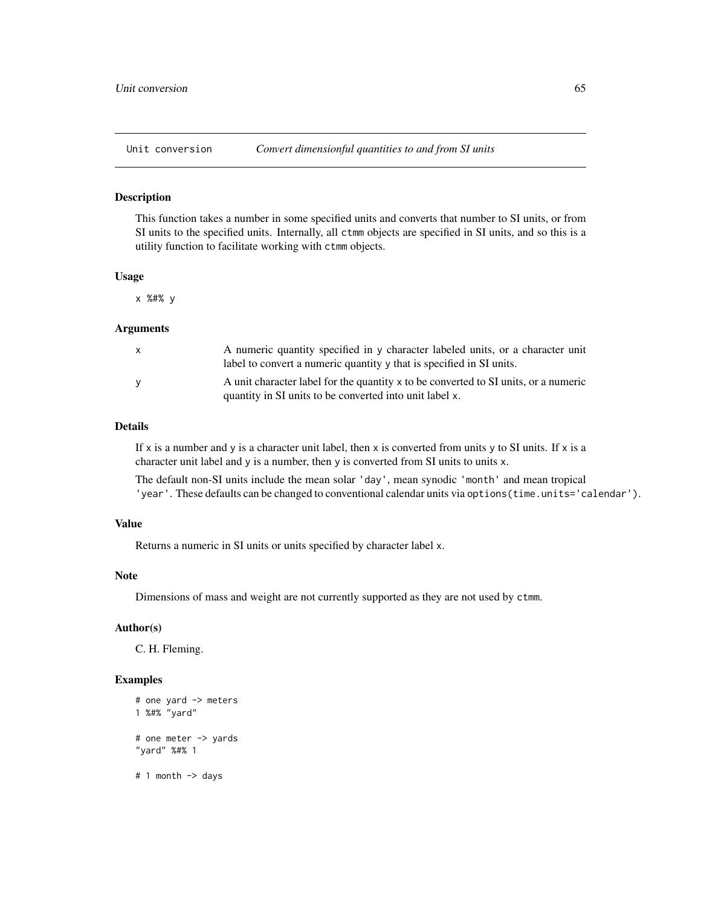<span id="page-64-0"></span>

#### Description

This function takes a number in some specified units and converts that number to SI units, or from SI units to the specified units. Internally, all ctmm objects are specified in SI units, and so this is a utility function to facilitate working with ctmm objects.

#### Usage

x %#% y

#### Arguments

| X. | A numeric quantity specified in y character labeled units, or a character unit<br>label to convert a numeric quantity y that is specified in SI units. |
|----|--------------------------------------------------------------------------------------------------------------------------------------------------------|
| v  | A unit character label for the quantity x to be converted to SI units, or a numeric<br>quantity in SI units to be converted into unit label x.         |

#### Details

If x is a number and y is a character unit label, then x is converted from units y to SI units. If x is a character unit label and y is a number, then y is converted from SI units to units x.

The default non-SI units include the mean solar 'day', mean synodic 'month' and mean tropical 'year'. These defaults can be changed to conventional calendar units via options(time.units='calendar').

# Value

Returns a numeric in SI units or units specified by character label x.

#### Note

Dimensions of mass and weight are not currently supported as they are not used by ctmm.

#### Author(s)

C. H. Fleming.

#### Examples

```
# one yard -> meters
1 %#% "yard"
# one meter -> yards
"yard" %#% 1
# 1 month -> days
```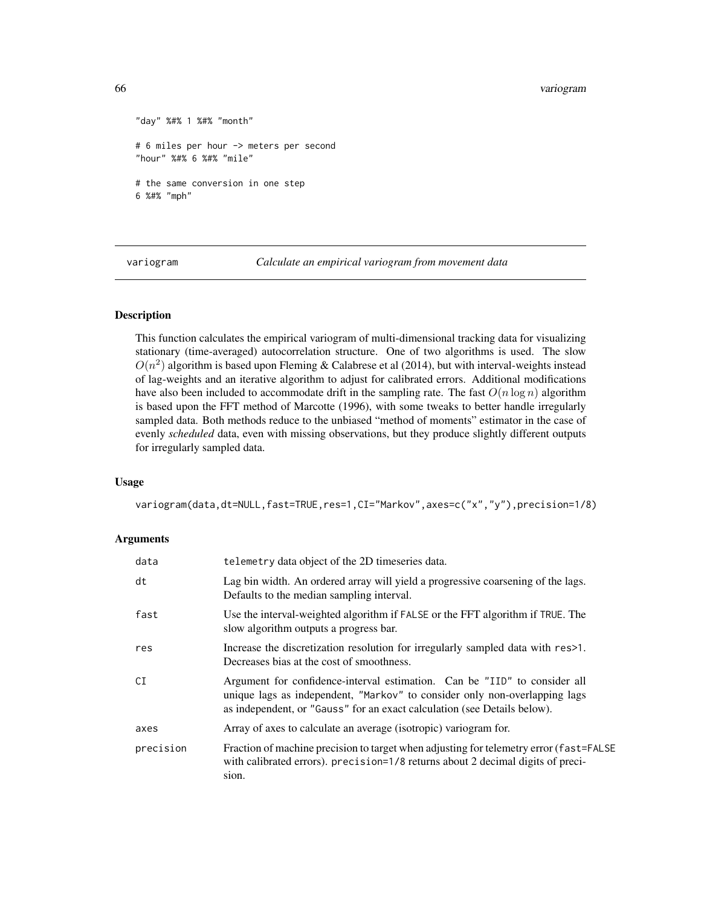```
"day" %#% 1 %#% "month"
# 6 miles per hour -> meters per second
"hour" %#% 6 %#% "mile"
# the same conversion in one step
6 %#% "mph"
```
<span id="page-65-0"></span>variogram *Calculate an empirical variogram from movement data*

# Description

This function calculates the empirical variogram of multi-dimensional tracking data for visualizing stationary (time-averaged) autocorrelation structure. One of two algorithms is used. The slow  $O(n^2)$  algorithm is based upon Fleming & Calabrese et al (2014), but with interval-weights instead of lag-weights and an iterative algorithm to adjust for calibrated errors. Additional modifications have also been included to accommodate drift in the sampling rate. The fast  $O(n \log n)$  algorithm is based upon the FFT method of Marcotte (1996), with some tweaks to better handle irregularly sampled data. Both methods reduce to the unbiased "method of moments" estimator in the case of evenly *scheduled* data, even with missing observations, but they produce slightly different outputs for irregularly sampled data.

#### Usage

variogram(data,dt=NULL,fast=TRUE,res=1,CI="Markov",axes=c("x","y"),precision=1/8)

#### Arguments

| data      | telemetry data object of the 2D timeseries data.                                                                                                                                                                                    |
|-----------|-------------------------------------------------------------------------------------------------------------------------------------------------------------------------------------------------------------------------------------|
| dt        | Lag bin width. An ordered array will yield a progressive coarsening of the lags.<br>Defaults to the median sampling interval.                                                                                                       |
| fast      | Use the interval-weighted algorithm if FALSE or the FFT algorithm if TRUE. The<br>slow algorithm outputs a progress bar.                                                                                                            |
| res       | Increase the discretization resolution for irregularly sampled data with res>1.<br>Decreases bias at the cost of smoothness.                                                                                                        |
| CI        | Argument for confidence-interval estimation. Can be "IID" to consider all<br>unique lags as independent, "Markov" to consider only non-overlapping lags<br>as independent, or "Gauss" for an exact calculation (see Details below). |
| axes      | Array of axes to calculate an average (isotropic) variogram for.                                                                                                                                                                    |
| precision | Fraction of machine precision to target when adjusting for telemetry error (fast=FALSE)<br>with calibrated errors). precision=1/8 returns about 2 decimal digits of preci-<br>sion.                                                 |

<span id="page-65-1"></span>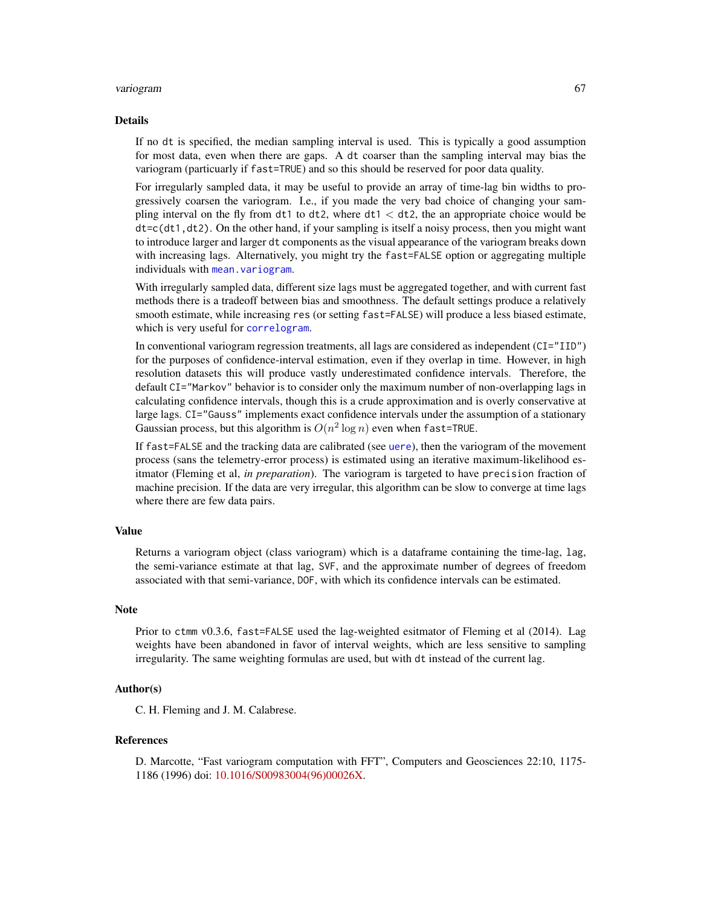#### <span id="page-66-0"></span>variogram 67 de estados e a contrados de estados e a contrados e a contrados e a contrados e a contrados e a c

#### Details

If no dt is specified, the median sampling interval is used. This is typically a good assumption for most data, even when there are gaps. A dt coarser than the sampling interval may bias the variogram (particuarly if fast=TRUE) and so this should be reserved for poor data quality.

For irregularly sampled data, it may be useful to provide an array of time-lag bin widths to progressively coarsen the variogram. I.e., if you made the very bad choice of changing your sampling interval on the fly from  $dt1$  to  $dt2$ , where  $dt1 < dt2$ , the an appropriate choice would be  $dt = c(dt1, dt2)$ . On the other hand, if your sampling is itself a noisy process, then you might want to introduce larger and larger dt components as the visual appearance of the variogram breaks down with increasing lags. Alternatively, you might try the fast=FALSE option or aggregating multiple individuals with [mean.variogram](#page-31-0).

With irregularly sampled data, different size lags must be aggregated together, and with current fast methods there is a tradeoff between bias and smoothness. The default settings produce a relatively smooth estimate, while increasing res (or setting fast=FALSE) will produce a less biased estimate, which is very useful for [correlogram](#page-49-0).

In conventional variogram regression treatments, all lags are considered as independent (CI="IID") for the purposes of confidence-interval estimation, even if they overlap in time. However, in high resolution datasets this will produce vastly underestimated confidence intervals. Therefore, the default CI="Markov" behavior is to consider only the maximum number of non-overlapping lags in calculating confidence intervals, though this is a crude approximation and is overly conservative at large lags. CI="Gauss" implements exact confidence intervals under the assumption of a stationary Gaussian process, but this algorithm is  $O(n^2 \log n)$  even when fast=TRUE.

If fast=FALSE and the tracking data are calibrated (see [uere](#page-62-0)), then the variogram of the movement process (sans the telemetry-error process) is estimated using an iterative maximum-likelihood esitmator (Fleming et al, *in preparation*). The variogram is targeted to have precision fraction of machine precision. If the data are very irregular, this algorithm can be slow to converge at time lags where there are few data pairs.

#### Value

Returns a variogram object (class variogram) which is a dataframe containing the time-lag, lag, the semi-variance estimate at that lag, SVF, and the approximate number of degrees of freedom associated with that semi-variance, DOF, with which its confidence intervals can be estimated.

#### **Note**

Prior to ctmm  $v0.3.6$ , fast=FALSE used the lag-weighted esitmator of Fleming et al (2014). Lag weights have been abandoned in favor of interval weights, which are less sensitive to sampling irregularity. The same weighting formulas are used, but with dt instead of the current lag.

#### Author(s)

C. H. Fleming and J. M. Calabrese.

#### References

D. Marcotte, "Fast variogram computation with FFT", Computers and Geosciences 22:10, 1175- 1186 (1996) doi: [10.1016/S00983004\(96\)00026X.](https://doi.org/10.1016/S0098-3004(96)00026-X)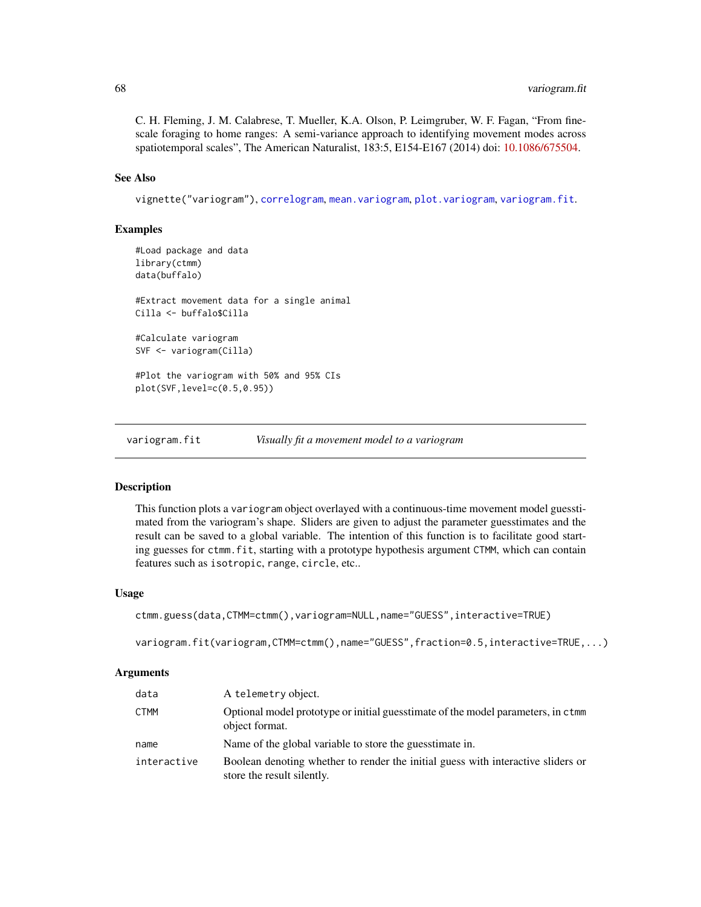C. H. Fleming, J. M. Calabrese, T. Mueller, K.A. Olson, P. Leimgruber, W. F. Fagan, "From finescale foraging to home ranges: A semi-variance approach to identifying movement modes across spatiotemporal scales", The American Naturalist, 183:5, E154-E167 (2014) doi: [10.1086/675504.](https://doi.org/10.1086/675504)

# See Also

vignette("variogram"), [correlogram](#page-49-0), [mean.variogram](#page-31-0), [plot.variogram](#page-46-0), [variogram.fit](#page-67-0).

#### Examples

```
#Load package and data
library(ctmm)
data(buffalo)
#Extract movement data for a single animal
Cilla <- buffalo$Cilla
#Calculate variogram
SVF <- variogram(Cilla)
#Plot the variogram with 50% and 95% CIs
plot(SVF,level=c(0.5,0.95))
```
<span id="page-67-0"></span>variogram.fit *Visually fit a movement model to a variogram*

#### Description

This function plots a variogram object overlayed with a continuous-time movement model guesstimated from the variogram's shape. Sliders are given to adjust the parameter guesstimates and the result can be saved to a global variable. The intention of this function is to facilitate good starting guesses for ctmm.fit, starting with a prototype hypothesis argument CTMM, which can contain features such as isotropic, range, circle, etc..

#### Usage

```
ctmm.guess(data,CTMM=ctmm(),variogram=NULL,name="GUESS",interactive=TRUE)
```
variogram.fit(variogram,CTMM=ctmm(),name="GUESS",fraction=0.5,interactive=TRUE,...)

#### **Arguments**

| data        | A telemetry object.                                                                                            |
|-------------|----------------------------------------------------------------------------------------------------------------|
| <b>CTMM</b> | Optional model prototype or initial guesstimate of the model parameters, in ctmm<br>object format.             |
| name        | Name of the global variable to store the guesstimate in.                                                       |
| interactive | Boolean denoting whether to render the initial guess with interactive sliders or<br>store the result silently. |

<span id="page-67-1"></span>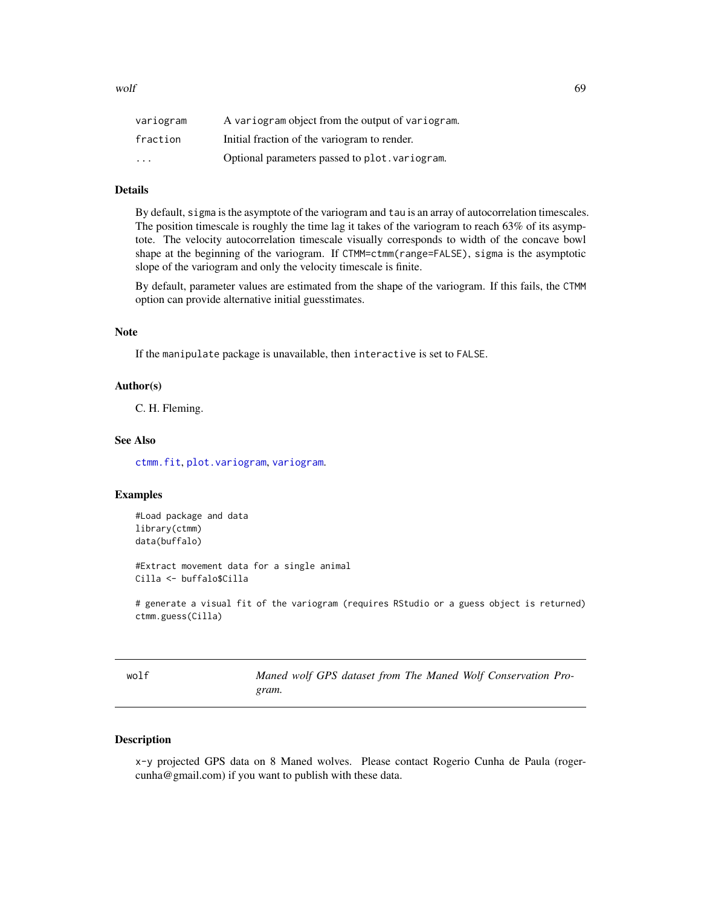<span id="page-68-1"></span>

| variogram               | A variogram object from the output of variogram. |
|-------------------------|--------------------------------------------------|
| fraction                | Initial fraction of the variogram to render.     |
| $\cdot$ $\cdot$ $\cdot$ | Optional parameters passed to plot. variogram.   |

#### Details

By default, sigma is the asymptote of the variogram and tau is an array of autocorrelation timescales. The position timescale is roughly the time lag it takes of the variogram to reach 63% of its asymptote. The velocity autocorrelation timescale visually corresponds to width of the concave bowl shape at the beginning of the variogram. If CTMM=ctmm(range=FALSE), sigma is the asymptotic slope of the variogram and only the velocity timescale is finite.

By default, parameter values are estimated from the shape of the variogram. If this fails, the CTMM option can provide alternative initial guesstimates.

#### Note

If the manipulate package is unavailable, then interactive is set to FALSE.

#### Author(s)

C. H. Fleming.

# See Also

[ctmm.fit](#page-13-0), [plot.variogram](#page-46-0), [variogram](#page-65-0).

#### Examples

#Load package and data library(ctmm) data(buffalo)

#Extract movement data for a single animal Cilla <- buffalo\$Cilla

# generate a visual fit of the variogram (requires RStudio or a guess object is returned) ctmm.guess(Cilla)

<span id="page-68-0"></span>wolf *Maned wolf GPS dataset from The Maned Wolf Conservation Program.*

#### Description

x-y projected GPS data on 8 Maned wolves. Please contact Rogerio Cunha de Paula (rogercunha@gmail.com) if you want to publish with these data.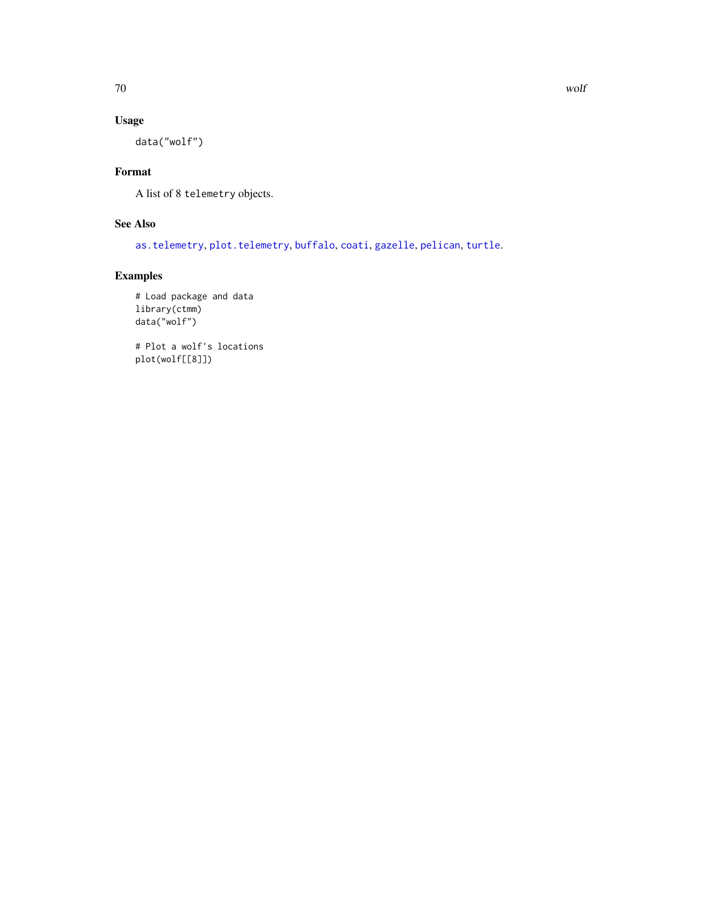# <span id="page-69-0"></span>Usage

data("wolf")

# Format

A list of 8 telemetry objects.

# See Also

[as.telemetry](#page-6-0), [plot.telemetry](#page-44-0), [buffalo](#page-10-0), [coati](#page-11-0), [gazelle](#page-28-0), [pelican](#page-41-0), [turtle](#page-61-0).

# Examples

# Load package and data library(ctmm) data("wolf")

# Plot a wolf's locations plot(wolf[[8]])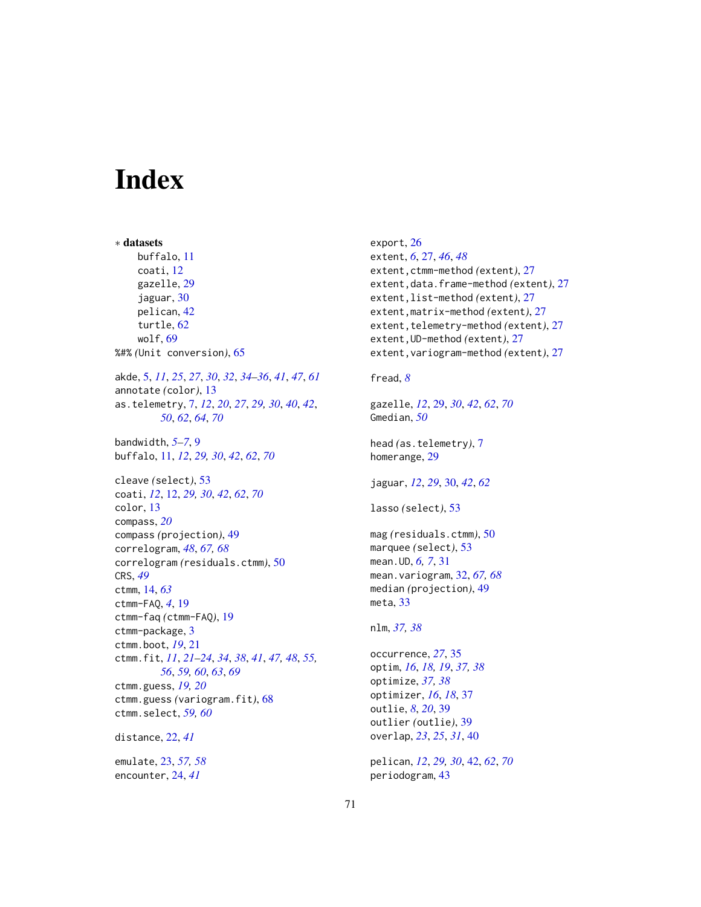# **Index**

∗ datasets buffalo, [11](#page-10-1) coati, [12](#page-11-1) gazelle, [29](#page-28-1) jaguar, [30](#page-29-1) pelican, [42](#page-41-1) turtle, [62](#page-61-1) wolf, [69](#page-68-1) %#% *(*Unit conversion*)*, [65](#page-64-0) akde, [5,](#page-4-1) *[11](#page-10-1)*, *[25](#page-24-0)*, *[27](#page-26-1)*, *[30](#page-29-1)*, *[32](#page-31-1)*, *[34–](#page-33-0)[36](#page-35-0)*, *[41](#page-40-0)*, *[47](#page-46-1)*, *[61](#page-60-0)* annotate *(*color*)*, [13](#page-12-0) as.telemetry, [7,](#page-6-1) *[12](#page-11-1)*, *[20](#page-19-0)*, *[27](#page-26-1)*, *[29,](#page-28-1) [30](#page-29-1)*, *[40](#page-39-0)*, *[42](#page-41-1)*, *[50](#page-49-1)*, *[62](#page-61-1)*, *[64](#page-63-0)*, *[70](#page-69-0)* bandwidth, *[5](#page-4-1)[–7](#page-6-1)*, [9](#page-8-0) buffalo, [11,](#page-10-1) *[12](#page-11-1)*, *[29,](#page-28-1) [30](#page-29-1)*, *[42](#page-41-1)*, *[62](#page-61-1)*, *[70](#page-69-0)* cleave *(*select*)*, [53](#page-52-0) coati, *[12](#page-11-1)*, [12,](#page-11-1) *[29,](#page-28-1) [30](#page-29-1)*, *[42](#page-41-1)*, *[62](#page-61-1)*, *[70](#page-69-0)* color, [13](#page-12-0) compass, *[20](#page-19-0)* compass *(*projection*)*, [49](#page-48-0) correlogram, *[48](#page-47-0)*, *[67,](#page-66-0) [68](#page-67-1)* correlogram *(*residuals.ctmm*)*, [50](#page-49-1) CRS, *[49](#page-48-0)* ctmm, [14,](#page-13-2) *[63](#page-62-1)* ctmm-FAQ, *[4](#page-3-0)*, [19](#page-18-0) ctmm-faq *(*ctmm-FAQ*)*, [19](#page-18-0) ctmm-package, [3](#page-2-0) ctmm.boot, *[19](#page-18-0)*, [21](#page-20-0) ctmm.fit, *[11](#page-10-1)*, *[21](#page-20-0)[–24](#page-23-1)*, *[34](#page-33-0)*, *[38](#page-37-0)*, *[41](#page-40-0)*, *[47,](#page-46-1) [48](#page-47-0)*, *[55,](#page-54-0) [56](#page-55-1)*, *[59,](#page-58-1) [60](#page-59-1)*, *[63](#page-62-1)*, *[69](#page-68-1)* ctmm.guess, *[19,](#page-18-0) [20](#page-19-0)* ctmm.guess *(*variogram.fit*)*, [68](#page-67-1) ctmm.select, *[59,](#page-58-1) [60](#page-59-1)* distance, [22,](#page-21-1) *[41](#page-40-0)* emulate, [23,](#page-22-1) *[57,](#page-56-0) [58](#page-57-0)*

encounter, [24,](#page-23-1) *[41](#page-40-0)*

export, [26](#page-25-1) extent, *[6](#page-5-0)*, [27,](#page-26-1) *[46](#page-45-0)*, *[48](#page-47-0)* extent,ctmm-method *(*extent*)*, [27](#page-26-1) extent,data.frame-method *(*extent*)*, [27](#page-26-1) extent,list-method *(*extent*)*, [27](#page-26-1) extent,matrix-method *(*extent*)*, [27](#page-26-1) extent, telemetry-method *(extent)*, [27](#page-26-1) extent,UD-method *(*extent*)*, [27](#page-26-1) extent,variogram-method *(*extent*)*, [27](#page-26-1)

fread, *[8](#page-7-0)*

gazelle, *[12](#page-11-1)*, [29,](#page-28-1) *[30](#page-29-1)*, *[42](#page-41-1)*, *[62](#page-61-1)*, *[70](#page-69-0)* Gmedian, *[50](#page-49-1)*

head *(*as.telemetry*)*, [7](#page-6-1) homerange, [29](#page-28-1)

jaguar, *[12](#page-11-1)*, *[29](#page-28-1)*, [30,](#page-29-1) *[42](#page-41-1)*, *[62](#page-61-1)*

lasso *(*select*)*, [53](#page-52-0)

mag *(*residuals.ctmm*)*, [50](#page-49-1) marquee *(*select*)*, [53](#page-52-0) mean.UD, *[6,](#page-5-0) [7](#page-6-1)*, [31](#page-30-0) mean.variogram, [32,](#page-31-1) *[67,](#page-66-0) [68](#page-67-1)* median *(*projection*)*, [49](#page-48-0) meta, [33](#page-32-0)

nlm, *[37,](#page-36-0) [38](#page-37-0)*

occurrence, *[27](#page-26-1)*, [35](#page-34-0) optim, *[16](#page-15-0)*, *[18,](#page-17-0) [19](#page-18-0)*, *[37,](#page-36-0) [38](#page-37-0)* optimize, *[37,](#page-36-0) [38](#page-37-0)* optimizer, *[16](#page-15-0)*, *[18](#page-17-0)*, [37](#page-36-0) outlie, *[8](#page-7-0)*, *[20](#page-19-0)*, [39](#page-38-0) outlier *(*outlie*)*, [39](#page-38-0) overlap, *[23](#page-22-1)*, *[25](#page-24-0)*, *[31](#page-30-0)*, [40](#page-39-0)

pelican, *[12](#page-11-1)*, *[29,](#page-28-1) [30](#page-29-1)*, [42,](#page-41-1) *[62](#page-61-1)*, *[70](#page-69-0)* periodogram, [43](#page-42-0)